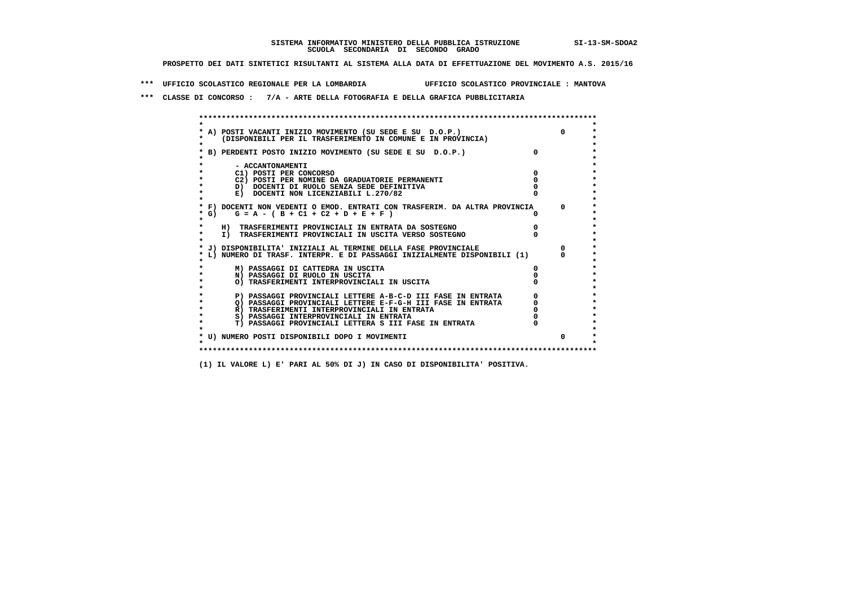## **SISTEMA INFORMATIVO MINISTERO DELLA PUBBLICA ISTRUZIONE SI-13-SM-SDOA2 SCUOLA SECONDARIA DI SECONDO GRADO**

 **PROSPETTO DEI DATI SINTETICI RISULTANTI AL SISTEMA ALLA DATA DI EFFETTUAZIONE DEL MOVIMENTO A.S. 2015/16**

 **\*\*\* UFFICIO SCOLASTICO REGIONALE PER LA LOMBARDIA UFFICIO SCOLASTICO PROVINCIALE : MANTOVA**

 **\*\*\* CLASSE DI CONCORSO : 7/A - ARTE DELLA FOTOGRAFIA E DELLA GRAFICA PUBBLICITARIA**

|      | A) POSTI VACANTI INIZIO MOVIMENTO (SU SEDE E SU D.O.P.)                    | <sup>n</sup> |
|------|----------------------------------------------------------------------------|--------------|
|      | (DISPONIBILI PER IL TRASFERIMENTO IN COMUNE E IN PROVINCIA)                |              |
|      | B) PERDENTI POSTO INIZIO MOVIMENTO (SU SEDE E SU D.O.P.)                   |              |
|      | - ACCANTONAMENTI                                                           |              |
|      | C1) POSTI PER CONCORSO                                                     |              |
|      | C2) POSTI PER NOMINE DA GRADUATORIE PERMANENTI                             |              |
|      | D) DOCENTI DI RUOLO SENZA SEDE DEFINITIVA                                  |              |
|      | E) DOCENTI NON LICENZIABILI L.270/82                                       |              |
|      | * F) DOCENTI NON VEDENTI O EMOD. ENTRATI CON TRASFERIM. DA ALTRA PROVINCIA | $\Omega$     |
| * G) | $G = A - (B + C1 + C2 + D + E + F)$                                        |              |
|      | H) TRASFERIMENTI PROVINCIALI IN ENTRATA DA SOSTEGNO                        |              |
|      | I) TRASFERIMENTI PROVINCIALI IN USCITA VERSO SOSTEGNO                      |              |
|      | * J) DISPONIBILITA' INIZIALI AL TERMINE DELLA FASE PROVINCIALE             |              |
|      | L) NUMERO DI TRASF. INTERPR. E DI PASSAGGI INIZIALMENTE DISPONIBILI (1)    | <sup>n</sup> |
|      | M) PASSAGGI DI CATTEDRA IN USCITA                                          |              |
|      | N) PASSAGGI DI RUOLO IN USCITA                                             |              |
|      | O) TRASFERIMENTI INTERPROVINCIALI IN USCITA                                |              |
|      | P) PASSAGGI PROVINCIALI LETTERE A-B-C-D III FASE IN ENTRATA                |              |
|      | O) PASSAGGI PROVINCIALI LETTERE E-F-G-H III FASE IN ENTRATA                |              |
|      | R) TRASFERIMENTI INTERPROVINCIALI IN ENTRATA                               |              |
|      | S) PASSAGGI INTERPROVINCIALI IN ENTRATA                                    |              |
|      | T) PASSAGGI PROVINCIALI LETTERA S III FASE IN ENTRATA                      |              |
|      | * U) NUMERO POSTI DISPONIBILI DOPO I MOVIMENTI                             | 0            |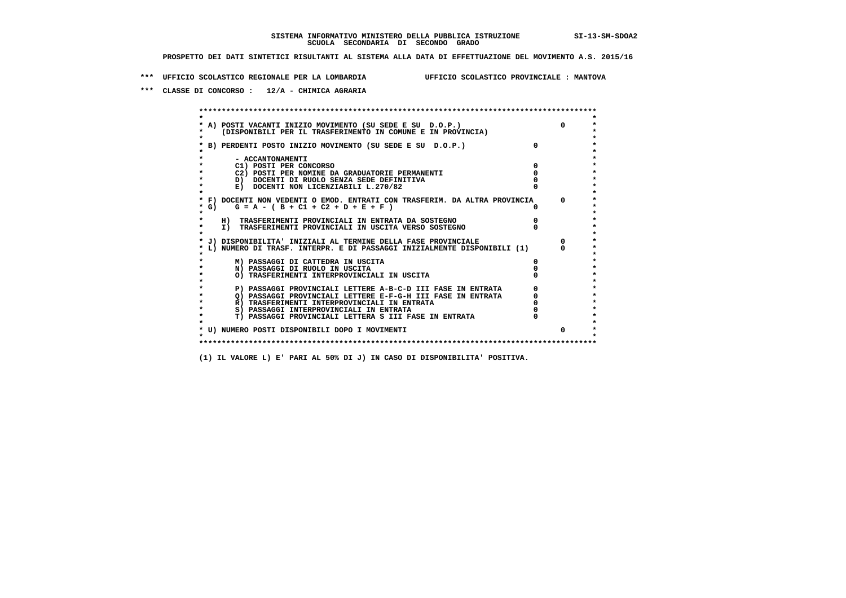**\*\*\* UFFICIO SCOLASTICO REGIONALE PER LA LOMBARDIA UFFICIO SCOLASTICO PROVINCIALE : MANTOVA**

 **\*\*\* CLASSE DI CONCORSO : 12/A - CHIMICA AGRARIA**

 **\*\*\*\*\*\*\*\*\*\*\*\*\*\*\*\*\*\*\*\*\*\*\*\*\*\*\*\*\*\*\*\*\*\*\*\*\*\*\*\*\*\*\*\*\*\*\*\*\*\*\*\*\*\*\*\*\*\*\*\*\*\*\*\*\*\*\*\*\*\*\*\*\*\*\*\*\*\*\*\*\*\*\*\*\*\*\*\* \* \*** $\bullet$  **\* A) POSTI VACANTI INIZIO MOVIMENTO (SU SEDE E SU D.O.P.) 0 \*** $\star$  **\* (DISPONIBILI PER IL TRASFERIMENTO IN COMUNE E IN PROVINCIA) \*** $\bullet$  **\* \* \* B) PERDENTI POSTO INIZIO MOVIMENTO (SU SEDE E SU D.O.P.) 0 \* \* \* \* - ACCANTONAMENTI \* \* C1) POSTI PER CONCORSO 0 \* \* C2) POSTI PER NOMINE DA GRADUATORIE PERMANENTI 0 \*D)** DOCENTI DI RUOLO SENZA SEDE DEFINITIVA  $\overline{a}$  0  $\overline{b}$  0  $\overline{c}$  0  $\overline{c}$  0  $\overline{c}$  0  $\overline{a}$  0  $\overline{b}$ **E) DOCENTI NON LICENZIABILI L.270/82 \* \* \* F) DOCENTI NON VEDENTI O EMOD. ENTRATI CON TRASFERIM. DA ALTRA PROVINCIA 0 \* \* G) G = A - ( B + C1 + C2 + D + E + F ) 0 \* \* \* \* H) TRASFERIMENTI PROVINCIALI IN ENTRATA DA SOSTEGNO 0 \* \* I) TRASFERIMENTI PROVINCIALI IN USCITA VERSO SOSTEGNO 0 \* \* \* \* J) DISPONIBILITA' INIZIALI AL TERMINE DELLA FASE PROVINCIALE 0 \* \* L) NUMERO DI TRASF. INTERPR. E DI PASSAGGI INIZIALMENTE DISPONIBILI (1) 0 \* \* \* \* M) PASSAGGI DI CATTEDRA IN USCITA 0 \* \* N) PASSAGGI DI RUOLO IN USCITA 0 \* \* O) TRASFERIMENTI INTERPROVINCIALI IN USCITA 0 \* \* \* \* P) PASSAGGI PROVINCIALI LETTERE A-B-C-D III FASE IN ENTRATA 0 \*** $\star$  **\* Q) PASSAGGI PROVINCIALI LETTERE E-F-G-H III FASE IN ENTRATA 0 \*R)** TRASFERIMENTI INTERPROVINCIALI IN ENTRATA  $\begin{bmatrix} 0 & 0 \\ 0 & 0 \\ 0 & 0 \end{bmatrix}$  PASSAGGI INTERPROVINCIALI IN ENTRATA  $\begin{bmatrix} 0 & 0 \\ 0 & 0 \\ 0 & 0 \end{bmatrix}$  **\* S) PASSAGGI INTERPROVINCIALI IN ENTRATA 0 \*** $\ddot{\phantom{1}}$  **\* T) PASSAGGI PROVINCIALI LETTERA S III FASE IN ENTRATA 0 \*** $\star$  **\* \* \* U) NUMERO POSTI DISPONIBILI DOPO I MOVIMENTI 0 \* \* \* \*\*\*\*\*\*\*\*\*\*\*\*\*\*\*\*\*\*\*\*\*\*\*\*\*\*\*\*\*\*\*\*\*\*\*\*\*\*\*\*\*\*\*\*\*\*\*\*\*\*\*\*\*\*\*\*\*\*\*\*\*\*\*\*\*\*\*\*\*\*\*\*\*\*\*\*\*\*\*\*\*\*\*\*\*\*\*\***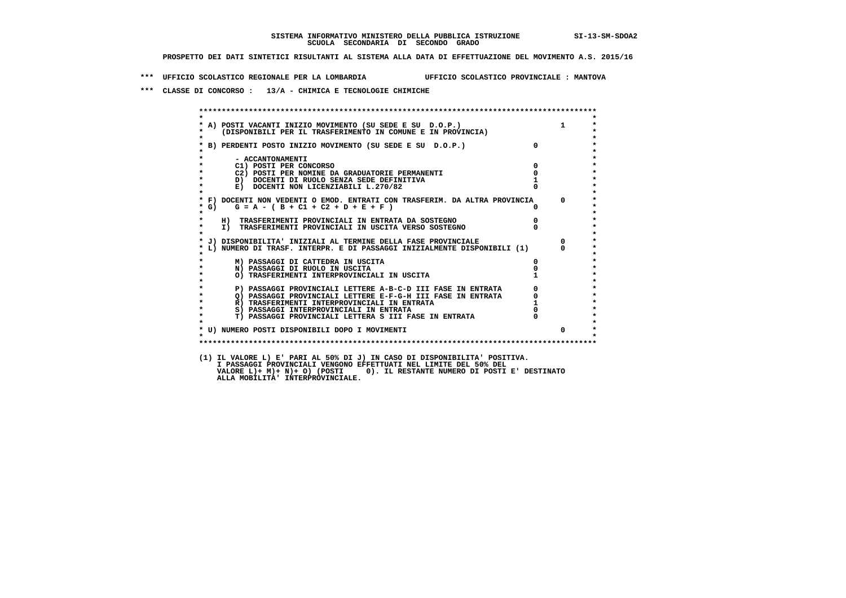**\*\*\* UFFICIO SCOLASTICO REGIONALE PER LA LOMBARDIA UFFICIO SCOLASTICO PROVINCIALE : MANTOVA**

 **\*\*\* CLASSE DI CONCORSO : 13/A - CHIMICA E TECNOLOGIE CHIMICHE**

|                   | A) POSTI VACANTI INIZIO MOVIMENTO (SU SEDE E SU D.O.P.) 1<br>(DISPONIBILI PER IL TRASFERIMENTO IN COMUNE E IN PROVINCIA) |                                  |                |
|-------------------|--------------------------------------------------------------------------------------------------------------------------|----------------------------------|----------------|
|                   |                                                                                                                          |                                  |                |
|                   | * B) PERDENTI POSTO INIZIO MOVIMENTO (SU SEDE E SU D.O.P.)                                                               | $\overline{0}$                   |                |
|                   |                                                                                                                          |                                  |                |
|                   | - ACCANTONAMENTI<br>$\overline{\mathbf{0}}$                                                                              |                                  |                |
|                   | C1) POSTI PER CONCORSO<br>C2) POSTI PER NOMINE DA GRADUATORIE PERMANENTI                                                 | $\overline{\mathbf{0}}$          |                |
|                   | D) DOCENTI DI RUOLO SENZA SEDE DEFINITIVA                                                                                |                                  |                |
| $\star$           | E) DOCENTI NON LICENZIABILI L.270/82                                                                                     |                                  |                |
|                   |                                                                                                                          |                                  |                |
|                   | * F) DOCENTI NON VEDENTI O EMOD. ENTRATI CON TRASFERIM. DA ALTRA PROVINCIA 0                                             |                                  |                |
| $*$ G)<br>$\star$ | $G = A - (B + C1 + C2 + D + E + F)$                                                                                      |                                  |                |
|                   | H) TRASFERIMENTI PROVINCIALI IN ENTRATA DA SOSTEGNO                                                                      |                                  |                |
| $\star$           | I) TRASFERIMENTI PROVINCIALI IN USCITA VERSO SOSTEGNO                                                                    | $\begin{matrix}0\\0\end{matrix}$ |                |
|                   |                                                                                                                          |                                  |                |
|                   | J) DISPONIBILITA' INIZIALI AL TERMINE DELLA FASE PROVINCIALE                                                             |                                  | $\overline{0}$ |
|                   | L) NUMERO DI TRASF. INTERPR. E DI PASSAGGI INIZIALMENTE DISPONIBILI (1)                                                  |                                  |                |
|                   | M) PASSAGGI DI CATTEDRA IN USCITA                                                                                        | $\Omega$                         |                |
| $\star$           | N) PASSAGGI DI RUOLO IN USCITA                                                                                           |                                  |                |
|                   | O) TRASFERIMENTI INTERPROVINCIALI IN USCITA                                                                              |                                  |                |
|                   |                                                                                                                          |                                  |                |
| $\bullet$         | P) PASSAGGI PROVINCIALI LETTERE A-B-C-D III FASE IN ENTRATA                                                              |                                  |                |
| $\star$           |                                                                                                                          |                                  |                |
| $\star$           |                                                                                                                          |                                  |                |
| $\star$           | T) PASSAGGI PROVINCIALI LETTERA S III FASE IN ENTRATA                                                                    |                                  |                |
|                   |                                                                                                                          |                                  |                |
| $\star$           | * U) NUMERO POSTI DISPONIBILI DOPO I MOVIMENTI                                                                           |                                  | $\Omega$       |
|                   |                                                                                                                          |                                  |                |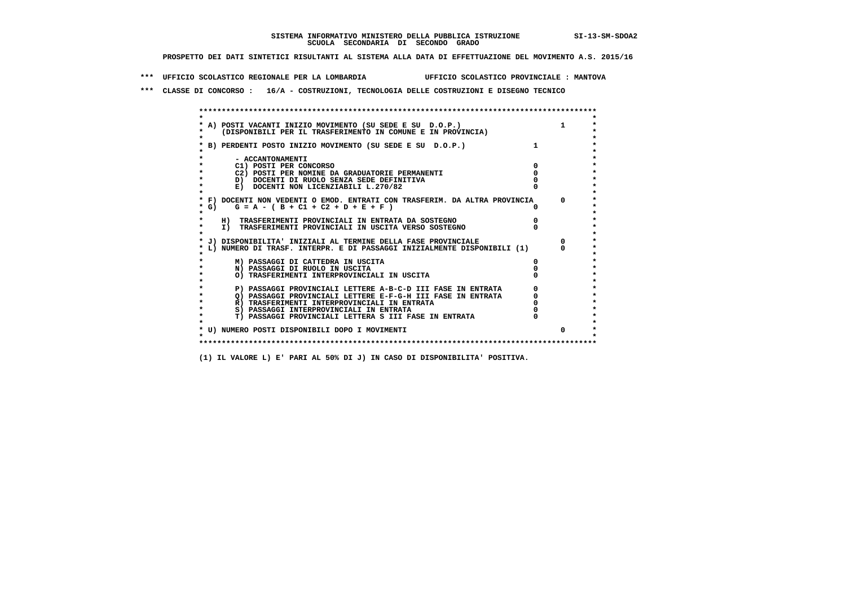**\*\*\* UFFICIO SCOLASTICO REGIONALE PER LA LOMBARDIA UFFICIO SCOLASTICO PROVINCIALE : MANTOVA**

 **\*\*\* CLASSE DI CONCORSO : 16/A - COSTRUZIONI, TECNOLOGIA DELLE COSTRUZIONI E DISEGNO TECNICO**

 **\*\*\*\*\*\*\*\*\*\*\*\*\*\*\*\*\*\*\*\*\*\*\*\*\*\*\*\*\*\*\*\*\*\*\*\*\*\*\*\*\*\*\*\*\*\*\*\*\*\*\*\*\*\*\*\*\*\*\*\*\*\*\*\*\*\*\*\*\*\*\*\*\*\*\*\*\*\*\*\*\*\*\*\*\*\*\*\* \* \*** $\ddot{\phantom{0}}$  **\* A) POSTI VACANTI INIZIO MOVIMENTO (SU SEDE E SU D.O.P.) 1 \*** $\star$  **\* (DISPONIBILI PER IL TRASFERIMENTO IN COMUNE E IN PROVINCIA) \* \* \* \* B) PERDENTI POSTO INIZIO MOVIMENTO (SU SEDE E SU D.O.P.) 1 \* \* \* \* - ACCANTONAMENTI \* \* C1) POSTI PER CONCORSO 0 \* \* C2) POSTI PER NOMINE DA GRADUATORIE PERMANENTI 0 \*b**  $\overline{D}$  **docenti di RUOLO SENZA SEDE DEFINITIVA**  $\overline{D}$  **0**  $\overline{D}$  **0**  $\overline{D}$  **0**  $\overline{D}$  **0**  $\overline{D}$  **0**  $\overline{D}$  **0**  $\overline{D}$  **0**  $\overline{D}$  **0**  $\overline{D}$  **0**  $\overline{D}$  **0**  $\overline{D}$  **0**  $\overline{D}$  **0**  $\overline{D}$  **0 E) DOCENTI NON LICENZIABILI L.270/82 \* \* \* F) DOCENTI NON VEDENTI O EMOD. ENTRATI CON TRASFERIM. DA ALTRA PROVINCIA 0 \***  $\star$  **G)** G = A - ( B + C1 + C2 + D + E + F )  **\* \* \* H) TRASFERIMENTI PROVINCIALI IN ENTRATA DA SOSTEGNO 0 \* \* I) TRASFERIMENTI PROVINCIALI IN USCITA VERSO SOSTEGNO 0 \* \* \* \* J) DISPONIBILITA' INIZIALI AL TERMINE DELLA FASE PROVINCIALE 0 \* \* L) NUMERO DI TRASF. INTERPR. E DI PASSAGGI INIZIALMENTE DISPONIBILI (1) 0 \* \* \* \* M) PASSAGGI DI CATTEDRA IN USCITA 0 \* \* N) PASSAGGI DI RUOLO IN USCITA 0 \* \* O) TRASFERIMENTI INTERPROVINCIALI IN USCITA 0 \* \* \*** $\star$  **P) PASSAGGI PROVINCIALI LETTERE A-B-C-D III FASE IN ENTRATA** 0 <sup>0</sup> **DASSAGGI PROVINCIALI LETTERE E-F-G-H** III FASE IN ENTRATA 0 <sup>0</sup>  $\star$  **\* Q) PASSAGGI PROVINCIALI LETTERE E-F-G-H III FASE IN ENTRATA 0 \*R**) TRASFERIMENTI INTERPROVINCIALI IN ENTRATA  $\begin{bmatrix} 0 & 0 & 0 \\ 0 & 0 & 0 \\ 0 & 0 & 0 \\ 0 & 0 & 0 \\ 0 & 0 & 0 \\ 0 & 0 & 0 & 0 \\ 0 & 0 & 0 & 0 \\ 0 & 0 & 0 & 0 \\ 0 & 0 & 0 & 0 \\ 0 & 0 & 0 & 0 \\ 0 & 0 & 0 & 0 \\ 0 & 0 & 0 & 0 \\ 0 & 0 & 0 & 0 \\ 0 & 0 & 0 & 0 \\ 0 & 0 & 0 & 0 \\ 0 &$  **\* S) PASSAGGI INTERPROVINCIALI IN ENTRATA 0 \*** $\ddot{\phantom{1}}$  **\* T) PASSAGGI PROVINCIALI LETTERA S III FASE IN ENTRATA 0 \*** $\star$  **\* \* \* U) NUMERO POSTI DISPONIBILI DOPO I MOVIMENTI 0 \* \* \* \*\*\*\*\*\*\*\*\*\*\*\*\*\*\*\*\*\*\*\*\*\*\*\*\*\*\*\*\*\*\*\*\*\*\*\*\*\*\*\*\*\*\*\*\*\*\*\*\*\*\*\*\*\*\*\*\*\*\*\*\*\*\*\*\*\*\*\*\*\*\*\*\*\*\*\*\*\*\*\*\*\*\*\*\*\*\*\***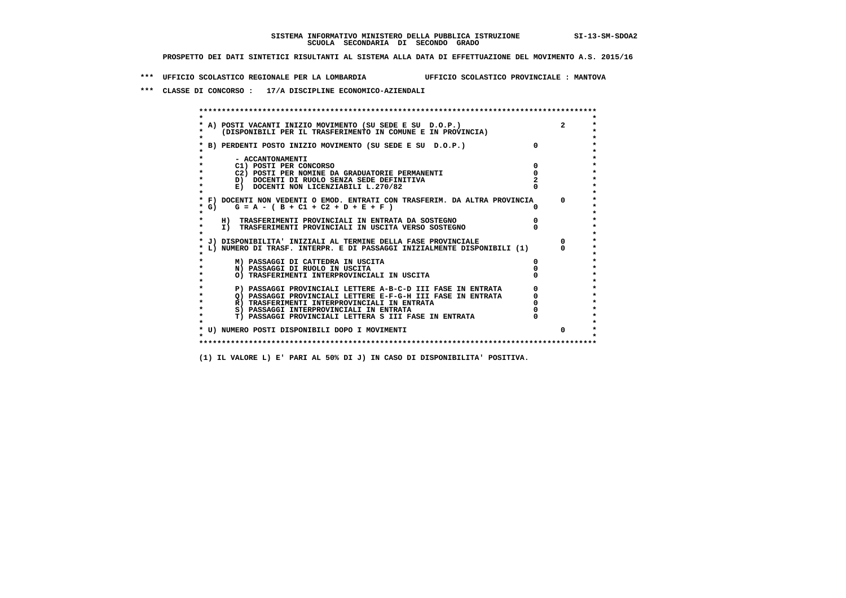**\*\*\* UFFICIO SCOLASTICO REGIONALE PER LA LOMBARDIA UFFICIO SCOLASTICO PROVINCIALE : MANTOVA**

 **\*\*\* CLASSE DI CONCORSO : 17/A DISCIPLINE ECONOMICO-AZIENDALI**

| A) POSTI VACANTI INIZIO MOVIMENTO (SU SEDE E SU D.O.P.)<br>(DISPONIBILI PER IL TRASFERIMENTO IN COMUNE E IN PROVINCIA) | $\overline{2}$ |
|------------------------------------------------------------------------------------------------------------------------|----------------|
| B) PERDENTI POSTO INIZIO MOVIMENTO (SU SEDE E SU D.O.P.)                                                               |                |
| - ACCANTONAMENTI                                                                                                       |                |
| C1) POSTI PER CONCORSO                                                                                                 |                |
| C2) POSTI PER NOMINE DA GRADUATORIE PERMANENTI                                                                         |                |
| D) DOCENTI DI RUOLO SENZA SEDE DEFINITIVA                                                                              |                |
| E) DOCENTI NON LICENZIABILI L.270/82                                                                                   |                |
| * F) DOCENTI NON VEDENTI O EMOD. ENTRATI CON TRASFERIM. DA ALTRA PROVINCIA                                             | $\Omega$       |
| * G) $G = A - (B + C1 + C2 + D + E + F)$                                                                               |                |
| H) TRASFERIMENTI PROVINCIALI IN ENTRATA DA SOSTEGNO                                                                    |                |
| I) TRASFERIMENTI PROVINCIALI IN USCITA VERSO SOSTEGNO                                                                  |                |
| J) DISPONIBILITA' INIZIALI AL TERMINE DELLA FASE PROVINCIALE                                                           |                |
| L) NUMERO DI TRASF. INTERPR. E DI PASSAGGI INIZIALMENTE DISPONIBILI (1)                                                |                |
| M) PASSAGGI DI CATTEDRA IN USCITA                                                                                      |                |
| N) PASSAGGI DI RUOLO IN USCITA                                                                                         |                |
| O) TRASFERIMENTI INTERPROVINCIALI IN USCITA                                                                            |                |
| P) PASSAGGI PROVINCIALI LETTERE A-B-C-D III FASE IN ENTRATA                                                            |                |
| O) PASSAGGI PROVINCIALI LETTERE E-F-G-H III FASE IN ENTRATA                                                            |                |
| R) TRASFERIMENTI INTERPROVINCIALI IN ENTRATA                                                                           |                |
| S) PASSAGGI INTERPROVINCIALI IN ENTRATA                                                                                |                |
| T) PASSAGGI PROVINCIALI LETTERA S III FASE IN ENTRATA                                                                  |                |
| * U) NUMERO POSTI DISPONIBILI DOPO I MOVIMENTI                                                                         | $\Omega$       |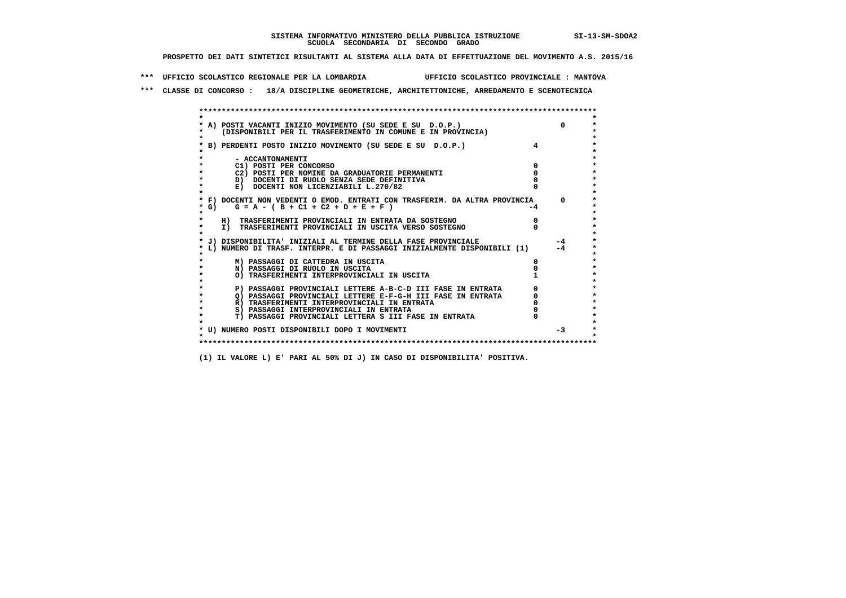**\*\*\* UFFICIO SCOLASTICO REGIONALE PER LA LOMBARDIA UFFICIO SCOLASTICO PROVINCIALE : MANTOVA**

 **\*\*\* CLASSE DI CONCORSO : 18/A DISCIPLINE GEOMETRICHE, ARCHITETTONICHE, ARREDAMENTO E SCENOTECNICA**

| A) POSTI VACANTI INIZIO MOVIMENTO (SU SEDE E SU D.O.P.)                    |    |
|----------------------------------------------------------------------------|----|
| (DISPONIBILI PER IL TRASFERIMENTO IN COMUNE E IN PROVINCIA)                |    |
|                                                                            |    |
| B) PERDENTI POSTO INIZIO MOVIMENTO (SU SEDE E SU D.O.P.)                   |    |
|                                                                            |    |
| - ACCANTONAMENTI                                                           |    |
| C1) POSTI PER CONCORSO                                                     |    |
| C2) POSTI PER NOMINE DA GRADUATORIE PERMANENTI                             |    |
| D) DOCENTI DI RUOLO SENZA SEDE DEFINITIVA                                  |    |
| E) DOCENTI NON LICENZIABILI L.270/82                                       |    |
|                                                                            |    |
| * F) DOCENTI NON VEDENTI O EMOD. ENTRATI CON TRASFERIM. DA ALTRA PROVINCIA |    |
| $G = A - (B + C1 + C2 + D + E + F)$<br>* G) +                              | -4 |
| $\star$                                                                    |    |
| H) TRASFERIMENTI PROVINCIALI IN ENTRATA DA SOSTEGNO                        |    |
| I) TRASFERIMENTI PROVINCIALI IN USCITA VERSO SOSTEGNO                      |    |
|                                                                            |    |
| J) DISPONIBILITA' INIZIALI AL TERMINE DELLA FASE PROVINCIALE               |    |
| L) NUMERO DI TRASF. INTERPR. E DI PASSAGGI INIZIALMENTE DISPONIBILI (1)    |    |
|                                                                            |    |
| M) PASSAGGI DI CATTEDRA IN USCITA                                          |    |
| N) PASSAGGI DI RUOLO IN USCITA                                             |    |
| O) TRASFERIMENTI INTERPROVINCIALI IN USCITA                                |    |
|                                                                            |    |
| P) PASSAGGI PROVINCIALI LETTERE A-B-C-D III FASE IN ENTRATA                |    |
| O) PASSAGGI PROVINCIALI LETTERE E-F-G-H III FASE IN ENTRATA                |    |
| R) TRASFERIMENTI INTERPROVINCIALI IN ENTRATA                               |    |
| S) PASSAGGI INTERPROVINCIALI IN ENTRATA                                    |    |
| T) PASSAGGI PROVINCIALI LETTERA S III FASE IN ENTRATA                      |    |
|                                                                            |    |
| * U) NUMERO POSTI DISPONIBILI DOPO I MOVIMENTI                             |    |
|                                                                            |    |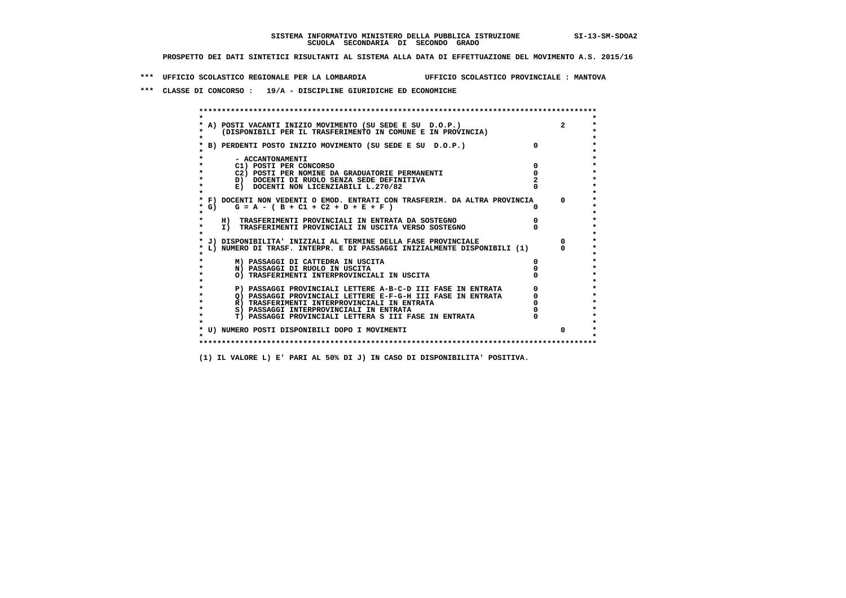**\*\*\* UFFICIO SCOLASTICO REGIONALE PER LA LOMBARDIA UFFICIO SCOLASTICO PROVINCIALE : MANTOVA**

 **\*\*\* CLASSE DI CONCORSO : 19/A - DISCIPLINE GIURIDICHE ED ECONOMICHE**

|        | A) POSTI VACANTI INIZIO MOVIMENTO (SU SEDE E SU D.O.P.)<br>(DISPONIBILI PER IL TRASFERIMENTO IN COMUNE E IN PROVINCIA) | $\overline{2}$ |
|--------|------------------------------------------------------------------------------------------------------------------------|----------------|
|        | B) PERDENTI POSTO INIZIO MOVIMENTO (SU SEDE E SU D.O.P.)                                                               |                |
|        | - ACCANTONAMENTI                                                                                                       |                |
|        | C1) POSTI PER CONCORSO                                                                                                 |                |
|        | C2) POSTI PER NOMINE DA GRADUATORIE PERMANENTI                                                                         |                |
|        | D) DOCENTI DI RUOLO SENZA SEDE DEFINITIVA                                                                              |                |
|        | E) DOCENTI NON LICENZIABILI L.270/82                                                                                   |                |
|        | * F) DOCENTI NON VEDENTI O EMOD. ENTRATI CON TRASFERIM. DA ALTRA PROVINCIA                                             | $\mathsf{n}$   |
| * G) + | $G = A - (B + C1 + C2 + D + E + F)$                                                                                    |                |
|        | H) TRASFERIMENTI PROVINCIALI IN ENTRATA DA SOSTEGNO                                                                    |                |
|        | I) TRASFERIMENTI PROVINCIALI IN USCITA VERSO SOSTEGNO                                                                  |                |
|        | J) DISPONIBILITA' INIZIALI AL TERMINE DELLA FASE PROVINCIALE                                                           |                |
|        | L) NUMERO DI TRASF. INTERPR. E DI PASSAGGI INIZIALMENTE DISPONIBILI (1)                                                |                |
|        | M) PASSAGGI DI CATTEDRA IN USCITA                                                                                      |                |
|        | N) PASSAGGI DI RUOLO IN USCITA                                                                                         |                |
|        | O) TRASFERIMENTI INTERPROVINCIALI IN USCITA                                                                            |                |
|        | P) PASSAGGI PROVINCIALI LETTERE A-B-C-D III FASE IN ENTRATA                                                            |                |
|        | O) PASSAGGI PROVINCIALI LETTERE E-F-G-H III FASE IN ENTRATA                                                            |                |
|        | R) TRASFERIMENTI INTERPROVINCIALI IN ENTRATA                                                                           |                |
|        | S) PASSAGGI INTERPROVINCIALI IN ENTRATA                                                                                |                |
|        | T) PASSAGGI PROVINCIALI LETTERA S III FASE IN ENTRATA                                                                  |                |
|        | * U) NUMERO POSTI DISPONIBILI DOPO I MOVIMENTI                                                                         | 0              |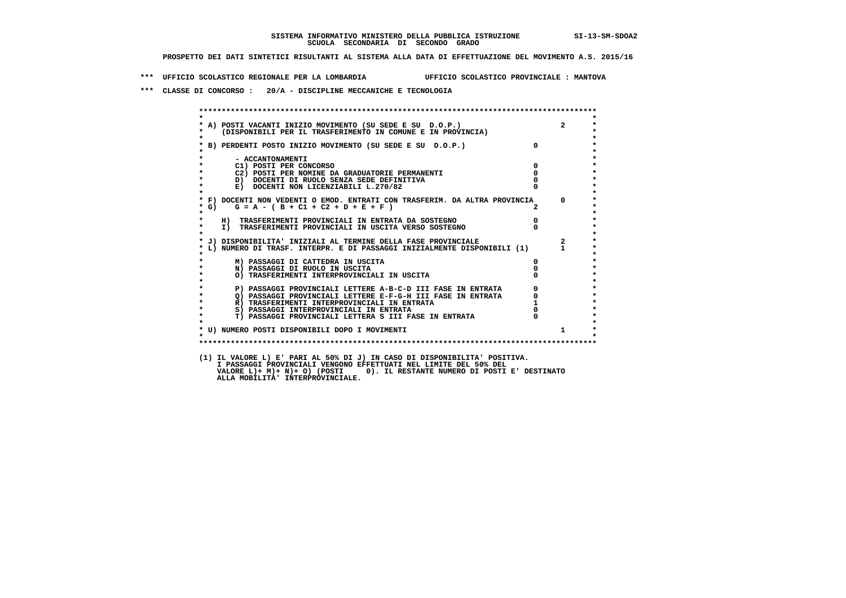**\*\*\* UFFICIO SCOLASTICO REGIONALE PER LA LOMBARDIA UFFICIO SCOLASTICO PROVINCIALE : MANTOVA**

 **\*\*\* CLASSE DI CONCORSO : 20/A - DISCIPLINE MECCANICHE E TECNOLOGIA**

| $\star$                                                                                                                                                                       |                                  |                                                 |
|-------------------------------------------------------------------------------------------------------------------------------------------------------------------------------|----------------------------------|-------------------------------------------------|
| A) POSTI VACANTI INIZIO MOVIMENTO (SU SEDE E SU D.O.P.)<br>(DISPONIBILI PER IL TRASFERIMENTO IN COMUNE E IN PROVINCIA)                                                        |                                  | $2^{\circ}$                                     |
| * B) PERDENTI POSTO INIZIO MOVIMENTO (SU SEDE E SU D.O.P.)                                                                                                                    | $\overline{\mathbf{0}}$          |                                                 |
|                                                                                                                                                                               |                                  |                                                 |
| - ACCANTONAMENTI<br>C1) POSTI PER CONCORSO                                                                                                                                    | $\overline{0}$                   |                                                 |
| C2) POSTI PER NOMINE DA GRADUATORIE PERMANENTI                                                                                                                                | $\Omega$                         |                                                 |
| D) DOCENTI DI RUOLO SENZA SEDE DEFINITIVA                                                                                                                                     |                                  |                                                 |
| $\star$<br>E) DOCENTI NON LICENZIABILI L.270/82                                                                                                                               |                                  |                                                 |
| * F) DOCENTI NON VEDENTI O EMOD. ENTRATI CON TRASFERIM. DA ALTRA PROVINCIA 0                                                                                                  |                                  |                                                 |
| $G = A - (B + C1 + C2 + D + E + F)$<br>$*$ G)<br>$\star$                                                                                                                      |                                  |                                                 |
| H) TRASFERIMENTI PROVINCIALI IN ENTRATA DA SOSTEGNO                                                                                                                           | $\begin{matrix}0\\0\end{matrix}$ |                                                 |
| I) IRASFERIMENTI PROVINCIALI IN ENIRAIA LA SUCCIERNO<br>I) TRASFERIMENTI PROVINCIALI IN USCITA VERSO SOSTEGNO<br>$\star$                                                      |                                  |                                                 |
| * J) DISPONIBILITA' INIZIALI AL TERMINE DELLA FASE PROVINCIALE                                                                                                                |                                  | $\overline{\mathbf{2}}$                         |
| L) NUMERO DI TRASF. INTERPR. E DI PASSAGGI INIZIALMENTE DISPONIBILI (1) 1                                                                                                     |                                  |                                                 |
| M) PASSAGGI DI CATTEDRA IN USCITA                                                                                                                                             | $\mathbf{0}$                     |                                                 |
| $\star$<br>N) PASSAGGI DI RUOLO IN USCITA                                                                                                                                     |                                  |                                                 |
| O) TRASFERIMENTI INTERPROVINCIALI IN USCITA                                                                                                                                   |                                  |                                                 |
|                                                                                                                                                                               |                                  | $\begin{array}{c} 0 \\ 0 \\ 1 \\ 0 \end{array}$ |
| 1) IRSSAGGI PROVINCIALI LETTERE E-F-G-H III FASE IN ENTRATA R) TRASFERIMENTI INTERRE E-F-G-H III FASE IN ENTRATA R) TRASFERIMENTI INTERPROVINCIALI IN ENTRATA S)<br>$\bullet$ |                                  |                                                 |
| $\star$                                                                                                                                                                       |                                  |                                                 |
| $\bullet$<br>S) PASSAGGI INTERPROVINCIALI IN ENTRATA                                                                                                                          |                                  |                                                 |
| T) PASSAGGI PROVINCIALI LETTERA S III FASE IN ENTRATA<br>$\star$                                                                                                              |                                  |                                                 |
| * U) NUMERO POSTI DISPONIBILI DOPO I MOVIMENTI                                                                                                                                |                                  | $\mathbf{1}$                                    |
| $\star$                                                                                                                                                                       |                                  |                                                 |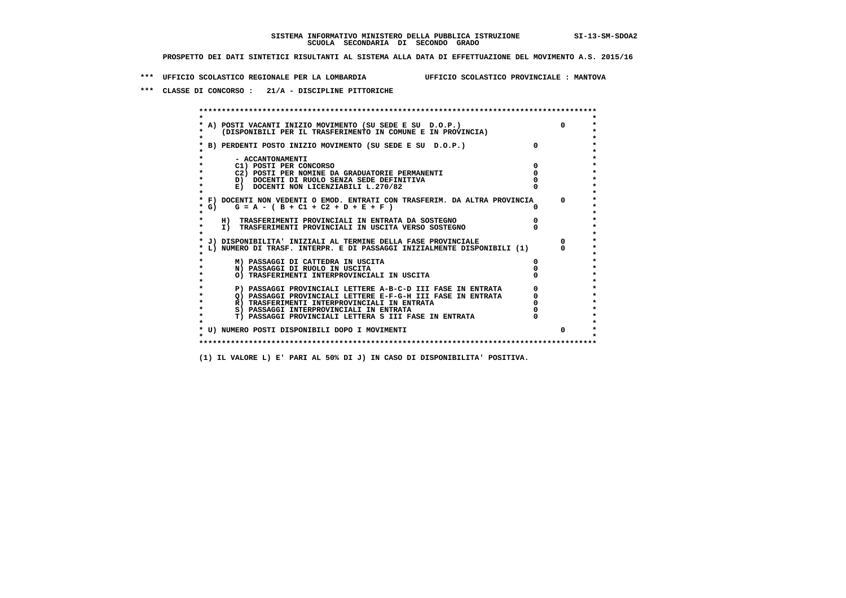**\*\*\* UFFICIO SCOLASTICO REGIONALE PER LA LOMBARDIA UFFICIO SCOLASTICO PROVINCIALE : MANTOVA**

 **\*\*\* CLASSE DI CONCORSO : 21/A - DISCIPLINE PITTORICHE**

| A) POSTI VACANTI INIZIO MOVIMENTO (SU SEDE E SU D.O.P.)<br>(DISPONIBILI PER IL TRASFERIMENTO IN COMUNE E IN PROVINCIA) | $\Omega$     |
|------------------------------------------------------------------------------------------------------------------------|--------------|
| B) PERDENTI POSTO INIZIO MOVIMENTO (SU SEDE E SU D.O.P.)                                                               |              |
| - ACCANTONAMENTI                                                                                                       |              |
| C1) POSTI PER CONCORSO                                                                                                 |              |
| C2) POSTI PER NOMINE DA GRADUATORIE PERMANENTI                                                                         |              |
| D) DOCENTI DI RUOLO SENZA SEDE DEFINITIVA                                                                              |              |
| E) DOCENTI NON LICENZIABILI L.270/82                                                                                   |              |
| * F) DOCENTI NON VEDENTI O EMOD. ENTRATI CON TRASFERIM. DA ALTRA PROVINCIA                                             | $^{\circ}$   |
| * G) $G = A - (B + C1 + C2 + D + E + F)$                                                                               |              |
| H) TRASFERIMENTI PROVINCIALI IN ENTRATA DA SOSTEGNO                                                                    |              |
| I) TRASFERIMENTI PROVINCIALI IN USCITA VERSO SOSTEGNO                                                                  |              |
| J) DISPONIBILITA' INIZIALI AL TERMINE DELLA FASE PROVINCIALE                                                           | $\Omega$     |
| L) NUMERO DI TRASF. INTERPR. E DI PASSAGGI INIZIALMENTE DISPONIBILI (1)                                                |              |
| M) PASSAGGI DI CATTEDRA IN USCITA                                                                                      |              |
| N) PASSAGGI DI RUOLO IN USCITA                                                                                         |              |
| O) TRASFERIMENTI INTERPROVINCIALI IN USCITA                                                                            |              |
| P) PASSAGGI PROVINCIALI LETTERE A-B-C-D III FASE IN ENTRATA                                                            |              |
| O) PASSAGGI PROVINCIALI LETTERE E-F-G-H III FASE IN ENTRATA                                                            |              |
| R) TRASFERIMENTI INTERPROVINCIALI IN ENTRATA                                                                           |              |
| S) PASSAGGI INTERPROVINCIALI IN ENTRATA                                                                                |              |
| T) PASSAGGI PROVINCIALI LETTERA S III FASE IN ENTRATA                                                                  |              |
| * U) NUMERO POSTI DISPONIBILI DOPO I MOVIMENTI                                                                         | <sup>0</sup> |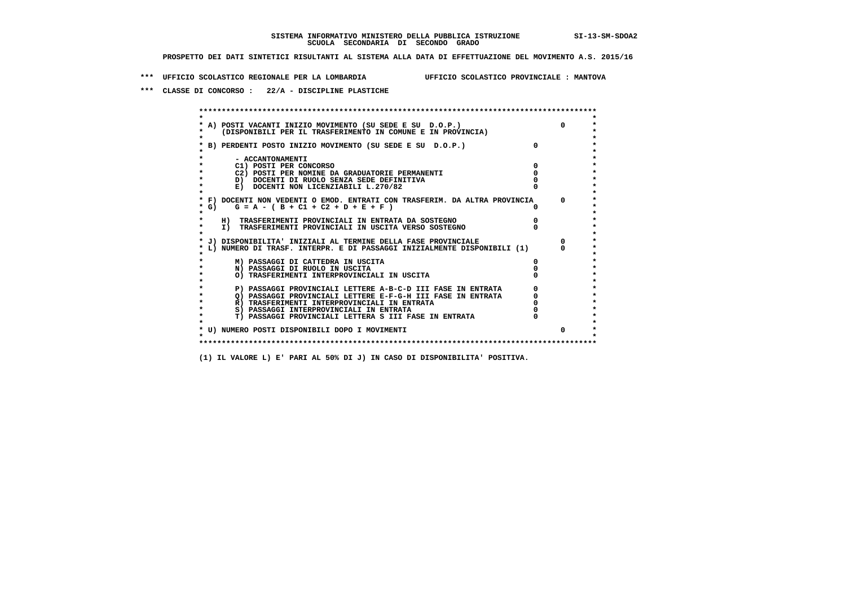**\*\*\* UFFICIO SCOLASTICO REGIONALE PER LA LOMBARDIA UFFICIO SCOLASTICO PROVINCIALE : MANTOVA**

 **\*\*\* CLASSE DI CONCORSO : 22/A - DISCIPLINE PLASTICHE**

 **\*\*\*\*\*\*\*\*\*\*\*\*\*\*\*\*\*\*\*\*\*\*\*\*\*\*\*\*\*\*\*\*\*\*\*\*\*\*\*\*\*\*\*\*\*\*\*\*\*\*\*\*\*\*\*\*\*\*\*\*\*\*\*\*\*\*\*\*\*\*\*\*\*\*\*\*\*\*\*\*\*\*\*\*\*\*\*\* \* \*** $\bullet$  **\* A) POSTI VACANTI INIZIO MOVIMENTO (SU SEDE E SU D.O.P.) 0 \*** $\star$  **\* (DISPONIBILI PER IL TRASFERIMENTO IN COMUNE E IN PROVINCIA) \*** $\bullet$  **\* \* \* B) PERDENTI POSTO INIZIO MOVIMENTO (SU SEDE E SU D.O.P.) 0 \* \* \* \* - ACCANTONAMENTI \* \* C1) POSTI PER CONCORSO 0 \* \* C2) POSTI PER NOMINE DA GRADUATORIE PERMANENTI 0 \*D)** DOCENTI DI RUOLO SENZA SEDE DEFINITIVA  $\overline{a}$  0  $\overline{b}$  0  $\overline{c}$  0  $\overline{c}$  0  $\overline{c}$  0  $\overline{a}$  0  $\overline{c}$ **E) DOCENTI NON LICENZIABILI L.270/82 \* \* \* F) DOCENTI NON VEDENTI O EMOD. ENTRATI CON TRASFERIM. DA ALTRA PROVINCIA 0 \***  $\star$  **G)** G = A - ( B + C1 + C2 + D + E + F )  **\* \* \* H) TRASFERIMENTI PROVINCIALI IN ENTRATA DA SOSTEGNO 0 \* \* I) TRASFERIMENTI PROVINCIALI IN USCITA VERSO SOSTEGNO 0 \* \* \* \* J) DISPONIBILITA' INIZIALI AL TERMINE DELLA FASE PROVINCIALE 0 \* \* L) NUMERO DI TRASF. INTERPR. E DI PASSAGGI INIZIALMENTE DISPONIBILI (1) 0 \* \* \* \* M) PASSAGGI DI CATTEDRA IN USCITA 0 \* \* N) PASSAGGI DI RUOLO IN USCITA 0 \* \* O) TRASFERIMENTI INTERPROVINCIALI IN USCITA 0 \* \* \* P) PASSAGGI PROVINCIALI LETTERE A-B-C-D III FASE IN ENTRATA** 0 <sup>0</sup> **DASSAGGI PROVINCIALI LETTERE E-F-G-H** III FASE IN ENTRATA 0 <sup>0</sup>  $\star$  **\* Q) PASSAGGI PROVINCIALI LETTERE E-F-G-H III FASE IN ENTRATA 0 \*R)** TRASFERIMENTI INTERPROVINCIALI IN ENTRATA  $\begin{bmatrix} 0 & 0 \\ 0 & 0 \\ 0 & 0 \end{bmatrix}$  PASSAGGI INTERPROVINCIALI IN ENTRATA  $\begin{bmatrix} 0 & 0 \\ 0 & 0 \\ 0 & 0 \end{bmatrix}$  **\* S) PASSAGGI INTERPROVINCIALI IN ENTRATA 0 \*** $\ddot{\phantom{1}}$  **\* T) PASSAGGI PROVINCIALI LETTERA S III FASE IN ENTRATA 0 \*** $\star$  **\* \* \* U) NUMERO POSTI DISPONIBILI DOPO I MOVIMENTI 0 \* \* \* \*\*\*\*\*\*\*\*\*\*\*\*\*\*\*\*\*\*\*\*\*\*\*\*\*\*\*\*\*\*\*\*\*\*\*\*\*\*\*\*\*\*\*\*\*\*\*\*\*\*\*\*\*\*\*\*\*\*\*\*\*\*\*\*\*\*\*\*\*\*\*\*\*\*\*\*\*\*\*\*\*\*\*\*\*\*\*\***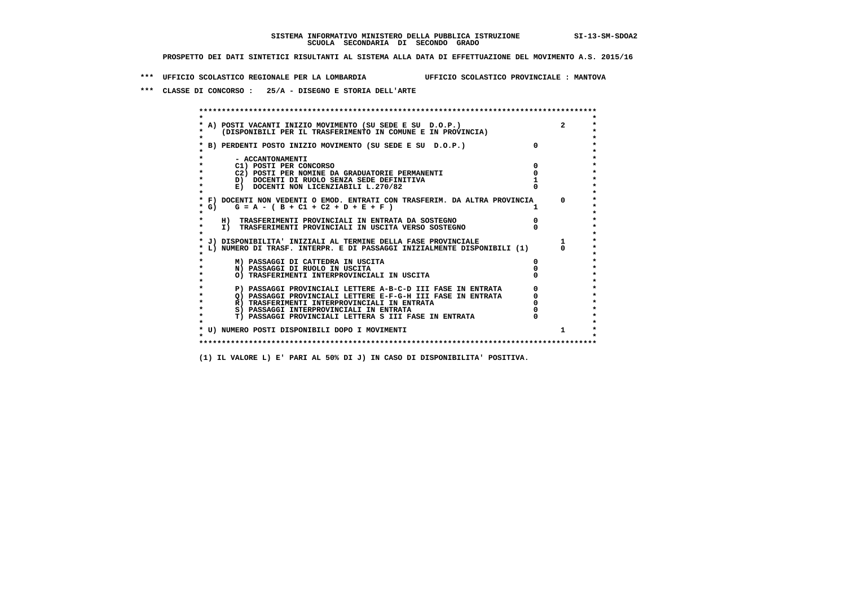**\*\*\* UFFICIO SCOLASTICO REGIONALE PER LA LOMBARDIA UFFICIO SCOLASTICO PROVINCIALE : MANTOVA**

 **\*\*\* CLASSE DI CONCORSO : 25/A - DISEGNO E STORIA DELL'ARTE**

 **\*\*\*\*\*\*\*\*\*\*\*\*\*\*\*\*\*\*\*\*\*\*\*\*\*\*\*\*\*\*\*\*\*\*\*\*\*\*\*\*\*\*\*\*\*\*\*\*\*\*\*\*\*\*\*\*\*\*\*\*\*\*\*\*\*\*\*\*\*\*\*\*\*\*\*\*\*\*\*\*\*\*\*\*\*\*\*\* \* \*** $\bullet$  **\* A) POSTI VACANTI INIZIO MOVIMENTO (SU SEDE E SU D.O.P.) 2 \*** $\star$  **\* (DISPONIBILI PER IL TRASFERIMENTO IN COMUNE E IN PROVINCIA) \*** $\bullet$  **\* \* \* B) PERDENTI POSTO INIZIO MOVIMENTO (SU SEDE E SU D.O.P.) 0 \* \* \* \* - ACCANTONAMENTI \* \* C1) POSTI PER CONCORSO 0 \* \* C2) POSTI PER NOMINE DA GRADUATORIE PERMANENTI 0 \*D)** DOCENTI DI RUOLO SENZA SEDE DEFINITIVA 1<br> **E)** DOCENTI NON LICENZIABILI L. 270/82 0 **E) DOCENTI NON LICENZIABILI L.270/82 \* \* \* F) DOCENTI NON VEDENTI O EMOD. ENTRATI CON TRASFERIM. DA ALTRA PROVINCIA 0 \***  $\star$  **G)** G = A - ( B + C1 + C2 + D + E + F )  **\* \* \* H) TRASFERIMENTI PROVINCIALI IN ENTRATA DA SOSTEGNO 0 \* \* I) TRASFERIMENTI PROVINCIALI IN USCITA VERSO SOSTEGNO 0 \* \* \* \* J) DISPONIBILITA' INIZIALI AL TERMINE DELLA FASE PROVINCIALE 1 \* \* L) NUMERO DI TRASF. INTERPR. E DI PASSAGGI INIZIALMENTE DISPONIBILI (1) 0 \* \* \* \* M) PASSAGGI DI CATTEDRA IN USCITA 0 \* \* N) PASSAGGI DI RUOLO IN USCITA 0 \* \* O) TRASFERIMENTI INTERPROVINCIALI IN USCITA 0 \* \* \* P) PASSAGGI PROVINCIALI LETTERE A-B-C-D III FASE IN ENTRATA** 0 <sup>0</sup> **DASSAGGI PROVINCIALI LETTERE E-F-G-H** III FASE IN ENTRATA 0 <sup>0</sup> **2) PASSAGGI PROVINCIALI LETTERE E-F-G-H III FASE IN ENTRATA 6 0 R**) TRASFERIMENTI INTERPROVINCIALI IN ENTRATA 6 **0 R)** TRASFERIMENTI INTERPROVINCIALI IN ENTRATA  $\begin{bmatrix} 0 & 0 \\ 0 & 0 \\ 0 & 0 \end{bmatrix}$  PASSAGGI INTERPROVINCIALI IN ENTRATA  $\begin{bmatrix} 0 & 0 \\ 0 & 0 \\ 0 & 0 \end{bmatrix}$  **\* S) PASSAGGI INTERPROVINCIALI IN ENTRATA 0 \*** $\ddot{\phantom{1}}$  **\* T) PASSAGGI PROVINCIALI LETTERA S III FASE IN ENTRATA 0 \*** $\star$  **\* \* \* U) NUMERO POSTI DISPONIBILI DOPO I MOVIMENTI 1 \* \* \* \*\*\*\*\*\*\*\*\*\*\*\*\*\*\*\*\*\*\*\*\*\*\*\*\*\*\*\*\*\*\*\*\*\*\*\*\*\*\*\*\*\*\*\*\*\*\*\*\*\*\*\*\*\*\*\*\*\*\*\*\*\*\*\*\*\*\*\*\*\*\*\*\*\*\*\*\*\*\*\*\*\*\*\*\*\*\*\***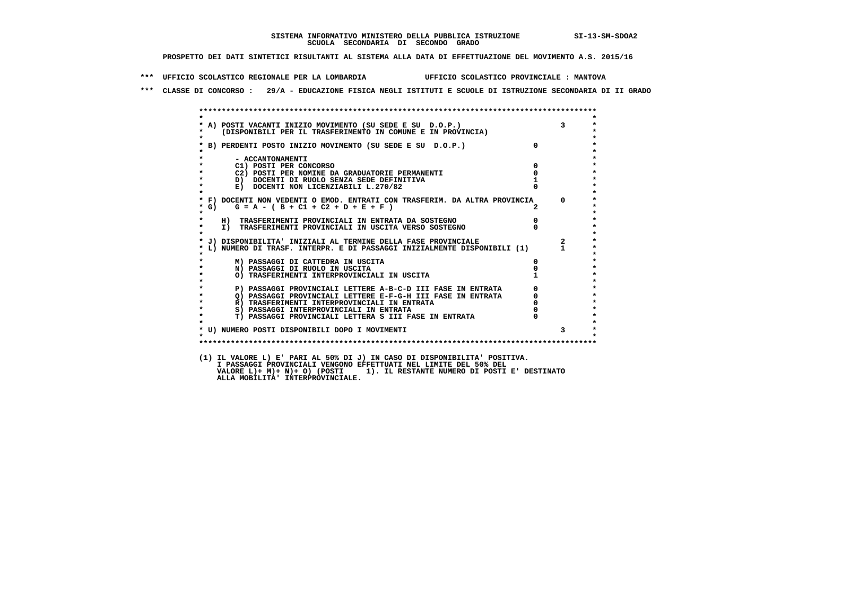**\*\*\* UFFICIO SCOLASTICO REGIONALE PER LA LOMBARDIA UFFICIO SCOLASTICO PROVINCIALE : MANTOVA**

 **\*\*\* CLASSE DI CONCORSO : 29/A - EDUCAZIONE FISICA NEGLI ISTITUTI E SCUOLE DI ISTRUZIONE SECONDARIA DI II GRADO**

| $\star$            |                                                                                                                            |                |                |
|--------------------|----------------------------------------------------------------------------------------------------------------------------|----------------|----------------|
|                    | * A) POSTI VACANTI INIZIO MOVIMENTO (SU SEDE E SU D.O.P.)<br>* (DISPONIBILI PER IL TRASFERIMENTO IN COMUNE E IN PROVINCIA) |                | $3^{\circ}$    |
| $\star$            |                                                                                                                            |                |                |
|                    | * B) PERDENTI POSTO INIZIO MOVIMENTO (SU SEDE E SU D.O.P.)                                                                 | $\overline{0}$ |                |
|                    |                                                                                                                            |                |                |
|                    | - ACCANTONAMENTI                                                                                                           |                |                |
| $\star$<br>$\star$ | C1) POSTI PER CONCORSO                                                                                                     | $\mathbf{0}$   |                |
|                    | C2) POSTI PER NOMINE DA GRADUATORIE PERMANENTI                                                                             | $\mathbf{0}$   |                |
|                    | D) DOCENTI DI RUOLO SENZA SEDE DEFINITIVA<br>E) DOCENTI NON LICENZIABILI L.270/82                                          |                |                |
| $\star$<br>$\star$ |                                                                                                                            |                |                |
|                    | * F) DOCENTI NON VEDENTI O EMOD. ENTRATI CON TRASFERIM. DA ALTRA PROVINCIA                                                 |                | $\Omega$       |
| $*$ G)             | $G = A - (B + C1 + C2 + D + E + F)$                                                                                        |                |                |
| $\star$            |                                                                                                                            |                |                |
| $\star$            | H) TRASFERIMENTI PROVINCIALI IN ENTRATA DA SOSTEGNO                                                                        | $\overline{0}$ |                |
| $\star$<br>$\star$ | I) TRASFERIMENTI PROVINCIALI IN USCITA VERSO SOSTEGNO                                                                      |                |                |
|                    | * J) DISPONIBILITA' INIZIALI AL TERMINE DELLA FASE PROVINCIALE                                                             |                | $\overline{a}$ |
|                    | * L) NUMERO DI TRASF. INTERPR. E DI PASSAGGI INIZIALMENTE DISPONIBILI (1)                                                  |                | $\mathbf{1}$   |
|                    |                                                                                                                            |                |                |
|                    | M) PASSAGGI DI CATTEDRA IN USCITA                                                                                          | 0              |                |
| $\star$            | N) PASSAGGI DI RUOLO IN USCITA                                                                                             |                |                |
|                    | O) TRASFERIMENTI INTERPROVINCIALI IN USCITA                                                                                |                |                |
| $\star$            | P) PASSAGGI PROVINCIALI LETTERE A-B-C-D III FASE IN ENTRATA                                                                | $\Omega$       |                |
| $\star$            | Q) PASSAGGI PROVINCIALI LETTERE E-F-G-H III FASE IN ENTRATA                                                                |                |                |
| $\star$            | R) TRASFERIMENTI INTERPROVINCIALI IN ENTRATA                                                                               |                |                |
| $\star$            | S) PASSAGGI INTERPROVINCIALI IN ENTRATA                                                                                    |                |                |
| $\star$            | T) PASSAGGI PROVINCIALI LETTERA S III FASE IN ENTRATA                                                                      |                |                |
|                    |                                                                                                                            |                |                |
|                    | * U) NUMERO POSTI DISPONIBILI DOPO I MOVIMENTI                                                                             |                |                |
| $\star$            |                                                                                                                            |                |                |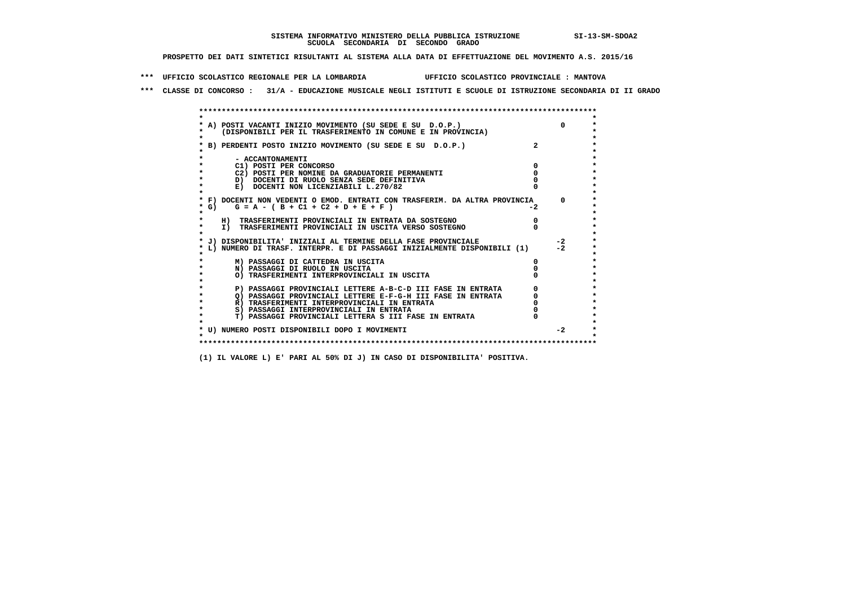**\*\*\* UFFICIO SCOLASTICO REGIONALE PER LA LOMBARDIA UFFICIO SCOLASTICO PROVINCIALE : MANTOVA**

 **\*\*\* CLASSE DI CONCORSO : 31/A - EDUCAZIONE MUSICALE NEGLI ISTITUTI E SCUOLE DI ISTRUZIONE SECONDARIA DI II GRADO**

|            | A) POSTI VACANTI INIZIO MOVIMENTO (SU SEDE E SU D.O.P.)                    |      | $\Omega$ |
|------------|----------------------------------------------------------------------------|------|----------|
|            | (DISPONIBILI PER IL TRASFERIMENTO IN COMUNE E IN PROVINCIA)                |      |          |
|            |                                                                            |      |          |
|            | B) PERDENTI POSTO INIZIO MOVIMENTO (SU SEDE E SU D.O.P.)                   |      |          |
|            |                                                                            |      |          |
|            | - ACCANTONAMENTI                                                           |      |          |
|            | C1) POSTI PER CONCORSO                                                     |      |          |
|            | C2) POSTI PER NOMINE DA GRADUATORIE PERMANENTI                             |      |          |
|            | D) DOCENTI DI RUOLO SENZA SEDE DEFINITIVA                                  |      |          |
|            | E) DOCENTI NON LICENZIABILI L.270/82                                       |      |          |
|            | * F) DOCENTI NON VEDENTI O EMOD. ENTRATI CON TRASFERIM. DA ALTRA PROVINCIA |      | $\Omega$ |
| $\star$ G) | $G = A - (B + C1 + C2 + D + E + F)$                                        | $-2$ |          |
|            |                                                                            |      |          |
|            | H) TRASFERIMENTI PROVINCIALI IN ENTRATA DA SOSTEGNO                        |      |          |
| $\star$    | I) TRASFERIMENTI PROVINCIALI IN USCITA VERSO SOSTEGNO                      |      |          |
|            |                                                                            |      |          |
|            | J) DISPONIBILITA' INIZIALI AL TERMINE DELLA FASE PROVINCIALE               |      | $-2$     |
|            | L) NUMERO DI TRASF. INTERPR. E DI PASSAGGI INIZIALMENTE DISPONIBILI (1)    |      | $-2$     |
|            |                                                                            |      |          |
|            | M) PASSAGGI DI CATTEDRA IN USCITA                                          |      |          |
|            | N) PASSAGGI DI RUOLO IN USCITA                                             |      |          |
|            | O) TRASFERIMENTI INTERPROVINCIALI IN USCITA                                |      |          |
|            |                                                                            |      |          |
|            | P) PASSAGGI PROVINCIALI LETTERE A-B-C-D III FASE IN ENTRATA                |      |          |
|            | O) PASSAGGI PROVINCIALI LETTERE E-F-G-H III FASE IN ENTRATA                |      |          |
|            | R) TRASFERIMENTI INTERPROVINCIALI IN ENTRATA                               |      |          |
|            | S) PASSAGGI INTERPROVINCIALI IN ENTRATA                                    |      |          |
|            | T) PASSAGGI PROVINCIALI LETTERA S III FASE IN ENTRATA                      |      |          |
|            |                                                                            |      | $-2$     |
|            | * U) NUMERO POSTI DISPONIBILI DOPO I MOVIMENTI                             |      |          |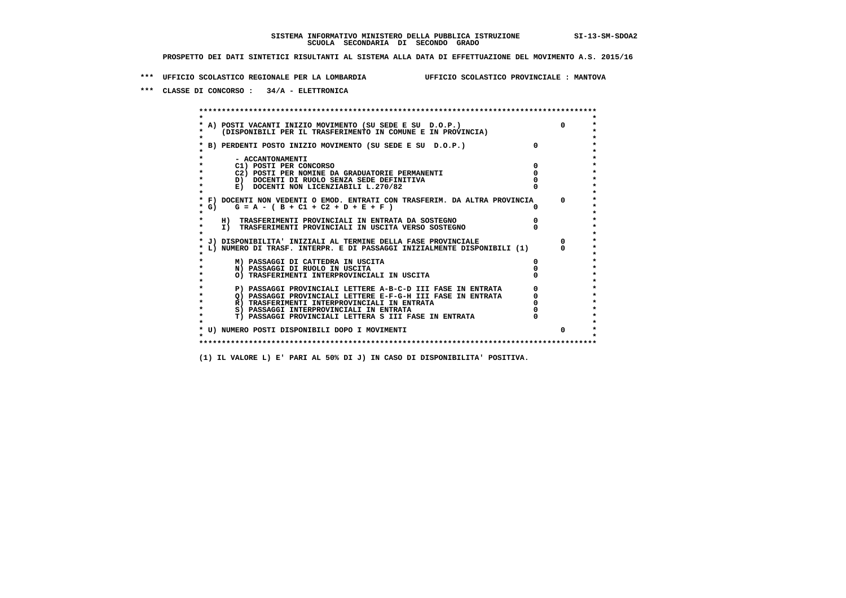**\*\*\* UFFICIO SCOLASTICO REGIONALE PER LA LOMBARDIA UFFICIO SCOLASTICO PROVINCIALE : MANTOVA**

 **\*\*\* CLASSE DI CONCORSO : 34/A - ELETTRONICA**

 **\*\*\*\*\*\*\*\*\*\*\*\*\*\*\*\*\*\*\*\*\*\*\*\*\*\*\*\*\*\*\*\*\*\*\*\*\*\*\*\*\*\*\*\*\*\*\*\*\*\*\*\*\*\*\*\*\*\*\*\*\*\*\*\*\*\*\*\*\*\*\*\*\*\*\*\*\*\*\*\*\*\*\*\*\*\*\*\* \* \*** $\bullet$  **\* A) POSTI VACANTI INIZIO MOVIMENTO (SU SEDE E SU D.O.P.) 0 \*** $\star$  **\* (DISPONIBILI PER IL TRASFERIMENTO IN COMUNE E IN PROVINCIA) \*** $\bullet$  **\* \* \* B) PERDENTI POSTO INIZIO MOVIMENTO (SU SEDE E SU D.O.P.) 0 \* \* \* \* - ACCANTONAMENTI \* \* C1) POSTI PER CONCORSO 0 \* \* C2) POSTI PER NOMINE DA GRADUATORIE PERMANENTI 0 \*D)** DOCENTI DI RUOLO SENZA SEDE DEFINITIVA  $\overline{a}$  0  $\overline{b}$  0  $\overline{c}$  0  $\overline{c}$  0  $\overline{c}$  0  $\overline{a}$  0  $\overline{b}$ **E) DOCENTI NON LICENZIABILI L.270/82 \* \* \* F) DOCENTI NON VEDENTI O EMOD. ENTRATI CON TRASFERIM. DA ALTRA PROVINCIA 0 \***  $\star$  **G)** G = A - ( B + C1 + C2 + D + E + F )  **\* \* \* H) TRASFERIMENTI PROVINCIALI IN ENTRATA DA SOSTEGNO 0 \* \* I) TRASFERIMENTI PROVINCIALI IN USCITA VERSO SOSTEGNO 0 \* \* \* \* J) DISPONIBILITA' INIZIALI AL TERMINE DELLA FASE PROVINCIALE 0 \* \* L) NUMERO DI TRASF. INTERPR. E DI PASSAGGI INIZIALMENTE DISPONIBILI (1) 0 \* \* \* \* M) PASSAGGI DI CATTEDRA IN USCITA 0 \* \* N) PASSAGGI DI RUOLO IN USCITA 0 \* \* O) TRASFERIMENTI INTERPROVINCIALI IN USCITA 0 \* \* \* \* P) PASSAGGI PROVINCIALI LETTERE A-B-C-D III FASE IN ENTRATA 0 \*** $\star$  **\* Q) PASSAGGI PROVINCIALI LETTERE E-F-G-H III FASE IN ENTRATA 0 \*R)** TRASFERIMENTI INTERPROVINCIALI IN ENTRATA  $\begin{bmatrix} 0 & 0 \\ 0 & 0 \\ 0 & 0 \end{bmatrix}$  PASSAGGI INTERPROVINCIALI IN ENTRATA  $\begin{bmatrix} 0 & 0 \\ 0 & 0 \\ 0 & 0 \end{bmatrix}$  **\* S) PASSAGGI INTERPROVINCIALI IN ENTRATA 0 \*** $\ddot{\phantom{1}}$  **\* T) PASSAGGI PROVINCIALI LETTERA S III FASE IN ENTRATA 0 \*** $\star$  **\* \* \* U) NUMERO POSTI DISPONIBILI DOPO I MOVIMENTI 0 \* \* \* \*\*\*\*\*\*\*\*\*\*\*\*\*\*\*\*\*\*\*\*\*\*\*\*\*\*\*\*\*\*\*\*\*\*\*\*\*\*\*\*\*\*\*\*\*\*\*\*\*\*\*\*\*\*\*\*\*\*\*\*\*\*\*\*\*\*\*\*\*\*\*\*\*\*\*\*\*\*\*\*\*\*\*\*\*\*\*\***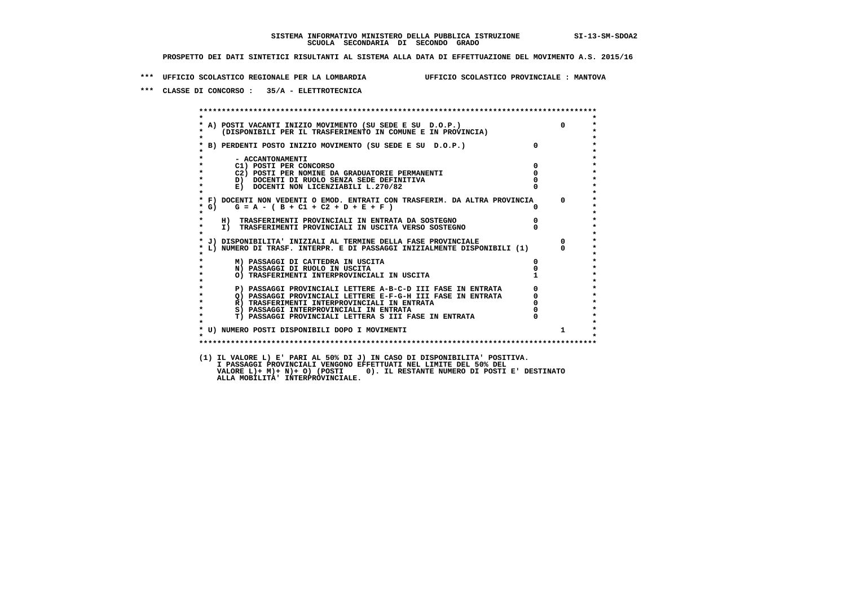**\*\*\* UFFICIO SCOLASTICO REGIONALE PER LA LOMBARDIA UFFICIO SCOLASTICO PROVINCIALE : MANTOVA**

 **\*\*\* CLASSE DI CONCORSO : 35/A - ELETTROTECNICA**

 **\*\*\*\*\*\*\*\*\*\*\*\*\*\*\*\*\*\*\*\*\*\*\*\*\*\*\*\*\*\*\*\*\*\*\*\*\*\*\*\*\*\*\*\*\*\*\*\*\*\*\*\*\*\*\*\*\*\*\*\*\*\*\*\*\*\*\*\*\*\*\*\*\*\*\*\*\*\*\*\*\*\*\*\*\*\*\*\* \* \*** $\bullet$  **\* A) POSTI VACANTI INIZIO MOVIMENTO (SU SEDE E SU D.O.P.) 0 \* \* (DISPONIBILI PER IL TRASFERIMENTO IN COMUNE E IN PROVINCIA) \*** $\bullet$  **\* \* \* B) PERDENTI POSTO INIZIO MOVIMENTO (SU SEDE E SU D.O.P.) 0 \* \* \* \* - ACCANTONAMENTI \* \* C1) POSTI PER CONCORSO 0 \* \* C2) POSTI PER NOMINE DA GRADUATORIE PERMANENTI 0 \*b b** docenti di RUOLO SENZA SEDE DEFINITIVA  $\overline{D}$  **b**  $\overline{D}$  0  $\overline{D}$  0  $\overline{D}$  0  $\overline{D}$  0  $\overline{D}$  0  $\overline{D}$  0  $\overline{D}$  0  $\overline{D}$  0  $\overline{D}$  0  $\overline{D}$  0  $\overline{D}$  0  $\overline{D}$  0  $\overline{D}$  0  $\overline{D}$  0  $\overline{D}$ **E) DOCENTI NON LICENZIABILI L.270/82 \* \* \* F) DOCENTI NON VEDENTI O EMOD. ENTRATI CON TRASFERIM. DA ALTRA PROVINCIA 0 \***  $\star$  **G)** G = A - ( B + C1 + C2 + D + E + F )  **\* \* \* H) TRASFERIMENTI PROVINCIALI IN ENTRATA DA SOSTEGNO 0 \* \* I) TRASFERIMENTI PROVINCIALI IN USCITA VERSO SOSTEGNO 0 \* \* \* \* J) DISPONIBILITA' INIZIALI AL TERMINE DELLA FASE PROVINCIALE 0 \* \* L) NUMERO DI TRASF. INTERPR. E DI PASSAGGI INIZIALMENTE DISPONIBILI (1) 0 \* \* \* \* M) PASSAGGI DI CATTEDRA IN USCITA 0 \* \* N) PASSAGGI DI RUOLO IN USCITA 0 \*O) TRASFERIMENTI INTERPROVINCIALI IN USCITA \* \* P) PASSAGGI PROVINCIALI LETTERE A-B-C-D III FASE IN ENTRATA** 0 <sup>0</sup> **DASSAGGI PROVINCIALI LETTERE E-F-G-H** III FASE IN ENTRATA 0 <sup>0</sup> **2) PASSAGGI PROVINCIALI LETTERE E-F-G-H III FASE IN ENTRATA 6 0 R**) TRASFERIMENTI INTERPROVINCIALI IN ENTRATA 6 **0 R)** TRASFERIMENTI INTERPROVINCIALI IN ENTRATA  $\begin{bmatrix} 0 & 0 \\ 0 & 0 \\ 0 & 0 \end{bmatrix}$  PASSAGGI INTERPROVINCIALI IN ENTRATA  $\begin{bmatrix} 0 & 0 \\ 0 & 0 \\ 0 & 0 \end{bmatrix}$  **\* S) PASSAGGI INTERPROVINCIALI IN ENTRATA 0 \*** $\ddot{\phantom{1}}$  **\* T) PASSAGGI PROVINCIALI LETTERA S III FASE IN ENTRATA 0 \*** $\star$  **\* \*** $\star$  **\* U) NUMERO POSTI DISPONIBILI DOPO I MOVIMENTI 1 \* \* \* \*\*\*\*\*\*\*\*\*\*\*\*\*\*\*\*\*\*\*\*\*\*\*\*\*\*\*\*\*\*\*\*\*\*\*\*\*\*\*\*\*\*\*\*\*\*\*\*\*\*\*\*\*\*\*\*\*\*\*\*\*\*\*\*\*\*\*\*\*\*\*\*\*\*\*\*\*\*\*\*\*\*\*\*\*\*\*\* (1) IL VALORE L) E' PARI AL 50% DI J) IN CASO DI DISPONIBILITA' POSITIVA. I PASSAGGI PROVINCIALI VENGONO EFFETTUATI NEL LIMITE DEL 50% DEL VALORE L)+ M)+ N)+ O) (POSTI 0). IL RESTANTE NUMERO DI POSTI E' DESTINATO ALLA MOBILITA' INTERPROVINCIALE.**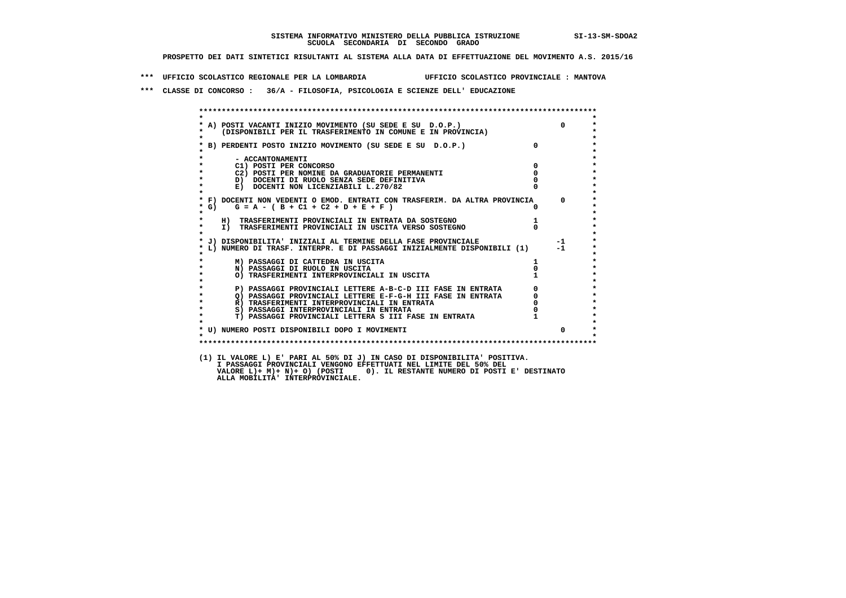**\*\*\* UFFICIO SCOLASTICO REGIONALE PER LA LOMBARDIA UFFICIO SCOLASTICO PROVINCIALE : MANTOVA**

 **\*\*\* CLASSE DI CONCORSO : 36/A - FILOSOFIA, PSICOLOGIA E SCIENZE DELL' EDUCAZIONE**

 **\*\*\*\*\*\*\*\*\*\*\*\*\*\*\*\*\*\*\*\*\*\*\*\*\*\*\*\*\*\*\*\*\*\*\*\*\*\*\*\*\*\*\*\*\*\*\*\*\*\*\*\*\*\*\*\*\*\*\*\*\*\*\*\*\*\*\*\*\*\*\*\*\*\*\*\*\*\*\*\*\*\*\*\*\*\*\*\* \* \* \* A) POSTI VACANTI INIZIO MOVIMENTO (SU SEDE E SU D.O.P.) 0 \* \* (DISPONIBILI PER IL TRASFERIMENTO IN COMUNE E IN PROVINCIA) \* \* \* \* B) PERDENTI POSTO INIZIO MOVIMENTO (SU SEDE E SU D.O.P.) 0 \* \* \* \* - ACCANTONAMENTI \* \* C1) POSTI PER CONCORSO 0 \* \* C2) POSTI PER NOMINE DA GRADUATORIE PERMANENTI 0 \*b**  $\overline{D}$  **docenti di RUOLO SENZA SEDE DEFINITIVA**  $\overline{D}$  **0**  $\overline{D}$  **0**  $\overline{D}$  **0**  $\overline{D}$  **0**  $\overline{D}$  **0**  $\overline{D}$  **0**  $\overline{D}$  **0**  $\overline{D}$  **0**  $\overline{D}$  **0**  $\overline{D}$  **0**  $\overline{D}$  **0**  $\overline{D}$  **0**  $\overline{D}$  **0 E) DOCENTI NON LICENZIABILI L.270/82 \* \* \* F) DOCENTI NON VEDENTI O EMOD. ENTRATI CON TRASFERIM. DA ALTRA PROVINCIA 0 \* \* G) G = A - ( B + C1 + C2 + D + E + F ) 0 \* \* \* \* H) TRASFERIMENTI PROVINCIALI IN ENTRATA DA SOSTEGNO 1 \* \* I) TRASFERIMENTI PROVINCIALI IN USCITA VERSO SOSTEGNO 0 \* \* \* \* J) DISPONIBILITA' INIZIALI AL TERMINE DELLA FASE PROVINCIALE -1 \* \* L) NUMERO DI TRASF. INTERPR. E DI PASSAGGI INIZIALMENTE DISPONIBILI (1) -1 \* \* \* \* M) PASSAGGI DI CATTEDRA IN USCITA 1 \* \* N) PASSAGGI DI RUOLO IN USCITA 0 \*O) TRASFERIMENTI INTERPROVINCIALI IN USCITA \* \* P) PASSAGGI PROVINCIALI LETTERE A-B-C-D III FASE IN ENTRATA** 0 <sup>0</sup> **DASSAGGI PROVINCIALI LETTERE E-F-G-H** III FASE IN ENTRATA 0 <sup>0</sup> **2) PASSAGGI PROVINCIALI LETTERE E-F-G-H III FASE IN ENTRATA 6 0 R**) TRASFERIMENTI INTERPROVINCIALI IN ENTRATA 6 **0 R**) TRASFERIMENTI INTERPROVINCIALI IN ENTRATA  $\begin{bmatrix} 0 & 0 \\ 0 & 0 \\ 0 & 0 \end{bmatrix}$ **8) PASSAGGI INTERPROVINCIALI IN ENTRATA**  $\ddot{\phantom{1}}$  **\* T) PASSAGGI PROVINCIALI LETTERA S III FASE IN ENTRATA 1 \*** $\star$  **\* \* \* U) NUMERO POSTI DISPONIBILI DOPO I MOVIMENTI 0 \* \* \* \*\*\*\*\*\*\*\*\*\*\*\*\*\*\*\*\*\*\*\*\*\*\*\*\*\*\*\*\*\*\*\*\*\*\*\*\*\*\*\*\*\*\*\*\*\*\*\*\*\*\*\*\*\*\*\*\*\*\*\*\*\*\*\*\*\*\*\*\*\*\*\*\*\*\*\*\*\*\*\*\*\*\*\*\*\*\*\* (1) IL VALORE L) E' PARI AL 50% DI J) IN CASO DI DISPONIBILITA' POSITIVA. I PASSAGGI PROVINCIALI VENGONO EFFETTUATI NEL LIMITE DEL 50% DEL VALORE L)+ M)+ N)+ O) (POSTI 0). IL RESTANTE NUMERO DI POSTI E' DESTINATO ALLA MOBILITA' INTERPROVINCIALE.**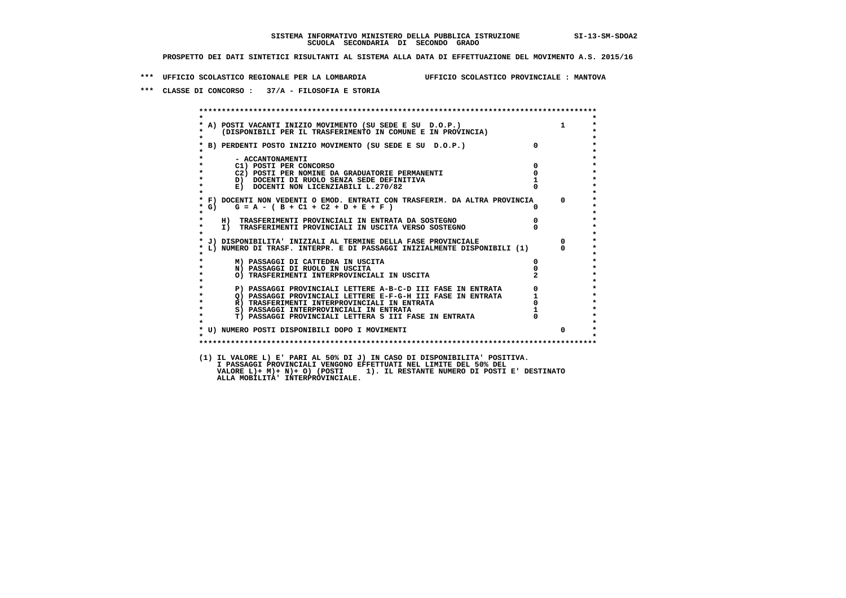**\*\*\* UFFICIO SCOLASTICO REGIONALE PER LA LOMBARDIA UFFICIO SCOLASTICO PROVINCIALE : MANTOVA**

 **\*\*\* CLASSE DI CONCORSO : 37/A - FILOSOFIA E STORIA**

|                                            | A) POSTI VACANTI INIZIO MOVIMENTO (SU SEDE E SU D.O.P.)<br>(DISPONIBILI PER IL TRASFERIMENTO IN COMUNE E IN PROVINCIA)     |                | $\mathbf{1}$                                    |
|--------------------------------------------|----------------------------------------------------------------------------------------------------------------------------|----------------|-------------------------------------------------|
|                                            | * B) PERDENTI POSTO INIZIO MOVIMENTO (SU SEDE E SU D.O.P.)                                                                 | $\overline{0}$ |                                                 |
| - ACCANTONAMENTI<br>C1) POSTI PER CONCORSO |                                                                                                                            | $\overline{0}$ |                                                 |
|                                            | C2) POSTI PER NOMINE DA GRADUATORIE PERMANENTI                                                                             | $\mathbf{0}$   |                                                 |
|                                            | D) DOCENTI DI RUOLO SENZA SEDE DEFINITIVA                                                                                  |                |                                                 |
|                                            | E) DOCENTI NON LICENZIABILI L.270/82                                                                                       |                |                                                 |
| $*$ G)                                     | * F) DOCENTI NON VEDENTI O EMOD. ENTRATI CON TRASFERIM. DA ALTRA PROVINCIA<br>$G = A - (B + C1 + C2 + D + E + F)$          | $\mathsf{n}$   | $\overline{0}$                                  |
|                                            | H) TRASFERIMENTI PROVINCIALI IN ENTRATA DA SOSTEGNO                                                                        | $\overline{0}$ |                                                 |
|                                            | I) TRASFERIMENTI PROVINCIALI IN USCITA VERSO SOSTEGNO                                                                      |                |                                                 |
|                                            | * J) DISPONIBILITA' INIZIALI AL TERMINE DELLA FASE PROVINCIALE                                                             |                | $\Omega$                                        |
|                                            | L) NUMERO DI TRASF. INTERPR. E DI PASSAGGI INIZIALMENTE DISPONIBILI (1)                                                    |                | $\Omega$                                        |
|                                            | M) PASSAGGI DI CATTEDRA IN USCITA                                                                                          | $\mathbf{0}$   |                                                 |
|                                            | N) PASSAGGI DI RUOLO IN USCITA                                                                                             |                |                                                 |
|                                            | O) TRASFERIMENTI INTERPROVINCIALI IN USCITA                                                                                |                |                                                 |
|                                            | P) PASSAGGI PROVINCIALI LETTERE A-B-C-D III FASE IN ENTRATA                                                                |                | $\begin{array}{c} 0 \\ 1 \\ 0 \\ 1 \end{array}$ |
|                                            | P) PASSAGGI PROVINCIALI LETTERE A-B-C-D III FASE IN ENIRAIA Q) PASSAGGI PROVINCIALI LETTERE E-G-G-H III FASE IN ENTRATA Q) |                |                                                 |
|                                            |                                                                                                                            |                |                                                 |
|                                            | S) PASSAGGI INTERPROVINCIALI IN ENTRATA                                                                                    |                |                                                 |
|                                            | T) PASSAGGI PROVINCIALI LETTERA S III FASE IN ENTRATA                                                                      |                |                                                 |
|                                            | * U) NUMERO POSTI DISPONIBILI DOPO I MOVIMENTI                                                                             |                | $\Omega$                                        |
|                                            |                                                                                                                            |                |                                                 |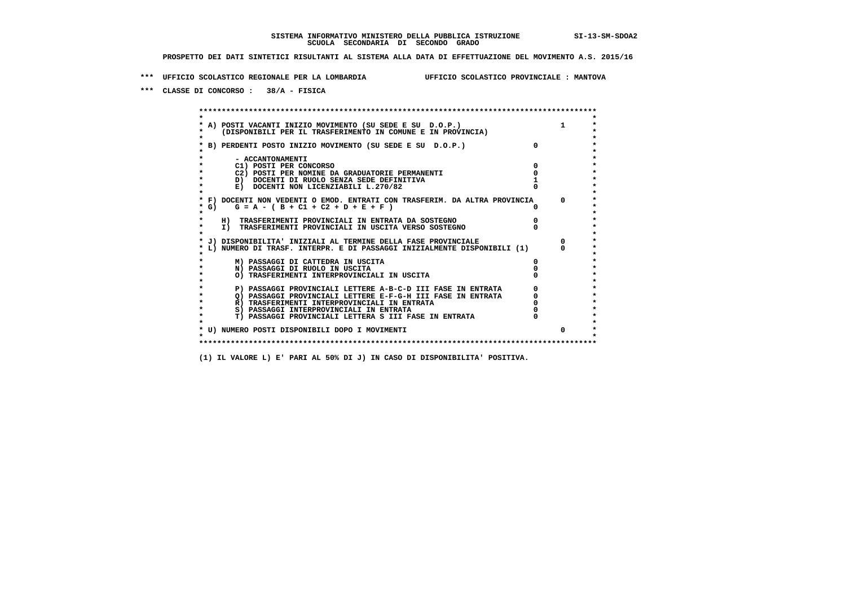**\*\*\* UFFICIO SCOLASTICO REGIONALE PER LA LOMBARDIA UFFICIO SCOLASTICO PROVINCIALE : MANTOVA**

 **\*\*\* CLASSE DI CONCORSO : 38/A - FISICA**

 **\*\*\*\*\*\*\*\*\*\*\*\*\*\*\*\*\*\*\*\*\*\*\*\*\*\*\*\*\*\*\*\*\*\*\*\*\*\*\*\*\*\*\*\*\*\*\*\*\*\*\*\*\*\*\*\*\*\*\*\*\*\*\*\*\*\*\*\*\*\*\*\*\*\*\*\*\*\*\*\*\*\*\*\*\*\*\*\* \* \*** $\bullet$  **\* A) POSTI VACANTI INIZIO MOVIMENTO (SU SEDE E SU D.O.P.) 1 \*** $\star$  **\* (DISPONIBILI PER IL TRASFERIMENTO IN COMUNE E IN PROVINCIA) \*** $\bullet$  **\* \* \* B) PERDENTI POSTO INIZIO MOVIMENTO (SU SEDE E SU D.O.P.) 0 \* \* \* \* - ACCANTONAMENTI \* \* C1) POSTI PER CONCORSO 0 \* \* C2) POSTI PER NOMINE DA GRADUATORIE PERMANENTI 0 \*D)** DOCENTI DI RUOLO SENZA SEDE DEFINITIVA 1<br> **E)** DOCENTI NON LICENZIABILI L. 270/82 0 **E) DOCENTI NON LICENZIABILI L.270/82 \* \* \* F) DOCENTI NON VEDENTI O EMOD. ENTRATI CON TRASFERIM. DA ALTRA PROVINCIA 0 \* \* G) G = A - ( B + C1 + C2 + D + E + F ) 0 \* \* \* \* H) TRASFERIMENTI PROVINCIALI IN ENTRATA DA SOSTEGNO 0 \* \* I) TRASFERIMENTI PROVINCIALI IN USCITA VERSO SOSTEGNO 0 \* \* \* \* J) DISPONIBILITA' INIZIALI AL TERMINE DELLA FASE PROVINCIALE 0 \* \* L) NUMERO DI TRASF. INTERPR. E DI PASSAGGI INIZIALMENTE DISPONIBILI (1) 0 \* \* \* \* M) PASSAGGI DI CATTEDRA IN USCITA 0 \* \* N) PASSAGGI DI RUOLO IN USCITA 0 \* \* O) TRASFERIMENTI INTERPROVINCIALI IN USCITA 0 \* \* \* P) PASSAGGI PROVINCIALI LETTERE A-B-C-D III FASE IN ENTRATA** 0 <sup>0</sup> **DASSAGGI PROVINCIALI LETTERE E-F-G-H** III FASE IN ENTRATA 0 <sup>0</sup>  $\star$  **\* Q) PASSAGGI PROVINCIALI LETTERE E-F-G-H III FASE IN ENTRATA 0 \*R)** TRASFERIMENTI INTERPROVINCIALI IN ENTRATA  $\begin{bmatrix} 0 & 0 \\ 0 & 0 \\ 0 & 0 \end{bmatrix}$  PASSAGGI INTERPROVINCIALI IN ENTRATA  $\begin{bmatrix} 0 & 0 \\ 0 & 0 \\ 0 & 0 \end{bmatrix}$  **\* S) PASSAGGI INTERPROVINCIALI IN ENTRATA 0 \*** $\ddot{\phantom{1}}$  **\* T) PASSAGGI PROVINCIALI LETTERA S III FASE IN ENTRATA 0 \*** $\star$  **\* \* \* U) NUMERO POSTI DISPONIBILI DOPO I MOVIMENTI 0 \* \* \* \*\*\*\*\*\*\*\*\*\*\*\*\*\*\*\*\*\*\*\*\*\*\*\*\*\*\*\*\*\*\*\*\*\*\*\*\*\*\*\*\*\*\*\*\*\*\*\*\*\*\*\*\*\*\*\*\*\*\*\*\*\*\*\*\*\*\*\*\*\*\*\*\*\*\*\*\*\*\*\*\*\*\*\*\*\*\*\***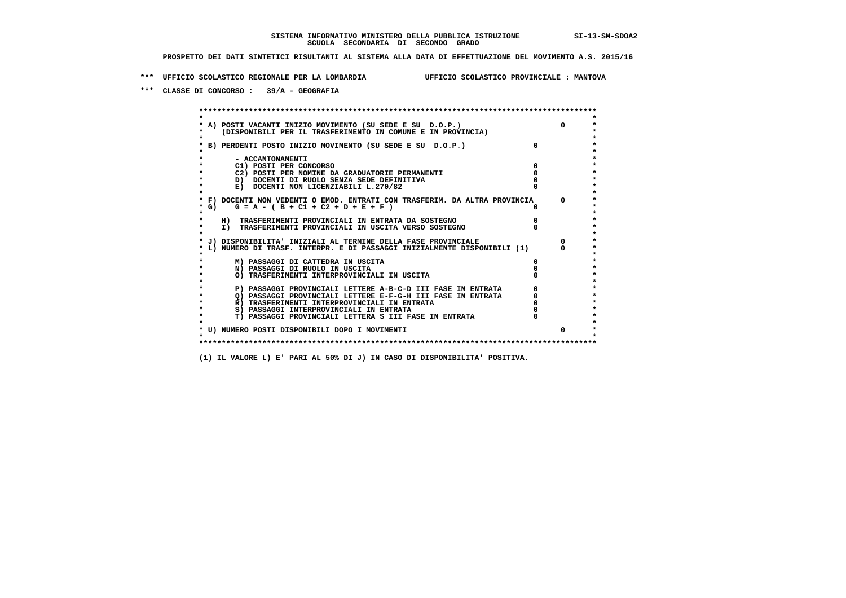**\*\*\* UFFICIO SCOLASTICO REGIONALE PER LA LOMBARDIA UFFICIO SCOLASTICO PROVINCIALE : MANTOVA**

 **\*\*\* CLASSE DI CONCORSO : 39/A - GEOGRAFIA**

 **\*\*\*\*\*\*\*\*\*\*\*\*\*\*\*\*\*\*\*\*\*\*\*\*\*\*\*\*\*\*\*\*\*\*\*\*\*\*\*\*\*\*\*\*\*\*\*\*\*\*\*\*\*\*\*\*\*\*\*\*\*\*\*\*\*\*\*\*\*\*\*\*\*\*\*\*\*\*\*\*\*\*\*\*\*\*\*\* \* \*** $\bullet$  **\* A) POSTI VACANTI INIZIO MOVIMENTO (SU SEDE E SU D.O.P.) 0 \*** $\star$  **\* (DISPONIBILI PER IL TRASFERIMENTO IN COMUNE E IN PROVINCIA) \*** $\bullet$  **\* \* \* B) PERDENTI POSTO INIZIO MOVIMENTO (SU SEDE E SU D.O.P.) 0 \* \* \* \* - ACCANTONAMENTI \* \* C1) POSTI PER CONCORSO 0 \* \* C2) POSTI PER NOMINE DA GRADUATORIE PERMANENTI 0 \*D)** DOCENTI DI RUOLO SENZA SEDE DEFINITIVA  $\overline{a}$  0  $\overline{b}$  0  $\overline{c}$  0  $\overline{c}$  0  $\overline{c}$  0  $\overline{a}$  0  $\overline{b}$ **E) DOCENTI NON LICENZIABILI L.270/82 \* \* \* F) DOCENTI NON VEDENTI O EMOD. ENTRATI CON TRASFERIM. DA ALTRA PROVINCIA 0 \***  $\star$  **G)** G = A - ( B + C1 + C2 + D + E + F )  **\* \* \* H) TRASFERIMENTI PROVINCIALI IN ENTRATA DA SOSTEGNO 0 \* \* I) TRASFERIMENTI PROVINCIALI IN USCITA VERSO SOSTEGNO 0 \* \* \* \* J) DISPONIBILITA' INIZIALI AL TERMINE DELLA FASE PROVINCIALE 0 \* \* L) NUMERO DI TRASF. INTERPR. E DI PASSAGGI INIZIALMENTE DISPONIBILI (1) 0 \* \* \* \* M) PASSAGGI DI CATTEDRA IN USCITA 0 \* \* N) PASSAGGI DI RUOLO IN USCITA 0 \* \* O) TRASFERIMENTI INTERPROVINCIALI IN USCITA 0 \* \* \* \* P) PASSAGGI PROVINCIALI LETTERE A-B-C-D III FASE IN ENTRATA 0 \*** $\star$  **\* Q) PASSAGGI PROVINCIALI LETTERE E-F-G-H III FASE IN ENTRATA 0 \*R)** TRASFERIMENTI INTERPROVINCIALI IN ENTRATA  $\begin{bmatrix} 0 & 0 \\ 0 & 0 \\ 0 & 0 \end{bmatrix}$  PASSAGGI INTERPROVINCIALI IN ENTRATA  $\begin{bmatrix} 0 & 0 \\ 0 & 0 \\ 0 & 0 \end{bmatrix}$  **\* S) PASSAGGI INTERPROVINCIALI IN ENTRATA 0 \*** $\ddot{\phantom{1}}$  **\* T) PASSAGGI PROVINCIALI LETTERA S III FASE IN ENTRATA 0 \*** $\star$  **\* \* \* U) NUMERO POSTI DISPONIBILI DOPO I MOVIMENTI 0 \* \* \* \*\*\*\*\*\*\*\*\*\*\*\*\*\*\*\*\*\*\*\*\*\*\*\*\*\*\*\*\*\*\*\*\*\*\*\*\*\*\*\*\*\*\*\*\*\*\*\*\*\*\*\*\*\*\*\*\*\*\*\*\*\*\*\*\*\*\*\*\*\*\*\*\*\*\*\*\*\*\*\*\*\*\*\*\*\*\*\***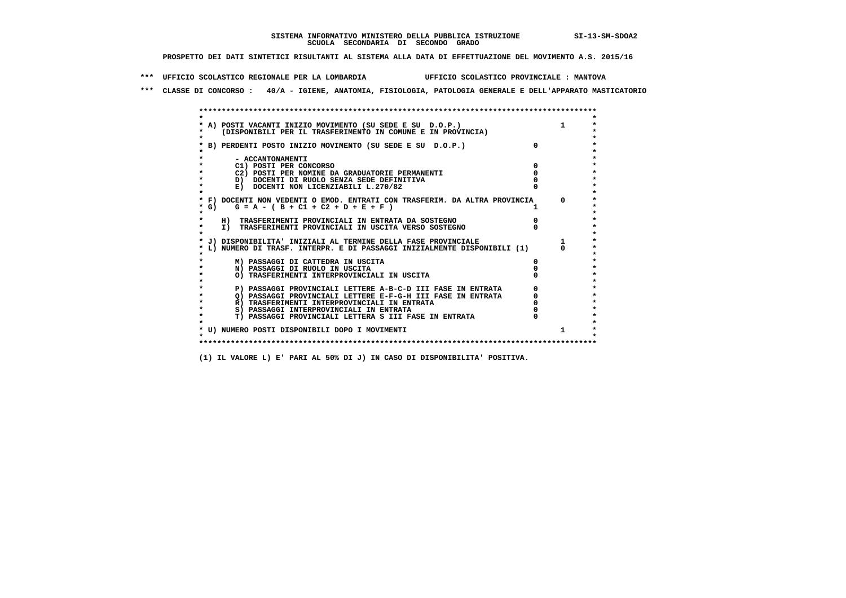**\*\*\* UFFICIO SCOLASTICO REGIONALE PER LA LOMBARDIA UFFICIO SCOLASTICO PROVINCIALE : MANTOVA**

 **\*\*\* CLASSE DI CONCORSO : 40/A - IGIENE, ANATOMIA, FISIOLOGIA, PATOLOGIA GENERALE E DELL'APPARATO MASTICATORIO**

|         | A) POSTI VACANTI INIZIO MOVIMENTO (SU SEDE E SU D.O.P.)                    |  |
|---------|----------------------------------------------------------------------------|--|
|         | (DISPONIBILI PER IL TRASFERIMENTO IN COMUNE E IN PROVINCIA)                |  |
|         |                                                                            |  |
|         | B) PERDENTI POSTO INIZIO MOVIMENTO (SU SEDE E SU D.O.P.)                   |  |
|         |                                                                            |  |
|         | - ACCANTONAMENTI                                                           |  |
|         | C1) POSTI PER CONCORSO                                                     |  |
|         | C2) POSTI PER NOMINE DA GRADUATORIE PERMANENTI                             |  |
|         | D) DOCENTI DI RUOLO SENZA SEDE DEFINITIVA                                  |  |
|         | E) DOCENTI NON LICENZIABILI L.270/82                                       |  |
|         | * F) DOCENTI NON VEDENTI O EMOD. ENTRATI CON TRASFERIM. DA ALTRA PROVINCIA |  |
| * G) =  | $G = A - (B + C1 + C2 + D + E + F)$                                        |  |
| $\star$ |                                                                            |  |
|         | H) TRASFERIMENTI PROVINCIALI IN ENTRATA DA SOSTEGNO                        |  |
| $\star$ | I) TRASFERIMENTI PROVINCIALI IN USCITA VERSO SOSTEGNO                      |  |
|         |                                                                            |  |
|         | J) DISPONIBILITA' INIZIALI AL TERMINE DELLA FASE PROVINCIALE               |  |
|         | L) NUMERO DI TRASF. INTERPR. E DI PASSAGGI INIZIALMENTE DISPONIBILI (1)    |  |
|         | M) PASSAGGI DI CATTEDRA IN USCITA                                          |  |
|         | N) PASSAGGI DI RUOLO IN USCITA                                             |  |
|         | O) TRASFERIMENTI INTERPROVINCIALI IN USCITA                                |  |
|         |                                                                            |  |
|         | P) PASSAGGI PROVINCIALI LETTERE A-B-C-D III FASE IN ENTRATA                |  |
|         | O) PASSAGGI PROVINCIALI LETTERE E-F-G-H III FASE IN ENTRATA                |  |
|         | R) TRASFERIMENTI INTERPROVINCIALI IN ENTRATA                               |  |
|         | S) PASSAGGI INTERPROVINCIALI IN ENTRATA                                    |  |
|         | T) PASSAGGI PROVINCIALI LETTERA S III FASE IN ENTRATA                      |  |
|         |                                                                            |  |
|         | * U) NUMERO POSTI DISPONIBILI DOPO I MOVIMENTI                             |  |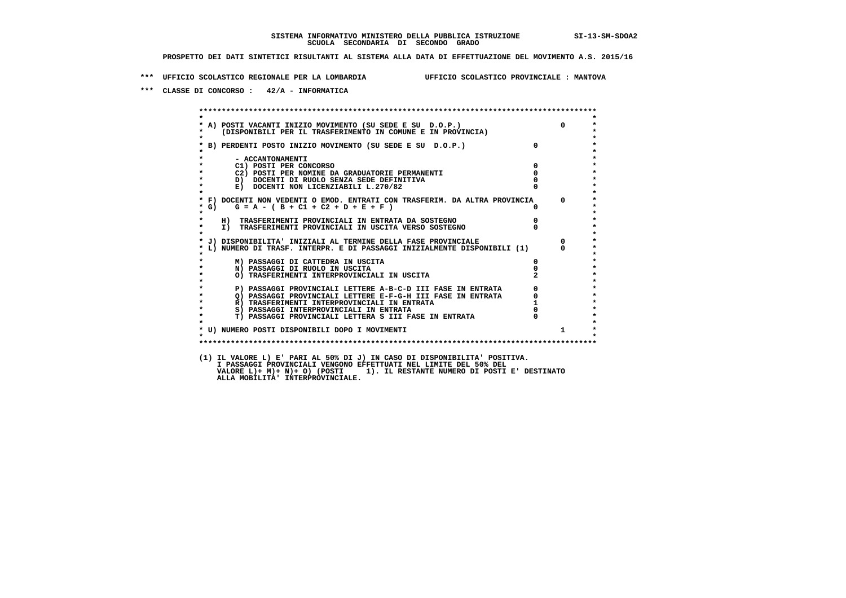**\*\*\* UFFICIO SCOLASTICO REGIONALE PER LA LOMBARDIA UFFICIO SCOLASTICO PROVINCIALE : MANTOVA**

 **\*\*\* CLASSE DI CONCORSO : 42/A - INFORMATICA**

 **\*\*\*\*\*\*\*\*\*\*\*\*\*\*\*\*\*\*\*\*\*\*\*\*\*\*\*\*\*\*\*\*\*\*\*\*\*\*\*\*\*\*\*\*\*\*\*\*\*\*\*\*\*\*\*\*\*\*\*\*\*\*\*\*\*\*\*\*\*\*\*\*\*\*\*\*\*\*\*\*\*\*\*\*\*\*\*\* \* \*** $\bullet$  **\* A) POSTI VACANTI INIZIO MOVIMENTO (SU SEDE E SU D.O.P.) 0 \* \* (DISPONIBILI PER IL TRASFERIMENTO IN COMUNE E IN PROVINCIA) \*** $\bullet$  **\* \* \* B) PERDENTI POSTO INIZIO MOVIMENTO (SU SEDE E SU D.O.P.) 0 \* \* \* \* - ACCANTONAMENTI \* \* C1) POSTI PER CONCORSO 0 \* \* C2) POSTI PER NOMINE DA GRADUATORIE PERMANENTI 0 \*b b** docenti di RUOLO SENZA SEDE DEFINITIVA  $\overline{D}$  **b**  $\overline{D}$  0  $\overline{D}$  0  $\overline{D}$  0  $\overline{D}$  0  $\overline{D}$  0  $\overline{D}$  0  $\overline{D}$  0  $\overline{D}$  0  $\overline{D}$  0  $\overline{D}$  0  $\overline{D}$  0  $\overline{D}$  0  $\overline{D}$  0  $\overline{D}$  0  $\overline{D}$ **E) DOCENTI NON LICENZIABILI L.270/82 \* \* \* F) DOCENTI NON VEDENTI O EMOD. ENTRATI CON TRASFERIM. DA ALTRA PROVINCIA 0 \***  $\star$  **G)** G = A - ( B + C1 + C2 + D + E + F )  **\* \* \* H) TRASFERIMENTI PROVINCIALI IN ENTRATA DA SOSTEGNO 0 \* \* I) TRASFERIMENTI PROVINCIALI IN USCITA VERSO SOSTEGNO 0 \* \* \* \* J) DISPONIBILITA' INIZIALI AL TERMINE DELLA FASE PROVINCIALE 0 \* \* L) NUMERO DI TRASF. INTERPR. E DI PASSAGGI INIZIALMENTE DISPONIBILI (1) 0 \* \* \* \* M) PASSAGGI DI CATTEDRA IN USCITA 0 \* \* N) PASSAGGI DI RUOLO IN USCITA 0 \* \* O) TRASFERIMENTI INTERPROVINCIALI IN USCITA 2 \* \* \* P) PASSAGGI PROVINCIALI LETTERE A-B-C-D III FASE IN ENTRATA** 0 <sup>0</sup> **DASSAGGI PROVINCIALI LETTERE E-F-G-H** III FASE IN ENTRATA 0 <sup>0</sup>  **\* Q) PASSAGGI PROVINCIALI LETTERE E-F-G-H III FASE IN ENTRATA 0 \* \* R) TRASFERIMENTI INTERPROVINCIALI IN ENTRATA 1 \*8) PASSAGGI INTERPROVINCIALI IN ENTRATA 6 \*\*\*** 0 \*\*\*<br> **T) PASSAGGI PROVINCIALI LETTERA S III FASE IN ENTRATA** 0 \*\*\*  $\ddot{\phantom{1}}$  **\* T) PASSAGGI PROVINCIALI LETTERA S III FASE IN ENTRATA 0 \*** $\star$  **\* \*** $\star$  **\* U) NUMERO POSTI DISPONIBILI DOPO I MOVIMENTI 1 \* \* \* \*\*\*\*\*\*\*\*\*\*\*\*\*\*\*\*\*\*\*\*\*\*\*\*\*\*\*\*\*\*\*\*\*\*\*\*\*\*\*\*\*\*\*\*\*\*\*\*\*\*\*\*\*\*\*\*\*\*\*\*\*\*\*\*\*\*\*\*\*\*\*\*\*\*\*\*\*\*\*\*\*\*\*\*\*\*\*\* (1) IL VALORE L) E' PARI AL 50% DI J) IN CASO DI DISPONIBILITA' POSITIVA. I PASSAGGI PROVINCIALI VENGONO EFFETTUATI NEL LIMITE DEL 50% DEL VALORE L)+ M)+ N)+ O) (POSTI 1). IL RESTANTE NUMERO DI POSTI E' DESTINATO ALLA MOBILITA' INTERPROVINCIALE.**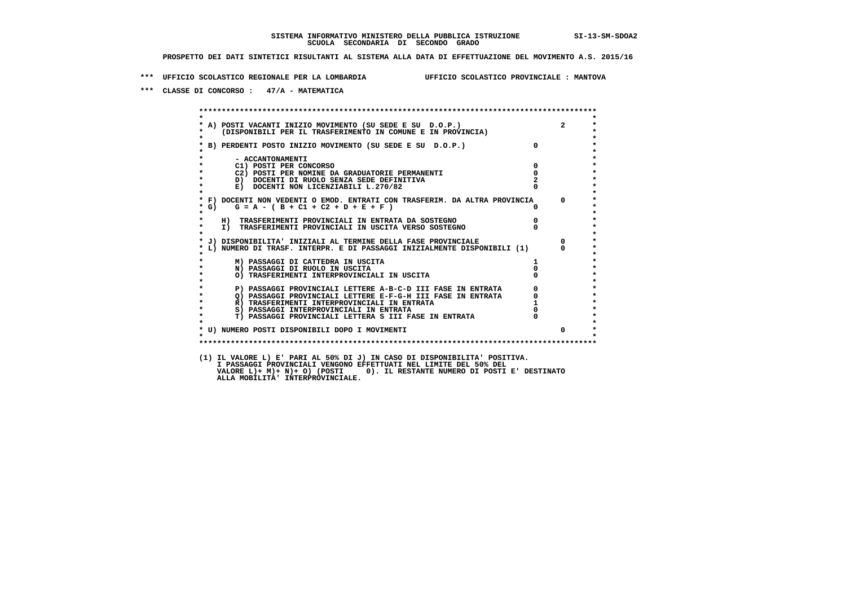**\*\*\* UFFICIO SCOLASTICO REGIONALE PER LA LOMBARDIA UFFICIO SCOLASTICO PROVINCIALE : MANTOVA**

 **\*\*\* CLASSE DI CONCORSO : 47/A - MATEMATICA**

 **\*\*\*\*\*\*\*\*\*\*\*\*\*\*\*\*\*\*\*\*\*\*\*\*\*\*\*\*\*\*\*\*\*\*\*\*\*\*\*\*\*\*\*\*\*\*\*\*\*\*\*\*\*\*\*\*\*\*\*\*\*\*\*\*\*\*\*\*\*\*\*\*\*\*\*\*\*\*\*\*\*\*\*\*\*\*\*\* \* \*** $\bullet$  **\* A) POSTI VACANTI INIZIO MOVIMENTO (SU SEDE E SU D.O.P.) 2 \*** $\star$  **\* (DISPONIBILI PER IL TRASFERIMENTO IN COMUNE E IN PROVINCIA) \*** $\bullet$  **\* \* \* B) PERDENTI POSTO INIZIO MOVIMENTO (SU SEDE E SU D.O.P.) 0 \* \* \* \* - ACCANTONAMENTI \* \* C1) POSTI PER CONCORSO 0 \* \* C2) POSTI PER NOMINE DA GRADUATORIE PERMANENTI 0 \*D)** DOCENTI DI RUOLO SENZA SEDE DEFINITIVA  $\overline{z}$  **2**  $\overline{z}$  **2**  $\overline{z}$  **2**  $\overline{z}$  **2**  $\overline{z}$  **2**  $\overline{z}$  **2**  $\overline{z}$  **2**  $\overline{z}$  **2**  $\overline{z}$  **2**  $\overline{z}$  **2**  $\overline{z}$  **2**  $\overline{z}$  **2**  $\overline{z}$  **2**  $\overline{z}$  **E) DOCENTI NON LICENZIABILI L.270/82 \* \* \* F) DOCENTI NON VEDENTI O EMOD. ENTRATI CON TRASFERIM. DA ALTRA PROVINCIA 0 \***  $\star$  **G)** G = A - ( B + C1 + C2 + D + E + F )  **\* \* \* H) TRASFERIMENTI PROVINCIALI IN ENTRATA DA SOSTEGNO 0 \* \* I) TRASFERIMENTI PROVINCIALI IN USCITA VERSO SOSTEGNO 0 \* \* \* \* J) DISPONIBILITA' INIZIALI AL TERMINE DELLA FASE PROVINCIALE 0 \* \* L) NUMERO DI TRASF. INTERPR. E DI PASSAGGI INIZIALMENTE DISPONIBILI (1) 0 \* \* \* \* M) PASSAGGI DI CATTEDRA IN USCITA 1 \* \* N) PASSAGGI DI RUOLO IN USCITA 0 \* \* O) TRASFERIMENTI INTERPROVINCIALI IN USCITA 0 \* \* \* P) PASSAGGI PROVINCIALI LETTERE A-B-C-D III FASE IN ENTRATA 0 \*\*\***<br>0 passaggi provinciali lettere e-f-G-H iii fase in entrata \*\*\*\*\*\*\*\*\*\*\*\*\*\*\*\*\*\*\*\*\* **2) PASSAGGI PROVINCIALI LETTERE E-F-G-H III FASE IN ENTRATA 6**  $\overline{Q}$  **PASSAGGI PROVINCIALI LETTERE E-F-G-H III FASE IN ENTRATA** 0  **\* R) TRASFERIMENTI INTERPROVINCIALI IN ENTRATA 1 \*8) PASSAGGI INTERPROVINCIALI IN ENTRATA 6 \*\*\*** 0 \*\*\*<br> **T) PASSAGGI PROVINCIALI LETTERA S III FASE IN ENTRATA** 0 \*\*\*  $\ddot{\phantom{1}}$  **\* T) PASSAGGI PROVINCIALI LETTERA S III FASE IN ENTRATA 0 \*** $\star$  **\* \* \* U) NUMERO POSTI DISPONIBILI DOPO I MOVIMENTI 0 \* \* \* \*\*\*\*\*\*\*\*\*\*\*\*\*\*\*\*\*\*\*\*\*\*\*\*\*\*\*\*\*\*\*\*\*\*\*\*\*\*\*\*\*\*\*\*\*\*\*\*\*\*\*\*\*\*\*\*\*\*\*\*\*\*\*\*\*\*\*\*\*\*\*\*\*\*\*\*\*\*\*\*\*\*\*\*\*\*\*\* (1) IL VALORE L) E' PARI AL 50% DI J) IN CASO DI DISPONIBILITA' POSITIVA. I PASSAGGI PROVINCIALI VENGONO EFFETTUATI NEL LIMITE DEL 50% DEL VALORE L)+ M)+ N)+ O) (POSTI 0). IL RESTANTE NUMERO DI POSTI E' DESTINATO ALLA MOBILITA' INTERPROVINCIALE.**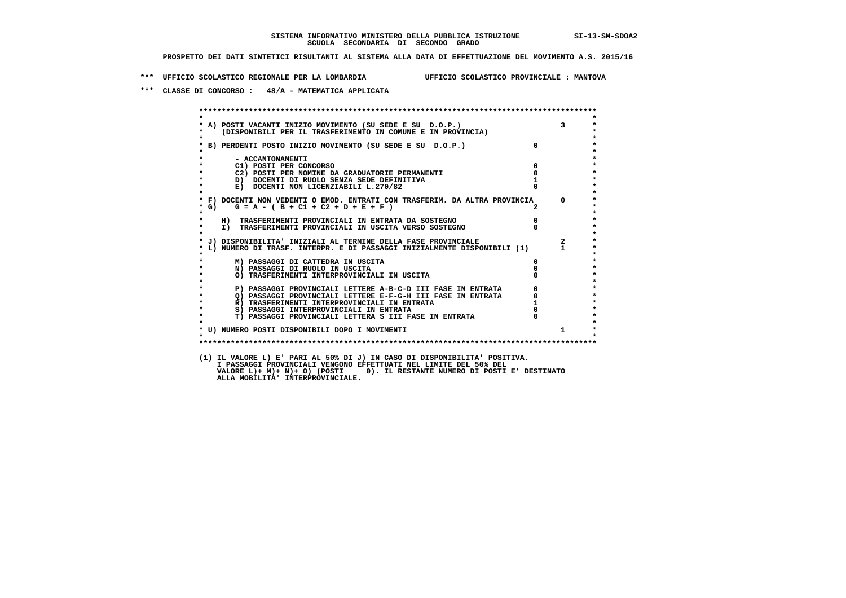**\*\*\* UFFICIO SCOLASTICO REGIONALE PER LA LOMBARDIA UFFICIO SCOLASTICO PROVINCIALE : MANTOVA**

 **\*\*\* CLASSE DI CONCORSO : 48/A - MATEMATICA APPLICATA**

 **\*\*\*\*\*\*\*\*\*\*\*\*\*\*\*\*\*\*\*\*\*\*\*\*\*\*\*\*\*\*\*\*\*\*\*\*\*\*\*\*\*\*\*\*\*\*\*\*\*\*\*\*\*\*\*\*\*\*\*\*\*\*\*\*\*\*\*\*\*\*\*\*\*\*\*\*\*\*\*\*\*\*\*\*\*\*\*\* \* \* \* A) POSTI VACANTI INIZIO MOVIMENTO (SU SEDE E SU D.O.P.) 3 \* \* (DISPONIBILI PER IL TRASFERIMENTO IN COMUNE E IN PROVINCIA) \* \* \* \* B) PERDENTI POSTO INIZIO MOVIMENTO (SU SEDE E SU D.O.P.) 0 \* \* \* \* - ACCANTONAMENTI \* \* C1) POSTI PER CONCORSO 0 \* \* C2) POSTI PER NOMINE DA GRADUATORIE PERMANENTI 0 \*D)** DOCENTI DI RUOLO SENZA SEDE DEFINITIVA 1<br> **E)** DOCENTI NON LICENZIABILI L. 270/82 0 **E) DOCENTI NON LICENZIABILI L.270/82 \* \* \* F) DOCENTI NON VEDENTI O EMOD. ENTRATI CON TRASFERIM. DA ALTRA PROVINCIA 0 \* \* G) G = A - ( B + C1 + C2 + D + E + F ) 2 \* \* \* \* H) TRASFERIMENTI PROVINCIALI IN ENTRATA DA SOSTEGNO 0 \* \* I) TRASFERIMENTI PROVINCIALI IN USCITA VERSO SOSTEGNO 0 \* \* \* \* J) DISPONIBILITA' INIZIALI AL TERMINE DELLA FASE PROVINCIALE 2 \* \* L) NUMERO DI TRASF. INTERPR. E DI PASSAGGI INIZIALMENTE DISPONIBILI (1) 1 \* \* \* \* M) PASSAGGI DI CATTEDRA IN USCITA 0 \* \* N) PASSAGGI DI RUOLO IN USCITA 0 \* \* O) TRASFERIMENTI INTERPROVINCIALI IN USCITA 0 \* \* \* P) PASSAGGI PROVINCIALI LETTERE A-B-C-D III FASE IN ENTRATA 0 \*\*\***<br>0 passaggi provinciali lettere e-f-G-H iii fase in entrata \*\*\*\*\*\*\*\*\*\*\*\*\*\*\*\*\*\*\*\*\* **2) PASSAGGI PROVINCIALI LETTERE E-F-G-H III FASE IN ENTRATA 6**  $\overline{Q}$  **PASSAGGI PROVINCIALI LETTERE E-F-G-H III FASE IN ENTRATA** 0  **\* R) TRASFERIMENTI INTERPROVINCIALI IN ENTRATA 1 \*8) PASSAGGI INTERPROVINCIALI IN ENTRATA 6 \*\*\*** 0 \*\*\*<br> **T) PASSAGGI PROVINCIALI LETTERA S III FASE IN ENTRATA** 0 \*\*\*  $\ddot{\phantom{1}}$  **\* T) PASSAGGI PROVINCIALI LETTERA S III FASE IN ENTRATA 0 \*** $\star$  **\* \* \* U) NUMERO POSTI DISPONIBILI DOPO I MOVIMENTI 1 \* \* \* \*\*\*\*\*\*\*\*\*\*\*\*\*\*\*\*\*\*\*\*\*\*\*\*\*\*\*\*\*\*\*\*\*\*\*\*\*\*\*\*\*\*\*\*\*\*\*\*\*\*\*\*\*\*\*\*\*\*\*\*\*\*\*\*\*\*\*\*\*\*\*\*\*\*\*\*\*\*\*\*\*\*\*\*\*\*\*\* (1) IL VALORE L) E' PARI AL 50% DI J) IN CASO DI DISPONIBILITA' POSITIVA. I PASSAGGI PROVINCIALI VENGONO EFFETTUATI NEL LIMITE DEL 50% DEL VALORE L)+ M)+ N)+ O) (POSTI 0). IL RESTANTE NUMERO DI POSTI E' DESTINATO ALLA MOBILITA' INTERPROVINCIALE.**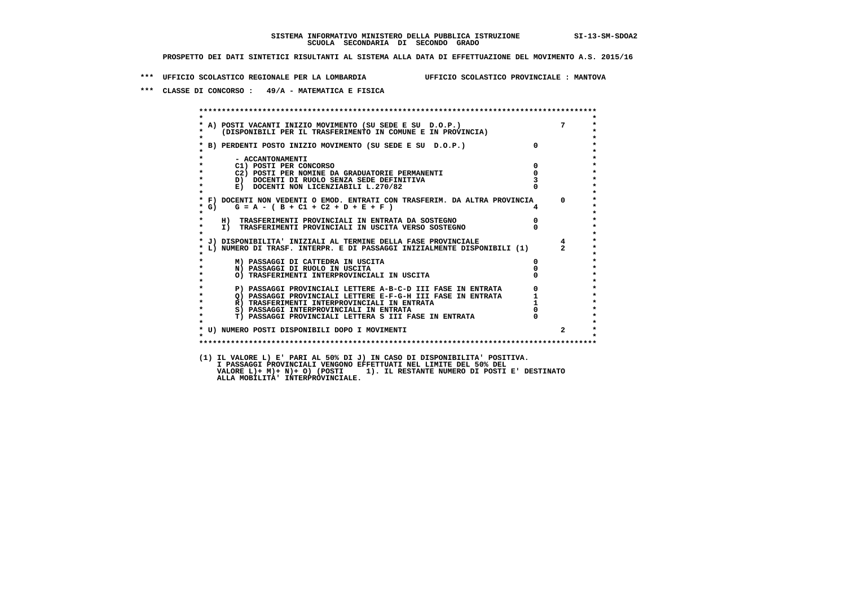**\*\*\* UFFICIO SCOLASTICO REGIONALE PER LA LOMBARDIA UFFICIO SCOLASTICO PROVINCIALE : MANTOVA**

 **\*\*\* CLASSE DI CONCORSO : 49/A - MATEMATICA E FISICA**

 **\*\*\*\*\*\*\*\*\*\*\*\*\*\*\*\*\*\*\*\*\*\*\*\*\*\*\*\*\*\*\*\*\*\*\*\*\*\*\*\*\*\*\*\*\*\*\*\*\*\*\*\*\*\*\*\*\*\*\*\*\*\*\*\*\*\*\*\*\*\*\*\*\*\*\*\*\*\*\*\*\*\*\*\*\*\*\*\* \* \* \* A) POSTI VACANTI INIZIO MOVIMENTO (SU SEDE E SU D.O.P.) 7 \* \* (DISPONIBILI PER IL TRASFERIMENTO IN COMUNE E IN PROVINCIA) \* \* \* \* B) PERDENTI POSTO INIZIO MOVIMENTO (SU SEDE E SU D.O.P.) 0 \* \* \* \* - ACCANTONAMENTI \* \* C1) POSTI PER CONCORSO 0 \* \* C2) POSTI PER NOMINE DA GRADUATORIE PERMANENTI 0 \*D)** DOCENTI DI RUOLO SENZA SEDE DEFINITIVA 3<br> **E)** DOCENTI NON LICENZIABILI I. 270/82 0 **E) DOCENTI NON LICENZIABILI L.270/82 \* \* \* F) DOCENTI NON VEDENTI O EMOD. ENTRATI CON TRASFERIM. DA ALTRA PROVINCIA 0 \* \* G) G = A - ( B + C1 + C2 + D + E + F ) 4 \* \* \* \* H) TRASFERIMENTI PROVINCIALI IN ENTRATA DA SOSTEGNO 0 \* \* I) TRASFERIMENTI PROVINCIALI IN USCITA VERSO SOSTEGNO 0 \* \* \* \* J) DISPONIBILITA' INIZIALI AL TERMINE DELLA FASE PROVINCIALE 4 \* \* L) NUMERO DI TRASF. INTERPR. E DI PASSAGGI INIZIALMENTE DISPONIBILI (1) 2 \* \* \* \* M) PASSAGGI DI CATTEDRA IN USCITA 0 \* \* N) PASSAGGI DI RUOLO IN USCITA 0 \* \* O) TRASFERIMENTI INTERPROVINCIALI IN USCITA 0 \* \* \* P) PASSAGGI PROVINCIALI LETTERE A-B-C-D III FASE IN ENTRATA** 0 <sup>0</sup> **DASSAGGI PROVINCIALI LETTERE E-F-G-H** III FASE IN ENTRATA 1 **2) PASSAGGI PROVINCIALI LETTERE E-F-G-H III FASE IN ENTRATA 1 \*** 1 **R**) **TRASFERIMENTI INTERPROVINCIALI** IN ENTRATA 1 \* <sup>1</sup>  **\* R) TRASFERIMENTI INTERPROVINCIALI IN ENTRATA 1 \*8) PASSAGGI INTERPROVINCIALI IN ENTRATA 6 \*\*\*** 0 \*\*\*<br> **T) PASSAGGI PROVINCIALI LETTERA S III FASE IN ENTRATA** 0 \*\*\*  $\ddot{\phantom{1}}$  **\* T) PASSAGGI PROVINCIALI LETTERA S III FASE IN ENTRATA 0 \*** $\star$  **\* \* \* U) NUMERO POSTI DISPONIBILI DOPO I MOVIMENTI 2 \* \* \* \*\*\*\*\*\*\*\*\*\*\*\*\*\*\*\*\*\*\*\*\*\*\*\*\*\*\*\*\*\*\*\*\*\*\*\*\*\*\*\*\*\*\*\*\*\*\*\*\*\*\*\*\*\*\*\*\*\*\*\*\*\*\*\*\*\*\*\*\*\*\*\*\*\*\*\*\*\*\*\*\*\*\*\*\*\*\*\* (1) IL VALORE L) E' PARI AL 50% DI J) IN CASO DI DISPONIBILITA' POSITIVA. I PASSAGGI PROVINCIALI VENGONO EFFETTUATI NEL LIMITE DEL 50% DEL VALORE L)+ M)+ N)+ O) (POSTI 1). IL RESTANTE NUMERO DI POSTI E' DESTINATO ALLA MOBILITA' INTERPROVINCIALE.**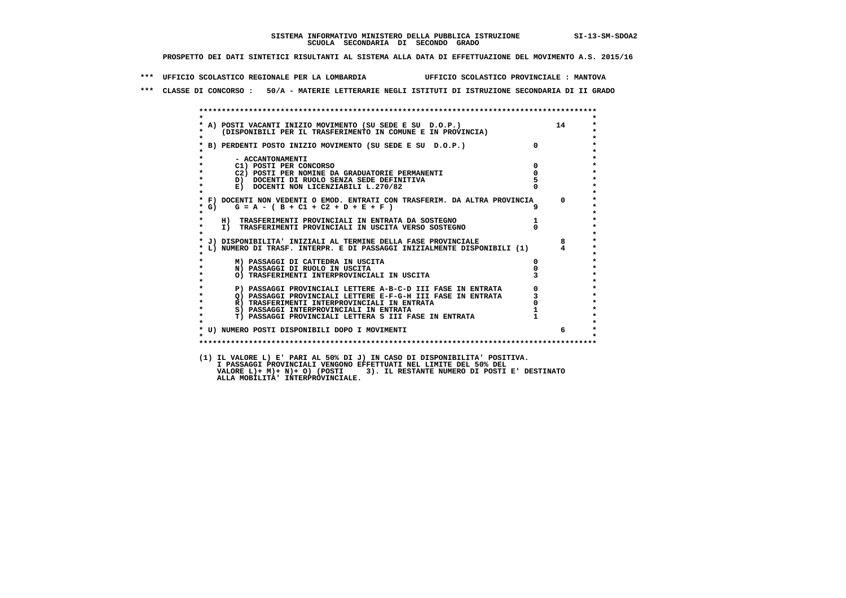**\*\*\* UFFICIO SCOLASTICO REGIONALE PER LA LOMBARDIA UFFICIO SCOLASTICO PROVINCIALE : MANTOVA**

 **\*\*\* CLASSE DI CONCORSO : 50/A - MATERIE LETTERARIE NEGLI ISTITUTI DI ISTRUZIONE SECONDARIA DI II GRADO**

|                   | * A) POSTI VACANTI INIZIO MOVIMENTO (SU SEDE E SU D.O.P.) 14<br>* (DISPONIBILI PER IL TRASFERIMENTO IN COMUNE E IN PROVINCIA) |              |          |
|-------------------|-------------------------------------------------------------------------------------------------------------------------------|--------------|----------|
| $\bullet$         |                                                                                                                               |              |          |
|                   | * B) PERDENTI POSTO INIZIO MOVIMENTO (SU SEDE E SU D.O.P.)                                                                    | $\Omega$     |          |
|                   | - ACCANTONAMENTI                                                                                                              |              |          |
| $\star$           | C1) POSTI PER CONCORSO                                                                                                        | $^{\circ}$   |          |
|                   | C2) POSTI PER NOMINE DA GRADUATORIE PERMANENTI                                                                                | $\mathbf{0}$ |          |
| $\star$           | D) DOCENTI DI RUOLO SENZA SEDE DEFINITIVA                                                                                     |              |          |
| $\star$           | E) DOCENTI NON LICENZIABILI L.270/82                                                                                          |              |          |
|                   | * F) DOCENTI NON VEDENTI O EMOD. ENTRATI CON TRASFERIM. DA ALTRA PROVINCIA                                                    |              | $\Omega$ |
| $*$ G)<br>$\star$ | $G = A - (B + C1 + C2 + D + E + F)$                                                                                           |              |          |
| *                 | H) TRASFERIMENTI PROVINCIALI IN ENTRATA DA SOSTEGNO                                                                           |              |          |
| $\star$           | I) TRASFERIMENTI PROVINCIALI IN USCITA VERSO SOSTEGNO                                                                         |              |          |
|                   | * J) DISPONIBILITA' INIZIALI AL TERMINE DELLA FASE PROVINCIALE                                                                |              | 8        |
|                   | * L) NUMERO DI TRASF. INTERPR. E DI PASSAGGI INIZIALMENTE DISPONIBILI (1)                                                     |              |          |
| $\star$           | M) PASSAGGI DI CATTEDRA IN USCITA                                                                                             | 0            |          |
| $\star$           | N) PASSAGGI DI RUOLO IN USCITA                                                                                                |              |          |
| $\star$           | O) TRASFERIMENTI INTERPROVINCIALI IN USCITA                                                                                   |              |          |
| $\star$           | P) PASSAGGI PROVINCIALI LETTERE A-B-C-D III FASE IN ENTRATA                                                                   |              |          |
|                   | Q) PASSAGGI PROVINCIALI LETTERE E-F-G-H III FASE IN ENTRATA                                                                   |              |          |
| $\star$           | R) TRASFERIMENTI INTERPROVINCIALI IN ENTRATA                                                                                  |              |          |
| $\star$           | S) PASSAGGI INTERPROVINCIALI IN ENTRATA                                                                                       |              |          |
| $\star$           | T) PASSAGGI PROVINCIALI LETTERA S III FASE IN ENTRATA                                                                         |              |          |
|                   | * U) NUMERO POSTI DISPONIBILI DOPO I MOVIMENTI                                                                                |              | 6        |
| $\bullet$         |                                                                                                                               |              |          |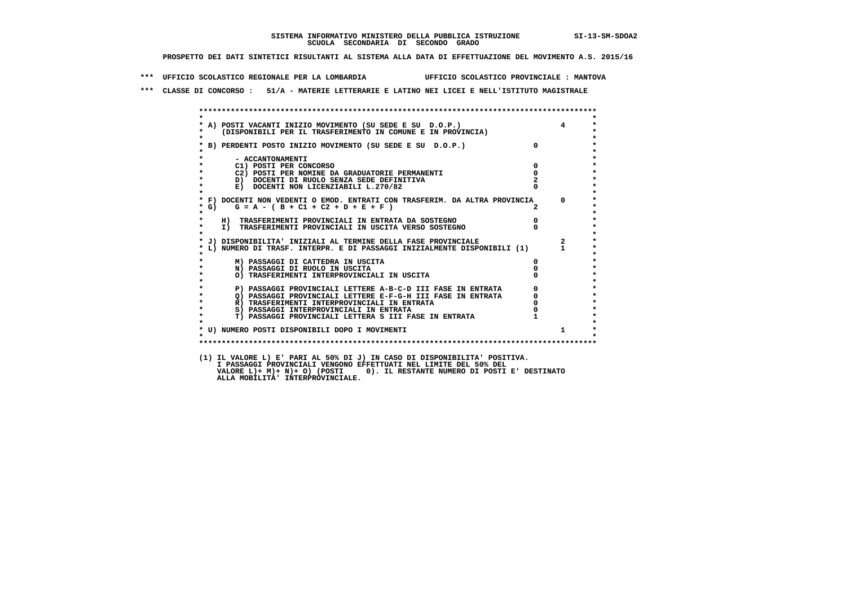**\*\*\* UFFICIO SCOLASTICO REGIONALE PER LA LOMBARDIA UFFICIO SCOLASTICO PROVINCIALE : MANTOVA**

 **\*\*\* CLASSE DI CONCORSO : 51/A - MATERIE LETTERARIE E LATINO NEI LICEI E NELL'ISTITUTO MAGISTRALE**

|                    | FOSTI VACANTI INIZIO MOVIMENTO (SU SEDE E SU D.O.P.)<br>(DISPONIBILI PER IL TRASFERIMENTO IN COMUNE E IN PROVINCIA)<br>* A) POSTI VACANTI INIZIO MOVIMENTO (SU SEDE E SU D.O.P.) |            | $\overline{4}$ |
|--------------------|----------------------------------------------------------------------------------------------------------------------------------------------------------------------------------|------------|----------------|
| $\mathbf{r}$       |                                                                                                                                                                                  | $^{\circ}$ |                |
|                    | B) PERDENTI POSTO INIZIO MOVIMENTO (SU SEDE E SU D.O.P.)                                                                                                                         |            |                |
|                    | - ACCANTONAMENTI                                                                                                                                                                 |            |                |
| $\star$            | C1) POSTI PER CONCORSO                                                                                                                                                           | 0          |                |
| $\star$            | C2) POSTI PER NOMINE DA GRADUATORIE PERMANENTI                                                                                                                                   |            |                |
|                    | D) DOCENTI DI RUOLO SENZA SEDE DEFINITIVA                                                                                                                                        |            |                |
| $\star$            | E) DOCENTI NON LICENZIABILI L.270/82                                                                                                                                             |            |                |
|                    | * F) DOCENTI NON VEDENTI O EMOD. ENTRATI CON TRASFERIM. DA ALTRA PROVINCIA                                                                                                       |            | $\Omega$       |
| $*$ G)             | $G = A - (B + C1 + C2 + D + E + F)$                                                                                                                                              |            |                |
| $\star$<br>$\star$ | H) TRASFERIMENTI PROVINCIALI IN ENTRATA DA SOSTEGNO                                                                                                                              | $^{\circ}$ |                |
| $\star$<br>$\star$ | I) TRASFERIMENTI PROVINCIALI IN USCITA VERSO SOSTEGNO                                                                                                                            |            |                |
|                    | * J) DISPONIBILITA' INIZIALI AL TERMINE DELLA FASE PROVINCIALE                                                                                                                   |            | $\overline{2}$ |
|                    | * L) NUMERO DI TRASF. INTERPR. E DI PASSAGGI INIZIALMENTE DISPONIBILI (1)                                                                                                        |            | $\mathbf{1}$   |
| $\star$            | M) PASSAGGI DI CATTEDRA IN USCITA                                                                                                                                                | 0          |                |
| $\star$            | N) PASSAGGI DI RUOLO IN USCITA                                                                                                                                                   |            |                |
| $\star$<br>$\star$ | O) TRASFERIMENTI INTERPROVINCIALI IN USCITA                                                                                                                                      |            |                |
| $\star$            | P) PASSAGGI PROVINCIALI LETTERE A-B-C-D III FASE IN ENTRATA                                                                                                                      | 0          |                |
| $\star$            | O) PASSAGGI PROVINCIALI LETTERE E-F-G-H III FASE IN ENTRATA                                                                                                                      |            |                |
| $\star$            | R) TRASFERIMENTI INTERPROVINCIALI IN ENTRATA                                                                                                                                     |            |                |
| $\star$            | S) PASSAGGI INTERPROVINCIALI IN ENTRATA                                                                                                                                          |            |                |
| $\star$            | T) PASSAGGI PROVINCIALI LETTERA S III FASE IN ENTRATA                                                                                                                            |            |                |
|                    |                                                                                                                                                                                  |            | $\mathbf{1}$   |
| $\mathbf{r}$       | * U) NUMERO POSTI DISPONIBILI DOPO I MOVIMENTI                                                                                                                                   |            |                |
|                    |                                                                                                                                                                                  |            |                |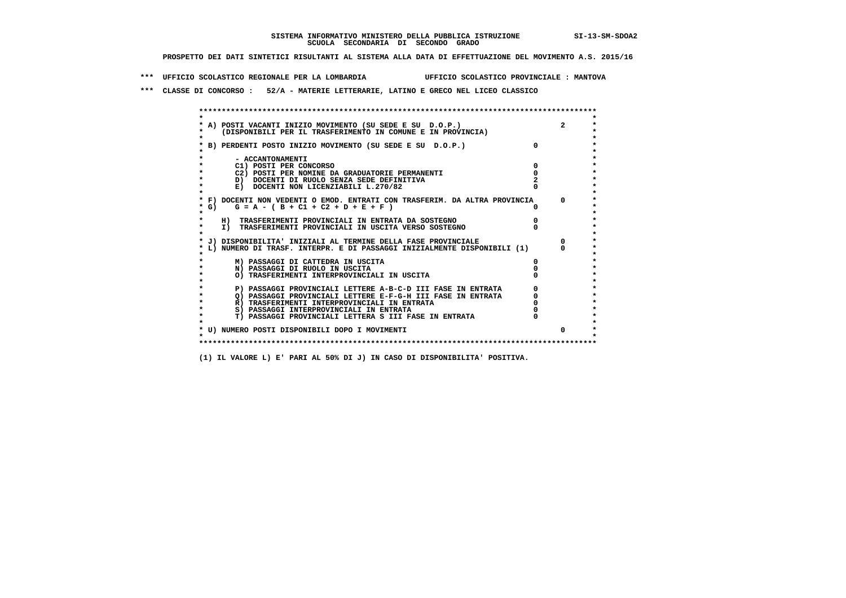**\*\*\* UFFICIO SCOLASTICO REGIONALE PER LA LOMBARDIA UFFICIO SCOLASTICO PROVINCIALE : MANTOVA**

 **\*\*\* CLASSE DI CONCORSO : 52/A - MATERIE LETTERARIE, LATINO E GRECO NEL LICEO CLASSICO**

 **\*\*\*\*\*\*\*\*\*\*\*\*\*\*\*\*\*\*\*\*\*\*\*\*\*\*\*\*\*\*\*\*\*\*\*\*\*\*\*\*\*\*\*\*\*\*\*\*\*\*\*\*\*\*\*\*\*\*\*\*\*\*\*\*\*\*\*\*\*\*\*\*\*\*\*\*\*\*\*\*\*\*\*\*\*\*\*\* \* \*** $\bullet$  **\* A) POSTI VACANTI INIZIO MOVIMENTO (SU SEDE E SU D.O.P.) 2 \*** $\star$  **\* (DISPONIBILI PER IL TRASFERIMENTO IN COMUNE E IN PROVINCIA) \*** $\bullet$  **\* \* \* B) PERDENTI POSTO INIZIO MOVIMENTO (SU SEDE E SU D.O.P.) 0 \* \* \* \* - ACCANTONAMENTI \* \* C1) POSTI PER CONCORSO 0 \* \* C2) POSTI PER NOMINE DA GRADUATORIE PERMANENTI 0 \*D)** DOCENTI DI RUOLO SENZA SEDE DEFINITIVA  $\overline{z}$  **2**  $\overline{z}$  **b** DOCENTI NON LICENZIABILI L. 270/82 0 **E) DOCENTI NON LICENZIABILI L.270/82 \* \* \* F) DOCENTI NON VEDENTI O EMOD. ENTRATI CON TRASFERIM. DA ALTRA PROVINCIA 0 \***  $\star$  **G)** G = A - ( B + C1 + C2 + D + E + F )  **\* \* \* H) TRASFERIMENTI PROVINCIALI IN ENTRATA DA SOSTEGNO 0 \* \* I) TRASFERIMENTI PROVINCIALI IN USCITA VERSO SOSTEGNO 0 \* \* \* \* J) DISPONIBILITA' INIZIALI AL TERMINE DELLA FASE PROVINCIALE 0 \* \* L) NUMERO DI TRASF. INTERPR. E DI PASSAGGI INIZIALMENTE DISPONIBILI (1) 0 \* \* \* \* M) PASSAGGI DI CATTEDRA IN USCITA 0 \* \* N) PASSAGGI DI RUOLO IN USCITA 0 \* \* O) TRASFERIMENTI INTERPROVINCIALI IN USCITA 0 \* \* \* P) PASSAGGI PROVINCIALI LETTERE A-B-C-D III FASE IN ENTRATA** 0 <sup>0</sup> **DASSAGGI PROVINCIALI LETTERE E-F-G-H** III FASE IN ENTRATA 0 <sup>0</sup>  $\star$ **2) PASSAGGI PROVINCIALI LETTERE E-F-G-H III FASE IN ENTRATA 6 0 R**) TRASFERIMENTI INTERPROVINCIALI IN ENTRATA 6 **0 R)** TRASFERIMENTI INTERPROVINCIALI IN ENTRATA  $\begin{bmatrix} 0 & 0 \\ 0 & 0 \\ 0 & 0 \end{bmatrix}$  PASSAGGI INTERPROVINCIALI IN ENTRATA  $\begin{bmatrix} 0 & 0 \\ 0 & 0 \\ 0 & 0 \end{bmatrix}$  **\* S) PASSAGGI INTERPROVINCIALI IN ENTRATA 0 \*** $\ddot{\phantom{1}}$  **\* T) PASSAGGI PROVINCIALI LETTERA S III FASE IN ENTRATA 0 \*** $\star$  **\* \* \* U) NUMERO POSTI DISPONIBILI DOPO I MOVIMENTI 0 \* \* \* \*\*\*\*\*\*\*\*\*\*\*\*\*\*\*\*\*\*\*\*\*\*\*\*\*\*\*\*\*\*\*\*\*\*\*\*\*\*\*\*\*\*\*\*\*\*\*\*\*\*\*\*\*\*\*\*\*\*\*\*\*\*\*\*\*\*\*\*\*\*\*\*\*\*\*\*\*\*\*\*\*\*\*\*\*\*\*\***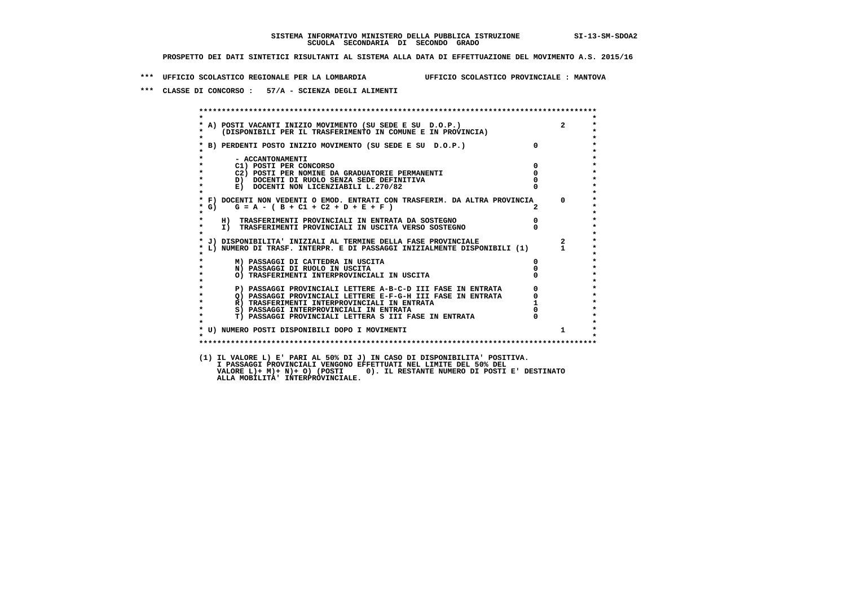**\*\*\* UFFICIO SCOLASTICO REGIONALE PER LA LOMBARDIA UFFICIO SCOLASTICO PROVINCIALE : MANTOVA**

 **\*\*\* CLASSE DI CONCORSO : 57/A - SCIENZA DEGLI ALIMENTI**

|                    | A) POSTI VACANTI INIZIO MOVIMENTO (SU SEDE E SU D.O.P.)<br>(DISPONIBILI PER IL TRASFERIMENTO IN COMUNE E IN PROVINCIA) |                                                       | $2^{\circ}$  |
|--------------------|------------------------------------------------------------------------------------------------------------------------|-------------------------------------------------------|--------------|
|                    | * B) PERDENTI POSTO INIZIO MOVIMENTO (SU SEDE E SU D.O.P.)                                                             | $\overline{0}$                                        |              |
|                    | - ACCANTONAMENTI                                                                                                       | $\overline{0}$                                        |              |
|                    | C1) POSTI PER CONCORSO<br>C2) POSTI PER NOMINE DA GRADUATORIE PERMANENTI                                               | $\Omega$                                              |              |
| $\star$            | D) DOCENTI DI RUOLO SENZA SEDE DEFINITIVA                                                                              |                                                       |              |
| $\star$            | E) DOCENTI NON LICENZIABILI L.270/82                                                                                   |                                                       |              |
| $*$ G)             | * F) DOCENTI NON VEDENTI O EMOD. ENTRATI CON TRASFERIM. DA ALTRA PROVINCIA<br>$G = A - (B + C1 + C2 + D + E + F)$      |                                                       | $\Omega$     |
| $\star$<br>$\star$ | H) TRASFERIMENTI PROVINCIALI IN ENTRATA DA SOSTEGNO                                                                    | $\overline{0}$                                        |              |
| $\star$            | I) TRASFERIMENTI PROVINCIALI IN USCITA VERSO SOSTEGNO                                                                  |                                                       |              |
|                    | * J) DISPONIBILITA' INIZIALI AL TERMINE DELLA FASE PROVINCIALE                                                         |                                                       | $\mathbf{2}$ |
|                    | L) NUMERO DI TRASF. INTERPR. E DI PASSAGGI INIZIALMENTE DISPONIBILI (1)                                                |                                                       |              |
|                    | M) PASSAGGI DI CATTEDRA IN USCITA                                                                                      | $\mathbf{0}$                                          |              |
| $\star$            | N) PASSAGGI DI RUOLO IN USCITA                                                                                         |                                                       |              |
|                    | O) TRASFERIMENTI INTERPROVINCIALI IN USCITA                                                                            | $\begin{bmatrix} 0 \\ 0 \\ 0 \\ 1 \\ 0 \end{bmatrix}$ |              |
|                    | P) PASSAGGI PROVINCIALI LETTERE A-B-C-D III FASE IN ENTRATA                                                            |                                                       |              |
|                    | Q) PASSAGGI PROVINCIALI LETTERE E-F-G-H III FASE IN ENTRATA                                                            |                                                       |              |
| $\star$            | R) TRASFERIMENTI INTERPROVINCIALI IN ENTRATA                                                                           |                                                       |              |
| $\star$            | S) PASSAGGI INTERPROVINCIALI IN ENTRATA                                                                                |                                                       |              |
| $\star$            | T) PASSAGGI PROVINCIALI LETTERA S III FASE IN ENTRATA                                                                  |                                                       |              |
| $\star$            | * U) NUMERO POSTI DISPONIBILI DOPO I MOVIMENTI                                                                         |                                                       | $1 \quad$    |
|                    |                                                                                                                        |                                                       |              |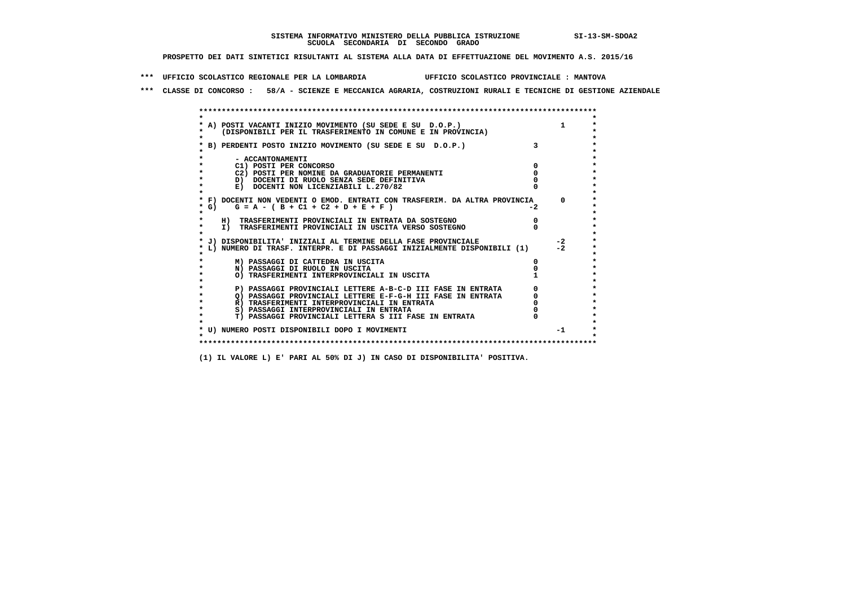**\*\*\* UFFICIO SCOLASTICO REGIONALE PER LA LOMBARDIA UFFICIO SCOLASTICO PROVINCIALE : MANTOVA**

 **\*\*\* CLASSE DI CONCORSO : 58/A - SCIENZE E MECCANICA AGRARIA, COSTRUZIONI RURALI E TECNICHE DI GESTIONE AZIENDALE**

|            | A) POSTI VACANTI INIZIO MOVIMENTO (SU SEDE E SU D.O.P.)                                                                    |      |          |
|------------|----------------------------------------------------------------------------------------------------------------------------|------|----------|
|            | (DISPONIBILI PER IL TRASFERIMENTO IN COMUNE E IN PROVINCIA)                                                                |      |          |
|            |                                                                                                                            |      |          |
|            | B) PERDENTI POSTO INIZIO MOVIMENTO (SU SEDE E SU D.O.P.)                                                                   |      |          |
|            |                                                                                                                            |      |          |
|            | - ACCANTONAMENTI                                                                                                           |      |          |
|            | C1) POSTI PER CONCORSO                                                                                                     |      |          |
|            | C2) POSTI PER NOMINE DA GRADUATORIE PERMANENTI                                                                             |      |          |
|            | D) DOCENTI DI RUOLO SENZA SEDE DEFINITIVA                                                                                  |      |          |
|            | E) DOCENTI NON LICENZIABILI L.270/82                                                                                       |      |          |
|            | * F) DOCENTI NON VEDENTI O EMOD. ENTRATI CON TRASFERIM. DA ALTRA PROVINCIA                                                 |      | $\Omega$ |
| $\star$ G) | $G = A - (B + C1 + C2 + D + E + F)$                                                                                        | $-2$ |          |
|            |                                                                                                                            |      |          |
|            | H) TRASFERIMENTI PROVINCIALI IN ENTRATA DA SOSTEGNO                                                                        |      |          |
| $\star$    | I) TRASFERIMENTI PROVINCIALI IN USCITA VERSO SOSTEGNO                                                                      |      |          |
|            |                                                                                                                            |      |          |
|            | J) DISPONIBILITA' INIZIALI AL TERMINE DELLA FASE PROVINCIALE                                                               |      | $-2$     |
|            | L) NUMERO DI TRASF. INTERPR. E DI PASSAGGI INIZIALMENTE DISPONIBILI (1)                                                    |      | $-2$     |
|            |                                                                                                                            |      |          |
|            | M) PASSAGGI DI CATTEDRA IN USCITA                                                                                          |      |          |
|            | N) PASSAGGI DI RUOLO IN USCITA                                                                                             |      |          |
|            | O) TRASFERIMENTI INTERPROVINCIALI IN USCITA                                                                                |      |          |
|            |                                                                                                                            |      |          |
|            | P) PASSAGGI PROVINCIALI LETTERE A-B-C-D III FASE IN ENTRATA<br>O) PASSAGGI PROVINCIALI LETTERE E-F-G-H III FASE IN ENTRATA |      |          |
|            | R) TRASFERIMENTI INTERPROVINCIALI IN ENTRATA                                                                               |      |          |
|            | S) PASSAGGI INTERPROVINCIALI IN ENTRATA                                                                                    |      |          |
|            | T) PASSAGGI PROVINCIALI LETTERA S III FASE IN ENTRATA                                                                      |      |          |
|            |                                                                                                                            |      |          |
|            | * U) NUMERO POSTI DISPONIBILI DOPO I MOVIMENTI                                                                             |      | $-1$     |
|            |                                                                                                                            |      |          |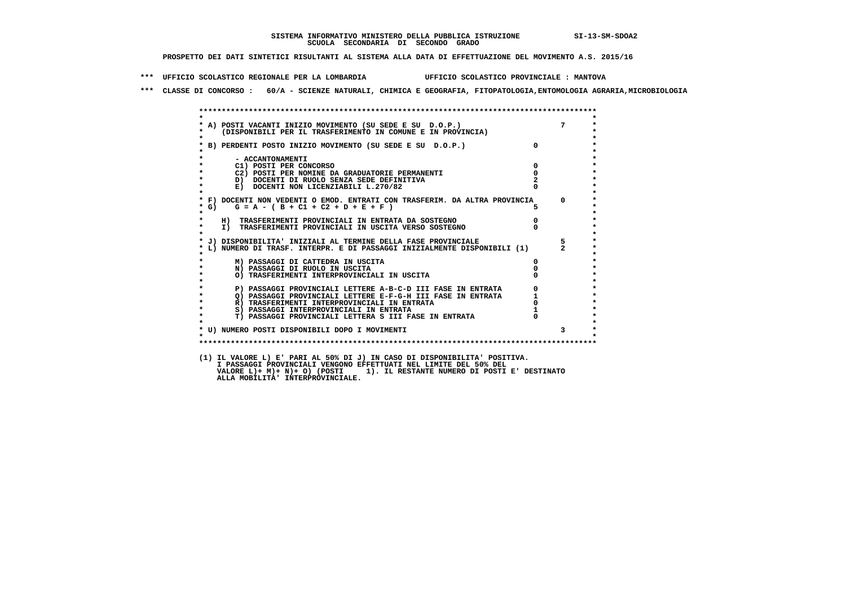**\*\*\* UFFICIO SCOLASTICO REGIONALE PER LA LOMBARDIA UFFICIO SCOLASTICO PROVINCIALE : MANTOVA**

 **\*\*\* CLASSE DI CONCORSO : 60/A - SCIENZE NATURALI, CHIMICA E GEOGRAFIA, FITOPATOLOGIA,ENTOMOLOGIA AGRARIA,MICROBIOLOGIA**

| $\star$            | * A) POSTI VACANTI INIZIO MOVIMENTO (SU SEDE E SU D.O.P.)<br>* (DISPONIBILI PER IL TRASFERIMENTO IN COMUNE E IN PROVINCIA) |                |                |
|--------------------|----------------------------------------------------------------------------------------------------------------------------|----------------|----------------|
|                    | * B) PERDENTI POSTO INIZIO MOVIMENTO (SU SEDE E SU D.O.P.)                                                                 | $\overline{0}$ |                |
|                    | - ACCANTONAMENTI                                                                                                           |                |                |
|                    | C1) POSTI PER CONCORSO                                                                                                     | $\Omega$       |                |
| $\star$            | C2) POSTI PER NOMINE DA GRADUATORIE PERMANENTI                                                                             | $\mathbf 0$    |                |
| $\star$<br>$\star$ | D) DOCENTI DI RUOLO SENZA SEDE DEFINITIVA                                                                                  |                |                |
|                    | E) DOCENTI NON LICENZIABILI L.270/82                                                                                       |                |                |
|                    | * F) DOCENTI NON VEDENTI O EMOD. ENTRATI CON TRASFERIM. DA ALTRA PROVINCIA                                                 |                | $^{\circ}$     |
|                    | * G)<br>$G = A - (B + C1 + C2 + D + E + F)$                                                                                |                |                |
| $\star$            | H) TRASFERIMENTI PROVINCIALI IN ENTRATA DA SOSTEGNO                                                                        | $\mathbf{0}$   |                |
| $\star$            | I) TRASFERIMENTI PROVINCIALI IN USCITA VERSO SOSTEGNO                                                                      |                |                |
| $\bullet$          |                                                                                                                            |                |                |
|                    | * J) DISPONIBILITA' INIZIALI AL TERMINE DELLA FASE PROVINCIALE                                                             |                | 5              |
|                    | L) NUMERO DI TRASF. INTERPR. E DI PASSAGGI INIZIALMENTE DISPONIBILI (1)                                                    |                | $\overline{2}$ |
|                    | M) PASSAGGI DI CATTEDRA IN USCITA                                                                                          | O.             |                |
| $\star$            | N) PASSAGGI DI RUOLO IN USCITA                                                                                             |                |                |
| $\star$            | O) TRASFERIMENTI INTERPROVINCIALI IN USCITA                                                                                |                |                |
|                    | P) PASSAGGI PROVINCIALI LETTERE A-B-C-D III FASE IN ENTRATA                                                                |                |                |
| $\star$            | Q) PASSAGGI PROVINCIALI LETTERE E-F-G-H III FASE IN ENTRATA                                                                |                |                |
| $\star$            | R) TRASFERIMENTI INTERPROVINCIALI IN ENTRATA                                                                               |                |                |
| $\star$            | S) PASSAGGI INTERPROVINCIALI IN ENTRATA                                                                                    |                |                |
| $\star$            | T) PASSAGGI PROVINCIALI LETTERA S III FASE IN ENTRATA                                                                      |                |                |
|                    |                                                                                                                            |                |                |
|                    | * U) NUMERO POSTI DISPONIBILI DOPO I MOVIMENTI                                                                             |                | 3              |
|                    |                                                                                                                            |                |                |

 **I PASSAGGI PROVINCIALI VENGONO EFFETTUATI NEL LIMITE DEL 50% DEL VALORE L)+ M)+ N)+ O) (POSTI 1). IL RESTANTE NUMERO DI POSTI E' DESTINATO ALLA MOBILITA' INTERPROVINCIALE.**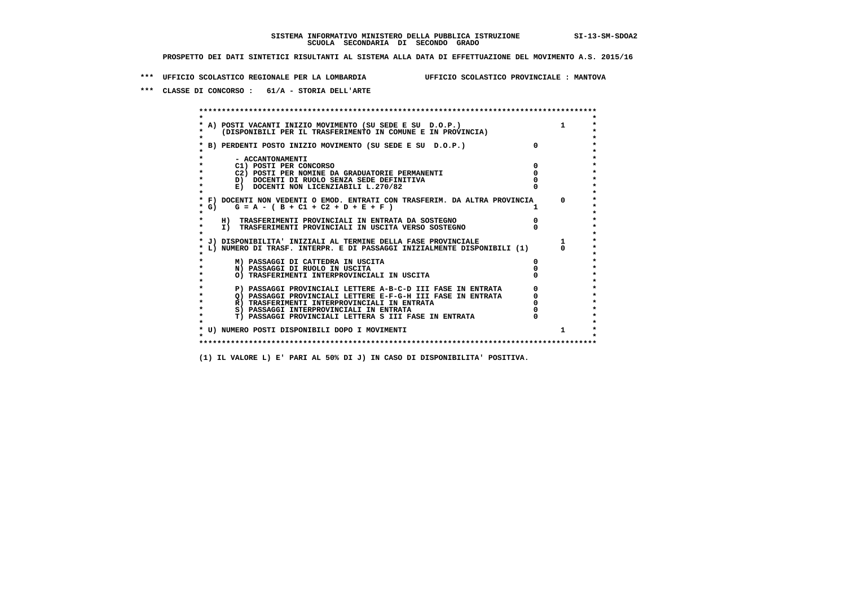**\*\*\* UFFICIO SCOLASTICO REGIONALE PER LA LOMBARDIA UFFICIO SCOLASTICO PROVINCIALE : MANTOVA**

 **\*\*\* CLASSE DI CONCORSO : 61/A - STORIA DELL'ARTE**

 **\*\*\*\*\*\*\*\*\*\*\*\*\*\*\*\*\*\*\*\*\*\*\*\*\*\*\*\*\*\*\*\*\*\*\*\*\*\*\*\*\*\*\*\*\*\*\*\*\*\*\*\*\*\*\*\*\*\*\*\*\*\*\*\*\*\*\*\*\*\*\*\*\*\*\*\*\*\*\*\*\*\*\*\*\*\*\*\* \* \*** $\bullet$  **\* A) POSTI VACANTI INIZIO MOVIMENTO (SU SEDE E SU D.O.P.) 1 \*** $\star$  **\* (DISPONIBILI PER IL TRASFERIMENTO IN COMUNE E IN PROVINCIA) \*** $\bullet$  **\* \* \* B) PERDENTI POSTO INIZIO MOVIMENTO (SU SEDE E SU D.O.P.) 0 \* \* \* \* - ACCANTONAMENTI \* \* C1) POSTI PER CONCORSO 0 \* \* C2) POSTI PER NOMINE DA GRADUATORIE PERMANENTI 0 \*D)** DOCENTI DI RUOLO SENZA SEDE DEFINITIVA  $\overline{a}$  0  $\overline{b}$  0  $\overline{c}$  0  $\overline{c}$  0  $\overline{c}$  0  $\overline{a}$  0  $\overline{c}$ **E) DOCENTI NON LICENZIABILI L.270/82 \* \* \* F) DOCENTI NON VEDENTI O EMOD. ENTRATI CON TRASFERIM. DA ALTRA PROVINCIA 0 \***  $\star$  **G)** G = A - ( B + C1 + C2 + D + E + F )  **\* \* \* H) TRASFERIMENTI PROVINCIALI IN ENTRATA DA SOSTEGNO 0 \* \* I) TRASFERIMENTI PROVINCIALI IN USCITA VERSO SOSTEGNO 0 \* \* \* \* J) DISPONIBILITA' INIZIALI AL TERMINE DELLA FASE PROVINCIALE 1 \* \* L) NUMERO DI TRASF. INTERPR. E DI PASSAGGI INIZIALMENTE DISPONIBILI (1) 0 \* \* \* \* M) PASSAGGI DI CATTEDRA IN USCITA 0 \* \* N) PASSAGGI DI RUOLO IN USCITA 0 \* \* O) TRASFERIMENTI INTERPROVINCIALI IN USCITA 0 \* \* \* P) PASSAGGI PROVINCIALI LETTERE A-B-C-D III FASE IN ENTRATA** 0 <sup>0</sup> **DASSAGGI PROVINCIALI LETTERE E-F-G-H** III FASE IN ENTRATA 0 <sup>0</sup>  $\star$  **\* Q) PASSAGGI PROVINCIALI LETTERE E-F-G-H III FASE IN ENTRATA 0 \*R)** TRASFERIMENTI INTERPROVINCIALI IN ENTRATA  $\begin{bmatrix} 0 & 0 \\ 0 & 0 \\ 0 & 0 \end{bmatrix}$  PASSAGGI INTERPROVINCIALI IN ENTRATA  $\begin{bmatrix} 0 & 0 \\ 0 & 0 \\ 0 & 0 \end{bmatrix}$  **\* S) PASSAGGI INTERPROVINCIALI IN ENTRATA 0 \*** $\ddot{\phantom{1}}$  **\* T) PASSAGGI PROVINCIALI LETTERA S III FASE IN ENTRATA 0 \*** $\star$  **\* \* \* U) NUMERO POSTI DISPONIBILI DOPO I MOVIMENTI 1 \* \* \* \*\*\*\*\*\*\*\*\*\*\*\*\*\*\*\*\*\*\*\*\*\*\*\*\*\*\*\*\*\*\*\*\*\*\*\*\*\*\*\*\*\*\*\*\*\*\*\*\*\*\*\*\*\*\*\*\*\*\*\*\*\*\*\*\*\*\*\*\*\*\*\*\*\*\*\*\*\*\*\*\*\*\*\*\*\*\*\***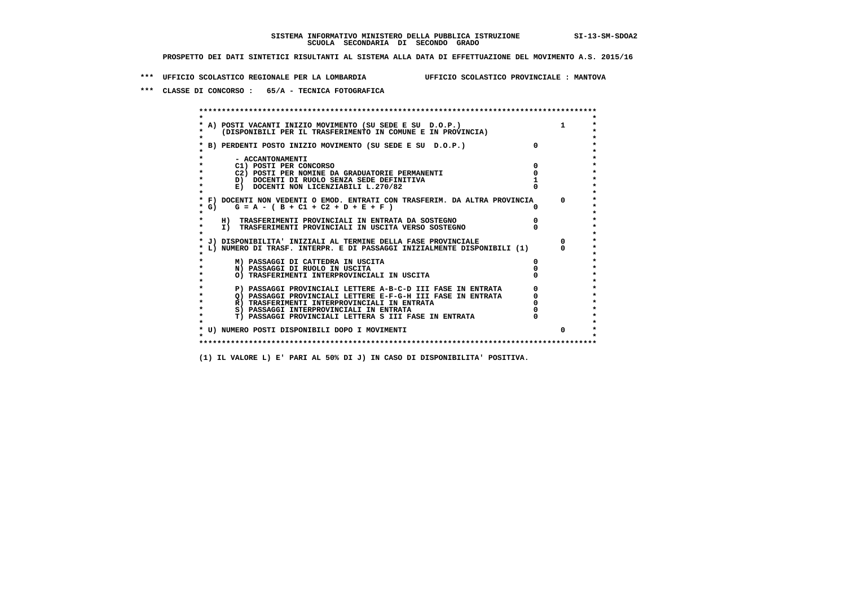**\*\*\* UFFICIO SCOLASTICO REGIONALE PER LA LOMBARDIA UFFICIO SCOLASTICO PROVINCIALE : MANTOVA**

 **\*\*\* CLASSE DI CONCORSO : 65/A - TECNICA FOTOGRAFICA**

 **\*\*\*\*\*\*\*\*\*\*\*\*\*\*\*\*\*\*\*\*\*\*\*\*\*\*\*\*\*\*\*\*\*\*\*\*\*\*\*\*\*\*\*\*\*\*\*\*\*\*\*\*\*\*\*\*\*\*\*\*\*\*\*\*\*\*\*\*\*\*\*\*\*\*\*\*\*\*\*\*\*\*\*\*\*\*\*\* \* \*** $\bullet$  **\* A) POSTI VACANTI INIZIO MOVIMENTO (SU SEDE E SU D.O.P.) 1 \*** $\star$  **\* (DISPONIBILI PER IL TRASFERIMENTO IN COMUNE E IN PROVINCIA) \*** $\bullet$  **\* \* \* B) PERDENTI POSTO INIZIO MOVIMENTO (SU SEDE E SU D.O.P.) 0 \* \* \* \* - ACCANTONAMENTI \* \* C1) POSTI PER CONCORSO 0 \* \* C2) POSTI PER NOMINE DA GRADUATORIE PERMANENTI 0 \*D)** DOCENTI DI RUOLO SENZA SEDE DEFINITIVA 1<br> **E)** DOCENTI NON LICENZIABILI L. 270/82 0 **E) DOCENTI NON LICENZIABILI L.270/82 \* \* \* F) DOCENTI NON VEDENTI O EMOD. ENTRATI CON TRASFERIM. DA ALTRA PROVINCIA 0 \***  $\star$  **G)** G = A - ( B + C1 + C2 + D + E + F )  **\* \* \* H) TRASFERIMENTI PROVINCIALI IN ENTRATA DA SOSTEGNO 0 \* \* I) TRASFERIMENTI PROVINCIALI IN USCITA VERSO SOSTEGNO 0 \* \* \* \* J) DISPONIBILITA' INIZIALI AL TERMINE DELLA FASE PROVINCIALE 0 \* \* L) NUMERO DI TRASF. INTERPR. E DI PASSAGGI INIZIALMENTE DISPONIBILI (1) 0 \* \* \* \* M) PASSAGGI DI CATTEDRA IN USCITA 0 \* \* N) PASSAGGI DI RUOLO IN USCITA 0 \* \* O) TRASFERIMENTI INTERPROVINCIALI IN USCITA 0 \* \* \* P) PASSAGGI PROVINCIALI LETTERE A-B-C-D III FASE IN ENTRATA** 0 <sup>0</sup> **DASSAGGI PROVINCIALI LETTERE E-F-G-H** III FASE IN ENTRATA 0 <sup>0</sup>  $\star$ **2) PASSAGGI PROVINCIALI LETTERE E-F-G-H III FASE IN ENTRATA 6 0 R**) TRASFERIMENTI INTERPROVINCIALI IN ENTRATA 6 **0 R)** TRASFERIMENTI INTERPROVINCIALI IN ENTRATA  $\begin{bmatrix} 0 & 0 \\ 0 & 0 \\ 0 & 0 \end{bmatrix}$  PASSAGGI INTERPROVINCIALI IN ENTRATA  $\begin{bmatrix} 0 & 0 \\ 0 & 0 \\ 0 & 0 \end{bmatrix}$  **\* S) PASSAGGI INTERPROVINCIALI IN ENTRATA 0 \*** $\ddot{\phantom{1}}$  **\* T) PASSAGGI PROVINCIALI LETTERA S III FASE IN ENTRATA 0 \*** $\star$  **\* \* \* U) NUMERO POSTI DISPONIBILI DOPO I MOVIMENTI 0 \* \* \* \*\*\*\*\*\*\*\*\*\*\*\*\*\*\*\*\*\*\*\*\*\*\*\*\*\*\*\*\*\*\*\*\*\*\*\*\*\*\*\*\*\*\*\*\*\*\*\*\*\*\*\*\*\*\*\*\*\*\*\*\*\*\*\*\*\*\*\*\*\*\*\*\*\*\*\*\*\*\*\*\*\*\*\*\*\*\*\***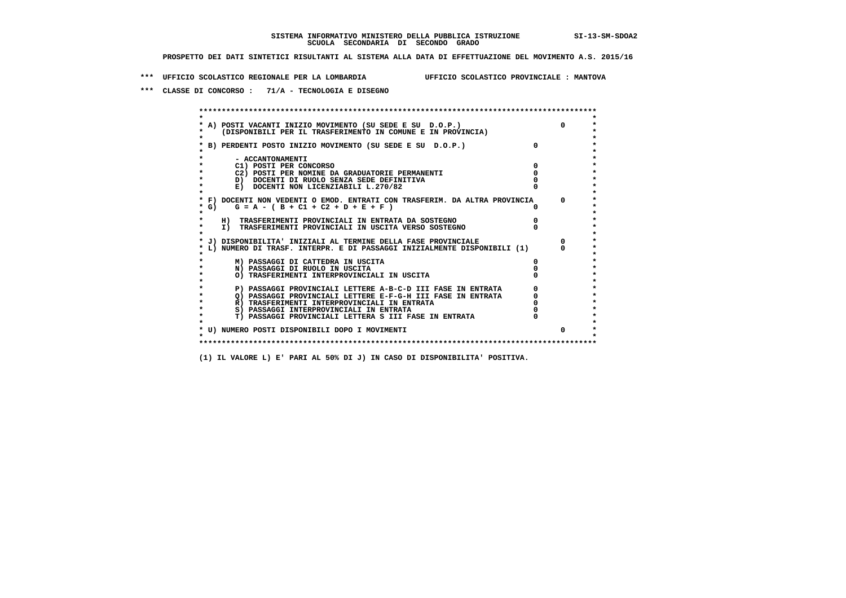**\*\*\* UFFICIO SCOLASTICO REGIONALE PER LA LOMBARDIA UFFICIO SCOLASTICO PROVINCIALE : MANTOVA**

 **\*\*\* CLASSE DI CONCORSO : 71/A - TECNOLOGIA E DISEGNO**

 **\*\*\*\*\*\*\*\*\*\*\*\*\*\*\*\*\*\*\*\*\*\*\*\*\*\*\*\*\*\*\*\*\*\*\*\*\*\*\*\*\*\*\*\*\*\*\*\*\*\*\*\*\*\*\*\*\*\*\*\*\*\*\*\*\*\*\*\*\*\*\*\*\*\*\*\*\*\*\*\*\*\*\*\*\*\*\*\* \* \*** $\bullet$  **\* A) POSTI VACANTI INIZIO MOVIMENTO (SU SEDE E SU D.O.P.) 0 \*** $\star$  **\* (DISPONIBILI PER IL TRASFERIMENTO IN COMUNE E IN PROVINCIA) \*** $\bullet$  **\* \* \* B) PERDENTI POSTO INIZIO MOVIMENTO (SU SEDE E SU D.O.P.) 0 \* \* \* \* - ACCANTONAMENTI \* \* C1) POSTI PER CONCORSO 0 \* \* C2) POSTI PER NOMINE DA GRADUATORIE PERMANENTI 0 \*D)** DOCENTI DI RUOLO SENZA SEDE DEFINITIVA  $\overline{a}$  0  $\overline{b}$  0  $\overline{c}$  0  $\overline{c}$  0  $\overline{c}$  0  $\overline{a}$  0  $\overline{b}$ **E) DOCENTI NON LICENZIABILI L.270/82 \* \* \* F) DOCENTI NON VEDENTI O EMOD. ENTRATI CON TRASFERIM. DA ALTRA PROVINCIA 0 \***  $\star$  **G)** G = A - ( B + C1 + C2 + D + E + F )  **\* \* \* H) TRASFERIMENTI PROVINCIALI IN ENTRATA DA SOSTEGNO 0 \* \* I) TRASFERIMENTI PROVINCIALI IN USCITA VERSO SOSTEGNO 0 \* \* \* \* J) DISPONIBILITA' INIZIALI AL TERMINE DELLA FASE PROVINCIALE 0 \* \* L) NUMERO DI TRASF. INTERPR. E DI PASSAGGI INIZIALMENTE DISPONIBILI (1) 0 \* \* \* \* M) PASSAGGI DI CATTEDRA IN USCITA 0 \* \* N) PASSAGGI DI RUOLO IN USCITA 0 \* \* O) TRASFERIMENTI INTERPROVINCIALI IN USCITA 0 \* \* \* P) PASSAGGI PROVINCIALI LETTERE A-B-C-D III FASE IN ENTRATA** 0 <sup>0</sup> **DASSAGGI PROVINCIALI LETTERE E-F-G-H** III FASE IN ENTRATA 0 <sup>0</sup>  $\star$  **\* Q) PASSAGGI PROVINCIALI LETTERE E-F-G-H III FASE IN ENTRATA 0 \*R)** TRASFERIMENTI INTERPROVINCIALI IN ENTRATA  $\begin{bmatrix} 0 & 0 \\ 0 & 0 \\ 0 & 0 \end{bmatrix}$  PASSAGGI INTERPROVINCIALI IN ENTRATA  $\begin{bmatrix} 0 & 0 \\ 0 & 0 \\ 0 & 0 \end{bmatrix}$  **\* S) PASSAGGI INTERPROVINCIALI IN ENTRATA 0 \*** $\ddot{\phantom{1}}$  **\* T) PASSAGGI PROVINCIALI LETTERA S III FASE IN ENTRATA 0 \*** $\star$  **\* \* \* U) NUMERO POSTI DISPONIBILI DOPO I MOVIMENTI 0 \* \* \* \*\*\*\*\*\*\*\*\*\*\*\*\*\*\*\*\*\*\*\*\*\*\*\*\*\*\*\*\*\*\*\*\*\*\*\*\*\*\*\*\*\*\*\*\*\*\*\*\*\*\*\*\*\*\*\*\*\*\*\*\*\*\*\*\*\*\*\*\*\*\*\*\*\*\*\*\*\*\*\*\*\*\*\*\*\*\*\***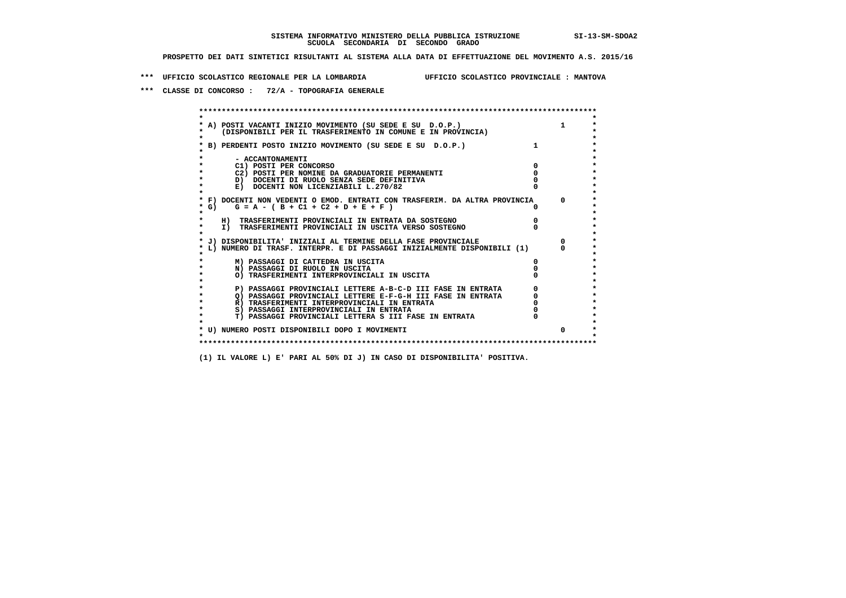**\*\*\* UFFICIO SCOLASTICO REGIONALE PER LA LOMBARDIA UFFICIO SCOLASTICO PROVINCIALE : MANTOVA**

 **\*\*\* CLASSE DI CONCORSO : 72/A - TOPOGRAFIA GENERALE**

 **\*\*\*\*\*\*\*\*\*\*\*\*\*\*\*\*\*\*\*\*\*\*\*\*\*\*\*\*\*\*\*\*\*\*\*\*\*\*\*\*\*\*\*\*\*\*\*\*\*\*\*\*\*\*\*\*\*\*\*\*\*\*\*\*\*\*\*\*\*\*\*\*\*\*\*\*\*\*\*\*\*\*\*\*\*\*\*\* \* \*** $\bullet$  **\* A) POSTI VACANTI INIZIO MOVIMENTO (SU SEDE E SU D.O.P.) 1 \*** $\star$  **\* (DISPONIBILI PER IL TRASFERIMENTO IN COMUNE E IN PROVINCIA) \* \* \* \* B) PERDENTI POSTO INIZIO MOVIMENTO (SU SEDE E SU D.O.P.) 1 \* \* \* \* - ACCANTONAMENTI \* \* C1) POSTI PER CONCORSO 0 \* \* C2) POSTI PER NOMINE DA GRADUATORIE PERMANENTI 0 \*D)** DOCENTI DI RUOLO SENZA SEDE DEFINITIVA  $\overline{a}$  0  $\overline{b}$  0  $\overline{c}$  0  $\overline{c}$  0  $\overline{c}$  0  $\overline{a}$  0  $\overline{c}$ **E) DOCENTI NON LICENZIABILI L.270/82 \* \* \* F) DOCENTI NON VEDENTI O EMOD. ENTRATI CON TRASFERIM. DA ALTRA PROVINCIA 0 \***  $\star$  **G)** G = A - ( B + C1 + C2 + D + E + F )  **\* \* \* H) TRASFERIMENTI PROVINCIALI IN ENTRATA DA SOSTEGNO 0 \* \* I) TRASFERIMENTI PROVINCIALI IN USCITA VERSO SOSTEGNO 0 \* \* \* \* J) DISPONIBILITA' INIZIALI AL TERMINE DELLA FASE PROVINCIALE 0 \* \* L) NUMERO DI TRASF. INTERPR. E DI PASSAGGI INIZIALMENTE DISPONIBILI (1) 0 \* \* \* \* M) PASSAGGI DI CATTEDRA IN USCITA 0 \* \* N) PASSAGGI DI RUOLO IN USCITA 0 \* \* O) TRASFERIMENTI INTERPROVINCIALI IN USCITA 0 \* \* \* P) PASSAGGI PROVINCIALI LETTERE A-B-C-D III FASE IN ENTRATA** 0 <sup>0</sup> **DASSAGGI PROVINCIALI LETTERE E-F-G-H** III FASE IN ENTRATA 0 <sup>0</sup> **2) PASSAGGI PROVINCIALI LETTERE E-F-G-H III FASE IN ENTRATA 6 0 R**) TRASFERIMENTI INTERPROVINCIALI IN ENTRATA 6 **0 R)** TRASFERIMENTI INTERPROVINCIALI IN ENTRATA  $\begin{bmatrix} 0 & 0 \\ 0 & 0 \\ 0 & 0 \end{bmatrix}$  PASSAGGI INTERPROVINCIALI IN ENTRATA  $\begin{bmatrix} 0 & 0 \\ 0 & 0 \\ 0 & 0 \end{bmatrix}$  **\* S) PASSAGGI INTERPROVINCIALI IN ENTRATA 0 \*** $\ddot{\phantom{1}}$  **\* T) PASSAGGI PROVINCIALI LETTERA S III FASE IN ENTRATA 0 \*** $\star$  **\* \* \* U) NUMERO POSTI DISPONIBILI DOPO I MOVIMENTI 0 \* \* \* \*\*\*\*\*\*\*\*\*\*\*\*\*\*\*\*\*\*\*\*\*\*\*\*\*\*\*\*\*\*\*\*\*\*\*\*\*\*\*\*\*\*\*\*\*\*\*\*\*\*\*\*\*\*\*\*\*\*\*\*\*\*\*\*\*\*\*\*\*\*\*\*\*\*\*\*\*\*\*\*\*\*\*\*\*\*\*\***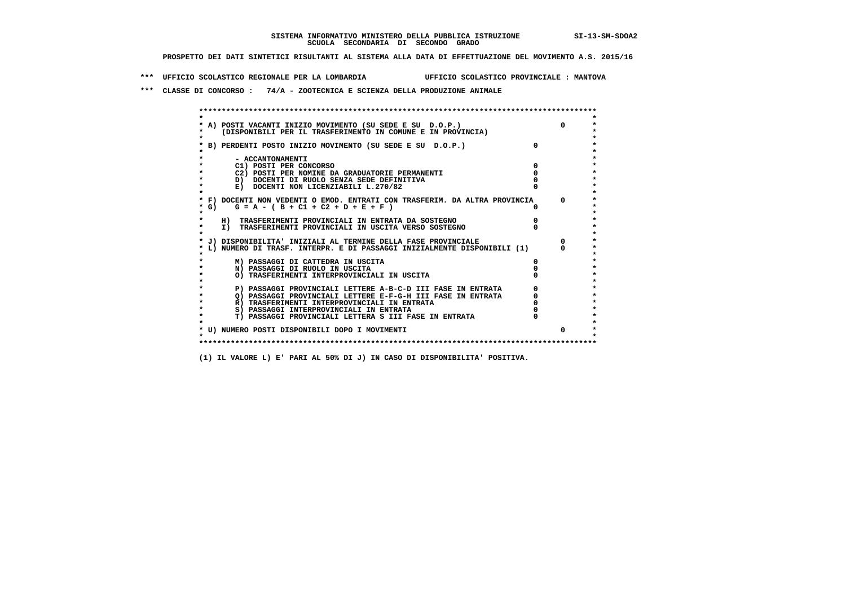**\*\*\* UFFICIO SCOLASTICO REGIONALE PER LA LOMBARDIA UFFICIO SCOLASTICO PROVINCIALE : MANTOVA**

 **\*\*\* CLASSE DI CONCORSO : 74/A - ZOOTECNICA E SCIENZA DELLA PRODUZIONE ANIMALE**

| * A) POSTI VACANTI INIZIO MOVIMENTO (SU SEDE E SU D.O.P.)                  |  |
|----------------------------------------------------------------------------|--|
| (DISPONIBILI PER IL TRASFERIMENTO IN COMUNE E IN PROVINCIA)                |  |
|                                                                            |  |
| * B) PERDENTI POSTO INIZIO MOVIMENTO (SU SEDE E SU D.O.P.)                 |  |
|                                                                            |  |
| - ACCANTONAMENTI                                                           |  |
| C1) POSTI PER CONCORSO                                                     |  |
| C2) POSTI PER NOMINE DA GRADUATORIE PERMANENTI                             |  |
| D) DOCENTI DI RUOLO SENZA SEDE DEFINITIVA                                  |  |
| E) DOCENTI NON LICENZIABILI L.270/82                                       |  |
|                                                                            |  |
| * F) DOCENTI NON VEDENTI O EMOD. ENTRATI CON TRASFERIM. DA ALTRA PROVINCIA |  |
| $G = A - (B + C1 + C2 + D + E + F)$<br>* G) +                              |  |
| $\star$                                                                    |  |
| H) TRASFERIMENTI PROVINCIALI IN ENTRATA DA SOSTEGNO                        |  |
| $\star$<br>I) TRASFERIMENTI PROVINCIALI IN USCITA VERSO SOSTEGNO           |  |
|                                                                            |  |
| * J) DISPONIBILITA' INIZIALI AL TERMINE DELLA FASE PROVINCIALE             |  |
| L) NUMERO DI TRASF. INTERPR. E DI PASSAGGI INIZIALMENTE DISPONIBILI (1)    |  |
| M) PASSAGGI DI CATTEDRA IN USCITA                                          |  |
| N) PASSAGGI DI RUOLO IN USCITA                                             |  |
| O) TRASFERIMENTI INTERPROVINCIALI IN USCITA                                |  |
|                                                                            |  |
| P) PASSAGGI PROVINCIALI LETTERE A-B-C-D III FASE IN ENTRATA                |  |
| $\star$<br>O) PASSAGGI PROVINCIALI LETTERE E-F-G-H III FASE IN ENTRATA     |  |
| $\star$<br>R) TRASFERIMENTI INTERPROVINCIALI IN ENTRATA                    |  |
| S) PASSAGGI INTERPROVINCIALI IN ENTRATA                                    |  |
| T) PASSAGGI PROVINCIALI LETTERA S III FASE IN ENTRATA                      |  |
|                                                                            |  |
| * U) NUMERO POSTI DISPONIBILI DOPO I MOVIMENTI                             |  |
|                                                                            |  |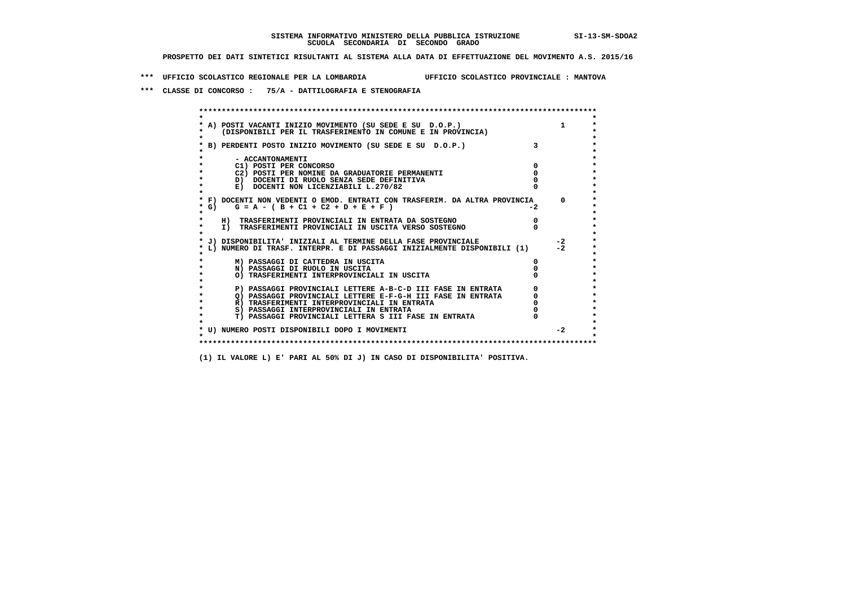**\*\*\* UFFICIO SCOLASTICO REGIONALE PER LA LOMBARDIA UFFICIO SCOLASTICO PROVINCIALE : MANTOVA**

 **\*\*\* CLASSE DI CONCORSO : 75/A - DATTILOGRAFIA E STENOGRAFIA**

|        | A) POSTI VACANTI INIZIO MOVIMENTO (SU SEDE E SU D.O.P.)                    |      | $\mathbf{1}$ |
|--------|----------------------------------------------------------------------------|------|--------------|
|        | (DISPONIBILI PER IL TRASFERIMENTO IN COMUNE E IN PROVINCIA)                |      |              |
|        |                                                                            |      |              |
|        | * B) PERDENTI POSTO INIZIO MOVIMENTO (SU SEDE E SU D.O.P.)                 |      |              |
|        |                                                                            |      |              |
|        | - ACCANTONAMENTI                                                           |      |              |
|        | C1) POSTI PER CONCORSO                                                     |      |              |
|        | C2) POSTI PER NOMINE DA GRADUATORIE PERMANENTI                             |      |              |
|        | D) DOCENTI DI RUOLO SENZA SEDE DEFINITIVA                                  |      |              |
|        | E) DOCENTI NON LICENZIABILI L.270/82                                       |      |              |
|        |                                                                            |      |              |
|        | * F) DOCENTI NON VEDENTI O EMOD. ENTRATI CON TRASFERIM. DA ALTRA PROVINCIA |      | $^{\circ}$   |
| $*$ G) | $G = A - (B + C1 + C2 + D + E + F)$                                        | $-2$ |              |
|        |                                                                            |      |              |
|        | H) TRASFERIMENTI PROVINCIALI IN ENTRATA DA SOSTEGNO                        |      |              |
|        | I) TRASFERIMENTI PROVINCIALI IN USCITA VERSO SOSTEGNO                      |      |              |
|        |                                                                            |      |              |
|        | J) DISPONIBILITA' INIZIALI AL TERMINE DELLA FASE PROVINCIALE               |      | $-2$         |
|        | L) NUMERO DI TRASF. INTERPR. E DI PASSAGGI INIZIALMENTE DISPONIBILI (1)    |      | $-2$         |
|        |                                                                            |      |              |
|        | M) PASSAGGI DI CATTEDRA IN USCITA                                          |      |              |
|        | N) PASSAGGI DI RUOLO IN USCITA                                             |      |              |
|        | O) TRASFERIMENTI INTERPROVINCIALI IN USCITA                                |      |              |
|        | P) PASSAGGI PROVINCIALI LETTERE A-B-C-D III FASE IN ENTRATA                |      |              |
|        | O) PASSAGGI PROVINCIALI LETTERE E-F-G-H III FASE IN ENTRATA                |      |              |
|        | R) TRASFERIMENTI INTERPROVINCIALI IN ENTRATA                               |      |              |
|        | S) PASSAGGI INTERPROVINCIALI IN ENTRATA                                    |      |              |
|        | T) PASSAGGI PROVINCIALI LETTERA S III FASE IN ENTRATA                      |      |              |
|        |                                                                            |      |              |
|        | * U) NUMERO POSTI DISPONIBILI DOPO I MOVIMENTI                             |      | $-2$         |
|        |                                                                            |      |              |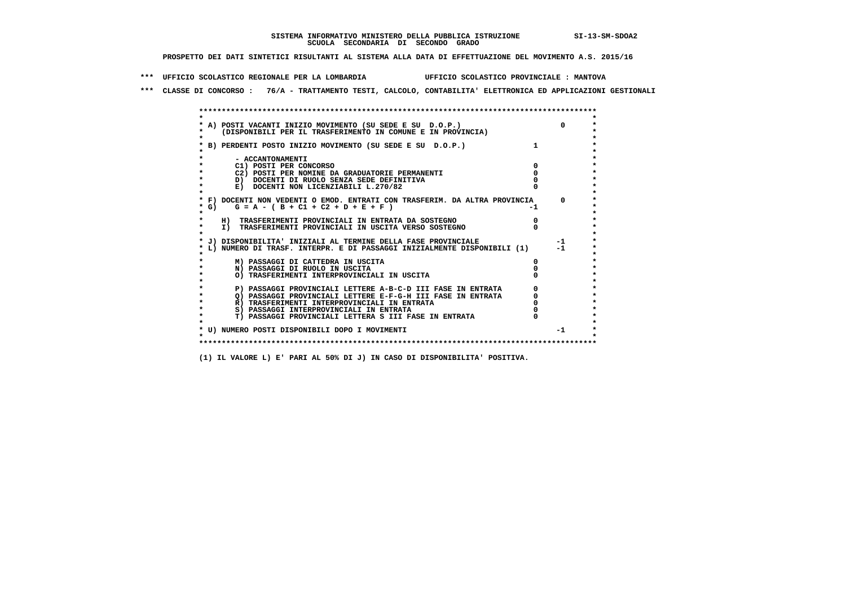**\*\*\* UFFICIO SCOLASTICO REGIONALE PER LA LOMBARDIA UFFICIO SCOLASTICO PROVINCIALE : MANTOVA**

 **\*\*\* CLASSE DI CONCORSO : 76/A - TRATTAMENTO TESTI, CALCOLO, CONTABILITA' ELETTRONICA ED APPLICAZIONI GESTIONALI**

|         | * A) POSTI VACANTI INIZIO MOVIMENTO (SU SEDE E SU D.O.P.)                  | $\Omega$ |
|---------|----------------------------------------------------------------------------|----------|
|         | (DISPONIBILI PER IL TRASFERIMENTO IN COMUNE E IN PROVINCIA)                |          |
|         |                                                                            |          |
|         | B) PERDENTI POSTO INIZIO MOVIMENTO (SU SEDE E SU D.O.P.)                   |          |
|         |                                                                            |          |
|         | - ACCANTONAMENTI                                                           |          |
|         | C1) POSTI PER CONCORSO                                                     |          |
|         | C2) POSTI PER NOMINE DA GRADUATORIE PERMANENTI                             |          |
|         | D) DOCENTI DI RUOLO SENZA SEDE DEFINITIVA                                  |          |
|         | E) DOCENTI NON LICENZIABILI L.270/82                                       |          |
|         |                                                                            |          |
|         | * F) DOCENTI NON VEDENTI O EMOD. ENTRATI CON TRASFERIM. DA ALTRA PROVINCIA | $\Omega$ |
| * G) +  | $G = A - (B + C1 + C2 + D + E + F)$                                        |          |
| $\star$ |                                                                            |          |
|         | H) TRASFERIMENTI PROVINCIALI IN ENTRATA DA SOSTEGNO                        |          |
|         | I) TRASFERIMENTI PROVINCIALI IN USCITA VERSO SOSTEGNO                      |          |
|         |                                                                            |          |
|         | J) DISPONIBILITA' INIZIALI AL TERMINE DELLA FASE PROVINCIALE               | $-1$     |
|         | L) NUMERO DI TRASF. INTERPR. E DI PASSAGGI INIZIALMENTE DISPONIBILI (1)    | $-1$     |
|         |                                                                            |          |
|         | M) PASSAGGI DI CATTEDRA IN USCITA                                          |          |
|         | N) PASSAGGI DI RUOLO IN USCITA                                             |          |
|         | O) TRASFERIMENTI INTERPROVINCIALI IN USCITA                                |          |
|         | P) PASSAGGI PROVINCIALI LETTERE A-B-C-D III FASE IN ENTRATA                |          |
|         | Q) PASSAGGI PROVINCIALI LETTERE E-F-G-H III FASE IN ENTRATA                |          |
|         | R) TRASFERIMENTI INTERPROVINCIALI IN ENTRATA                               |          |
|         | S) PASSAGGI INTERPROVINCIALI IN ENTRATA                                    |          |
|         | T) PASSAGGI PROVINCIALI LETTERA S III FASE IN ENTRATA                      |          |
|         |                                                                            |          |
|         | * U) NUMERO POSTI DISPONIBILI DOPO I MOVIMENTI                             | $-1$     |
|         |                                                                            |          |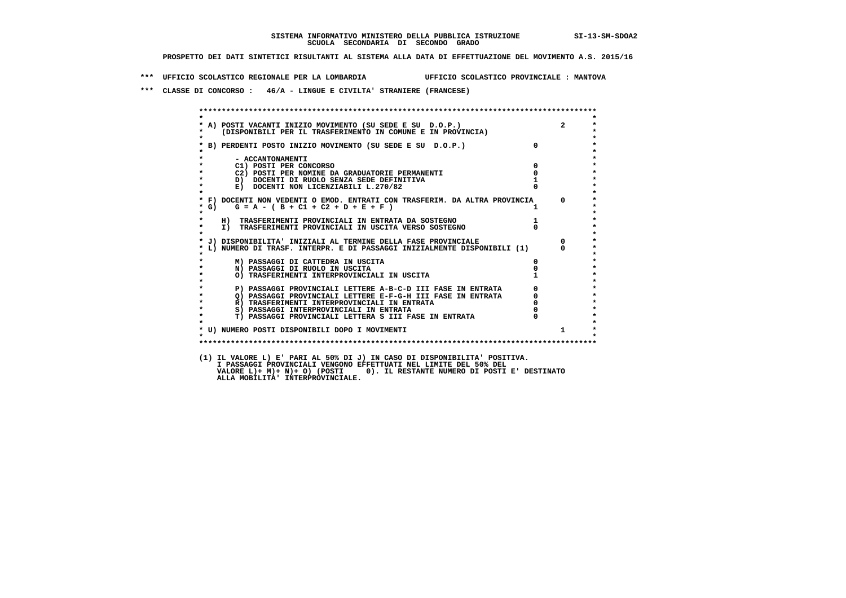**\*\*\* UFFICIO SCOLASTICO REGIONALE PER LA LOMBARDIA UFFICIO SCOLASTICO PROVINCIALE : MANTOVA**

 **\*\*\* CLASSE DI CONCORSO : 46/A - LINGUE E CIVILTA' STRANIERE (FRANCESE)**

| $\star$            |                                                                              |              |              |
|--------------------|------------------------------------------------------------------------------|--------------|--------------|
|                    | * A) POSTI VACANTI INIZIO MOVIMENTO (SU SEDE E SU D.O.P.)                    |              | $2^{\circ}$  |
| *<br>$\star$       | (DISPONIBILI PER IL TRASFERIMENTO IN COMUNE E IN PROVINCIA)                  |              |              |
|                    | * B) PERDENTI POSTO INIZIO MOVIMENTO (SU SEDE E SU D.O.P.)                   | $\Omega$     |              |
|                    |                                                                              |              |              |
|                    | - ACCANTONAMENTI                                                             |              |              |
| $\star$            | C1) POSTI PER CONCORSO                                                       | $\Omega$     |              |
| $\star$            | C2) POSTI PER NOMINE DA GRADUATORIE PERMANENTI                               | $\mathbf{o}$ |              |
| $\star$            | D) DOCENTI DI RUOLO SENZA SEDE DEFINITIVA                                    |              |              |
| $\star$<br>$\star$ | E) DOCENTI NON LICENZIABILI L.270/82                                         |              |              |
|                    | * F) DOCENTI NON VEDENTI O EMOD. ENTRATI CON TRASFERIM. DA ALTRA PROVINCIA 0 |              |              |
| * G)               | $G = A - (B + C1 + C2 + D + E + F)$                                          |              |              |
| $\star$            |                                                                              |              |              |
| $\star$            | H) TRASFERIMENTI PROVINCIALI IN ENTRATA DA SOSTEGNO                          |              |              |
| $\star$            | I) TRASFERIMENTI PROVINCIALI IN USCITA VERSO SOSTEGNO                        |              |              |
| $\star$            |                                                                              |              |              |
|                    | * J) DISPONIBILITA' INIZIALI AL TERMINE DELLA FASE PROVINCIALE               |              | $\Omega$     |
|                    | * L) NUMERO DI TRASF. INTERPR. E DI PASSAGGI INIZIALMENTE DISPONIBILI (1)    |              | $^{\circ}$   |
|                    | M) PASSAGGI DI CATTEDRA IN USCITA                                            | 0            |              |
| $\star$            | N) PASSAGGI DI RUOLO IN USCITA                                               |              |              |
| $\star$            | O) TRASFERIMENTI INTERPROVINCIALI IN USCITA                                  |              |              |
| $\star$            |                                                                              |              |              |
| $\star$            | P) PASSAGGI PROVINCIALI LETTERE A-B-C-D III FASE IN ENTRATA                  |              |              |
| $\star$            | Q) PASSAGGI PROVINCIALI LETTERE E-F-G-H III FASE IN ENTRATA                  |              |              |
| $\star$            | R) TRASFERIMENTI INTERPROVINCIALI IN ENTRATA                                 |              |              |
| $\star$<br>$\star$ | S) PASSAGGI INTERPROVINCIALI IN ENTRATA                                      |              |              |
|                    | T) PASSAGGI PROVINCIALI LETTERA S III FASE IN ENTRATA                        |              |              |
|                    |                                                                              |              | $\mathbf{1}$ |
| $\star$            |                                                                              |              |              |
|                    | * U) NUMERO POSTI DISPONIBILI DOPO I MOVIMENTI                               |              |              |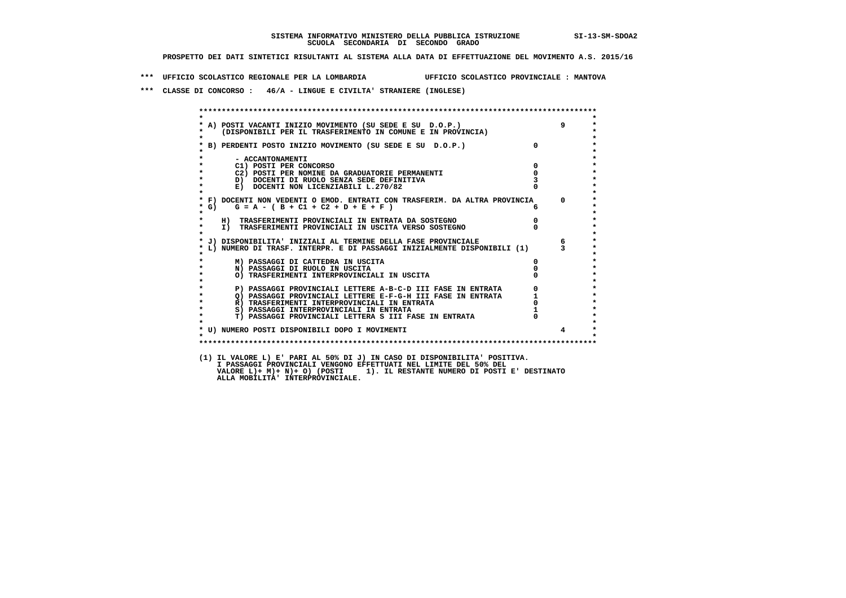**\*\*\* UFFICIO SCOLASTICO REGIONALE PER LA LOMBARDIA UFFICIO SCOLASTICO PROVINCIALE : MANTOVA**

 **\*\*\* CLASSE DI CONCORSO : 46/A - LINGUE E CIVILTA' STRANIERE (INGLESE)**

| $\star$           |                                                                                                                        |                                                 |                 |
|-------------------|------------------------------------------------------------------------------------------------------------------------|-------------------------------------------------|-----------------|
|                   | A) POSTI VACANTI INIZIO MOVIMENTO (SU SEDE E SU D.O.P.)<br>(DISPONIBILI PER IL TRASFERIMENTO IN COMUNE E IN PROVINCIA) |                                                 | 9               |
|                   |                                                                                                                        |                                                 |                 |
|                   | * B) PERDENTI POSTO INIZIO MOVIMENTO (SU SEDE E SU D.O.P.)                                                             |                                                 |                 |
|                   | - ACCANTONAMENTI                                                                                                       |                                                 |                 |
|                   | $\overline{\mathbf{0}}$<br>C1) POSTI PER CONCORSO                                                                      |                                                 |                 |
|                   | C2) POSTI PER NOMINE DA GRADUATORIE PERMANENTI                                                                         | $\overline{0}$                                  |                 |
| $\star$           | D) DOCENTI DI RUOLO SENZA SEDE DEFINITIVA                                                                              |                                                 |                 |
|                   | E) DOCENTI NON LICENZIABILI L.270/82                                                                                   |                                                 |                 |
|                   | * F) DOCENTI NON VEDENTI O EMOD. ENTRATI CON TRASFERIM. DA ALTRA PROVINCIA 0                                           |                                                 |                 |
| $*$ G)<br>$\star$ | $G = A - (B + C1 + C2 + D + E + F)$                                                                                    |                                                 |                 |
|                   | H) TRASFERIMENTI PROVINCIALI IN ENTRATA DA SOSTEGNO                                                                    |                                                 |                 |
| $\star$           | I) TRASFERIMENTI PROVINCIALI IN USCITA VERSO SOSTEGNO                                                                  |                                                 |                 |
|                   |                                                                                                                        |                                                 |                 |
|                   | * J) DISPONIBILITA' INIZIALI AL TERMINE DELLA FASE PROVINCIALE                                                         |                                                 | $6\overline{6}$ |
|                   | L) NUMERO DI TRASF. INTERPR. E DI PASSAGGI INIZIALMENTE DISPONIBILI (1) 3                                              |                                                 |                 |
|                   | M) PASSAGGI DI CATTEDRA IN USCITA                                                                                      |                                                 |                 |
| $\star$           | N) PASSAGGI DI RUOLO IN USCITA                                                                                         |                                                 |                 |
|                   | O) TRASFERIMENTI INTERPROVINCIALI IN USCITA                                                                            |                                                 |                 |
|                   | P) PASSAGGI PROVINCIALI LETTERE A-B-C-D III FASE IN ENTRATA                                                            | $\begin{array}{c} 0 \\ 1 \\ 0 \\ 1 \end{array}$ |                 |
| $\bullet$         | 2) PASSAGGI PROVINCIALI LETTERE E-F-G-H III FASE IN ENTRATA                                                            |                                                 |                 |
| $\star$           | R) TRASFERIMENTI INTERPROVINCIALI IN ENTRATA                                                                           |                                                 |                 |
| $\star$           | S) PASSAGGI INTERPROVINCIALI IN ENTRATA                                                                                |                                                 |                 |
| $\star$           | T) PASSAGGI PROVINCIALI LETTERA S III FASE IN ENTRATA                                                                  |                                                 |                 |
|                   | * U) NUMERO POSTI DISPONIBILI DOPO I MOVIMENTI                                                                         |                                                 | $\overline{4}$  |
| $\cdot$           |                                                                                                                        |                                                 |                 |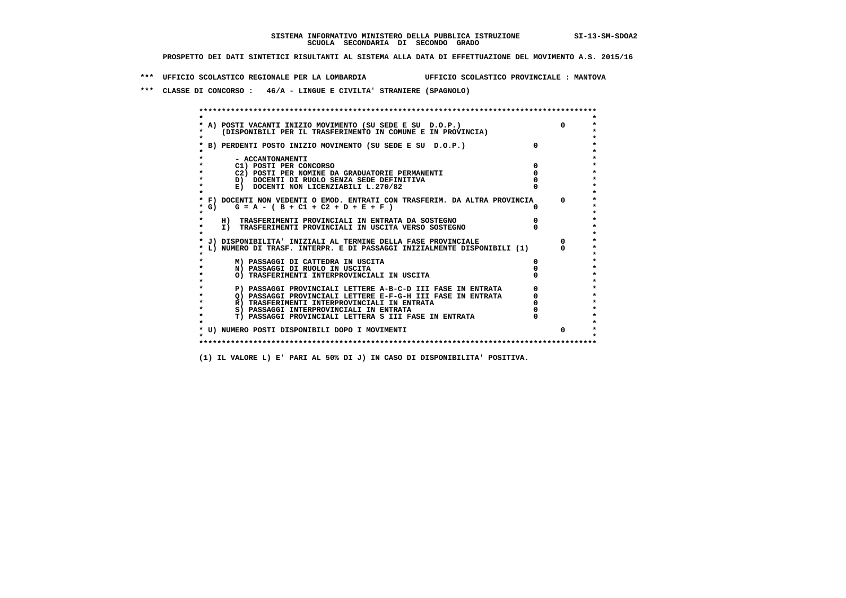**\*\*\* UFFICIO SCOLASTICO REGIONALE PER LA LOMBARDIA UFFICIO SCOLASTICO PROVINCIALE : MANTOVA**

 **\*\*\* CLASSE DI CONCORSO : 46/A - LINGUE E CIVILTA' STRANIERE (SPAGNOLO)**

| A) POSTI VACANTI INIZIO MOVIMENTO (SU SEDE E SU D.O.P.)<br>(DISPONIBILI PER IL TRASFERIMENTO IN COMUNE E IN PROVINCIA) | $\Omega$ |
|------------------------------------------------------------------------------------------------------------------------|----------|
| B) PERDENTI POSTO INIZIO MOVIMENTO (SU SEDE E SU D.O.P.)                                                               |          |
| - ACCANTONAMENTI                                                                                                       |          |
| C1) POSTI PER CONCORSO                                                                                                 |          |
| C2) POSTI PER NOMINE DA GRADUATORIE PERMANENTI                                                                         |          |
| D) DOCENTI DI RUOLO SENZA SEDE DEFINITIVA                                                                              |          |
| E) DOCENTI NON LICENZIABILI L.270/82                                                                                   |          |
| * F) DOCENTI NON VEDENTI O EMOD. ENTRATI CON TRASFERIM. DA ALTRA PROVINCIA                                             | $\Omega$ |
| * G) $G = A - (B + C1 + C2 + D + E + F)$                                                                               |          |
| H) TRASFERIMENTI PROVINCIALI IN ENTRATA DA SOSTEGNO                                                                    |          |
| I) TRASFERIMENTI PROVINCIALI IN USCITA VERSO SOSTEGNO                                                                  |          |
| J) DISPONIBILITA' INIZIALI AL TERMINE DELLA FASE PROVINCIALE                                                           |          |
| L) NUMERO DI TRASF. INTERPR. E DI PASSAGGI INIZIALMENTE DISPONIBILI (1)                                                |          |
| M) PASSAGGI DI CATTEDRA IN USCITA                                                                                      |          |
| N) PASSAGGI DI RUOLO IN USCITA                                                                                         |          |
| O) TRASFERIMENTI INTERPROVINCIALI IN USCITA                                                                            |          |
| P) PASSAGGI PROVINCIALI LETTERE A-B-C-D III FASE IN ENTRATA                                                            |          |
| O) PASSAGGI PROVINCIALI LETTERE E-F-G-H III FASE IN ENTRATA                                                            |          |
| R) TRASFERIMENTI INTERPROVINCIALI IN ENTRATA                                                                           |          |
| S) PASSAGGI INTERPROVINCIALI IN ENTRATA                                                                                |          |
| T) PASSAGGI PROVINCIALI LETTERA S III FASE IN ENTRATA                                                                  |          |
| * U) NUMERO POSTI DISPONIBILI DOPO I MOVIMENTI                                                                         | $\Omega$ |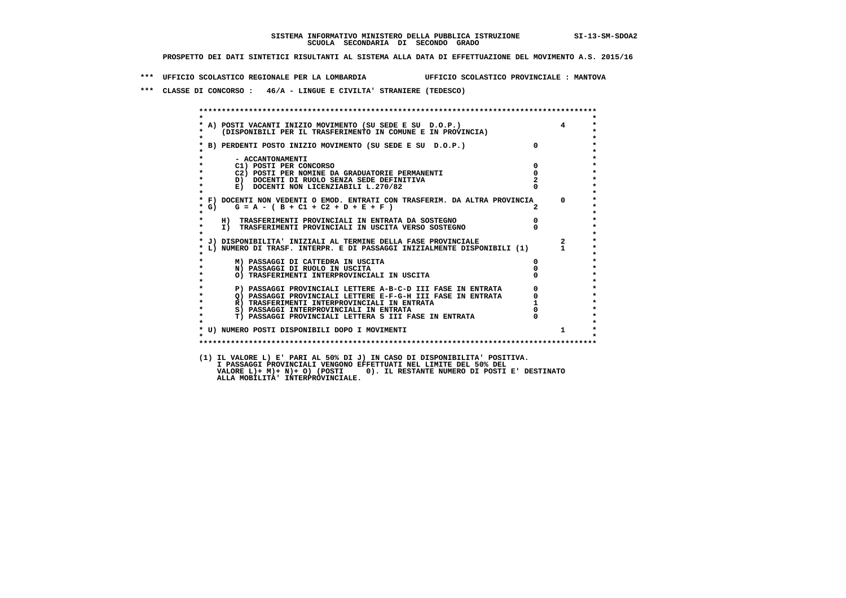**\*\*\* UFFICIO SCOLASTICO REGIONALE PER LA LOMBARDIA UFFICIO SCOLASTICO PROVINCIALE : MANTOVA**

 **\*\*\* CLASSE DI CONCORSO : 46/A - LINGUE E CIVILTA' STRANIERE (TEDESCO)**

| $\star$                                                                                                                                                                                                                                    |                                                 |
|--------------------------------------------------------------------------------------------------------------------------------------------------------------------------------------------------------------------------------------------|-------------------------------------------------|
| A) POSTI VACANTI INIZIO MOVIMENTO (SU SEDE E SU D.O.P.)<br>(DISPONIBILI PER IL TRASFERIMENTO IN COMUNE E IN PROVINCIA)                                                                                                                     | $\overline{4}$                                  |
| * B) PERDENTI POSTO INIZIO MOVIMENTO (SU SEDE E SU D.O.P.)                                                                                                                                                                                 | $\overline{0}$                                  |
|                                                                                                                                                                                                                                            |                                                 |
| - ACCANTONAMENTI<br>C1) POSTI PER CONCORSO                                                                                                                                                                                                 | $\overline{0}$                                  |
| C2) POSTI PER NOMINE DA GRADUATORIE PERMANENTI                                                                                                                                                                                             | $\overline{0}$                                  |
| D) DOCENTI DI RUOLO SENZA SEDE DEFINITIVA                                                                                                                                                                                                  |                                                 |
| $\star$<br>E) DOCENTI NON LICENZIABILI L.270/82                                                                                                                                                                                            |                                                 |
| * F) DOCENTI NON VEDENTI O EMOD. ENTRATI CON TRASFERIM. DA ALTRA PROVINCIA 0                                                                                                                                                               |                                                 |
| $G = A - (B + C1 + C2 + D + E + F)$<br>$*$ G)<br>$\star$                                                                                                                                                                                   |                                                 |
|                                                                                                                                                                                                                                            | $\begin{matrix}0\\0\end{matrix}$                |
| H) TRASFERIMENTI PROVINCIALI IN ENTRATA DA SOSTEGNO<br>I) TRASFERIMENTI PROVINCIALI IN USCITA VERSO SOSTEGNO<br>$\star$                                                                                                                    |                                                 |
| * J) DISPONIBILITA' INIZIALI AL TERMINE DELLA FASE PROVINCIALE                                                                                                                                                                             | $\overline{\mathbf{2}}$                         |
| L) NUMERO DI TRASF. INTERPR. E DI PASSAGGI INIZIALMENTE DISPONIBILI (1) 1                                                                                                                                                                  |                                                 |
| M) PASSAGGI DI CATTEDRA IN USCITA                                                                                                                                                                                                          | $\mathbf{0}$                                    |
| $\star$<br>N) PASSAGGI DI RUOLO IN USCITA                                                                                                                                                                                                  |                                                 |
| O) TRASFERIMENTI INTERPROVINCIALI IN USCITA                                                                                                                                                                                                |                                                 |
| P) PASSAGGI PROVINCIALI LETTERE A-B-C-D III FASE IN ENTRATA                                                                                                                                                                                | $\begin{array}{c} 0 \\ 0 \\ 1 \\ 0 \end{array}$ |
| P PASSAGGI PROVINCIALI LETTERE E-F-G-H III FASE IN ENIRALA R) TRASFAGGI PROVINCIALI LETTERE E-F-G-H III FASE IN ENTRATA R) TRASFERIMENTI INTERPROVINCIALI LETTERE E-F-G-H III FASE IN ENTRATA S) PASSAGGI INTERPROVINCIALI IN<br>$\bullet$ |                                                 |
| $\star$                                                                                                                                                                                                                                    |                                                 |
| $\bullet$<br>S) PASSAGGI INTERPROVINCIALI IN ENTRATA                                                                                                                                                                                       |                                                 |
| T) PASSAGGI PROVINCIALI LETTERA S III FASE IN ENTRATA<br>$\star$                                                                                                                                                                           |                                                 |
| * U) NUMERO POSTI DISPONIBILI DOPO I MOVIMENTI                                                                                                                                                                                             | $\mathbf{1}$                                    |
| $\star$                                                                                                                                                                                                                                    |                                                 |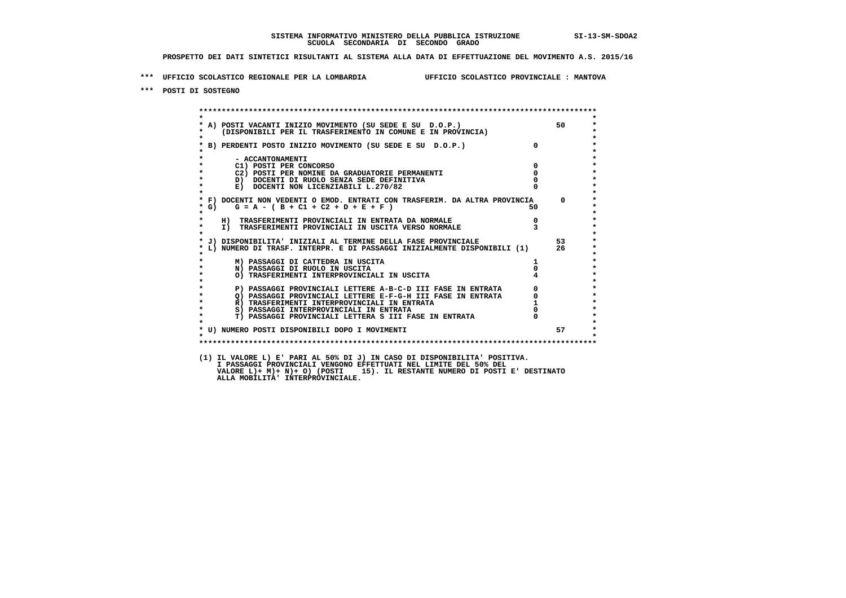**\*\*\* UFFICIO SCOLASTICO REGIONALE PER LA LOMBARDIA UFFICIO SCOLASTICO PROVINCIALE : MANTOVA**

 **\*\*\* POSTI DI SOSTEGNO**

 **\*\*\*\*\*\*\*\*\*\*\*\*\*\*\*\*\*\*\*\*\*\*\*\*\*\*\*\*\*\*\*\*\*\*\*\*\*\*\*\*\*\*\*\*\*\*\*\*\*\*\*\*\*\*\*\*\*\*\*\*\*\*\*\*\*\*\*\*\*\*\*\*\*\*\*\*\*\*\*\*\*\*\*\*\*\*\*\* \* \*** $\bullet$  **\* A) POSTI VACANTI INIZIO MOVIMENTO (SU SEDE E SU D.O.P.) 50 \*** $\star$  **\* (DISPONIBILI PER IL TRASFERIMENTO IN COMUNE E IN PROVINCIA) \*** $\bullet$  **\* \* \* B) PERDENTI POSTO INIZIO MOVIMENTO (SU SEDE E SU D.O.P.) 0 \* \* \* \* - ACCANTONAMENTI \* \* C1) POSTI PER CONCORSO 0 \* \* C2) POSTI PER NOMINE DA GRADUATORIE PERMANENTI 0 \*D)** DOCENTI DI RUOLO SENZA SEDE DEFINITIVA  $\overline{a}$  0  $\overline{b}$  0  $\overline{c}$  0  $\overline{c}$  0  $\overline{c}$  0  $\overline{a}$  0  $\overline{c}$ **E) DOCENTI NON LICENZIABILI L.270/82 \* \* \* F) DOCENTI NON VEDENTI O EMOD. ENTRATI CON TRASFERIM. DA ALTRA PROVINCIA 0 \***  $\star$  **G)** G = A - ( B + C1 + C2 + D + E + F )  **\* \* \* H) TRASFERIMENTI PROVINCIALI IN ENTRATA DA NORMALE 0 \* \* I) TRASFERIMENTI PROVINCIALI IN USCITA VERSO NORMALE 3 \* \* \* \* J) DISPONIBILITA' INIZIALI AL TERMINE DELLA FASE PROVINCIALE 53 \* \* L) NUMERO DI TRASF. INTERPR. E DI PASSAGGI INIZIALMENTE DISPONIBILI (1) 26 \* \* \* \* M) PASSAGGI DI CATTEDRA IN USCITA 1 \* \* N) PASSAGGI DI RUOLO IN USCITA 0 \* \* O) TRASFERIMENTI INTERPROVINCIALI IN USCITA 4 \* \* \* P) PASSAGGI PROVINCIALI LETTERE A-B-C-D III FASE IN ENTRATA** 0 <sup>0</sup> **DASSAGGI PROVINCIALI LETTERE E-F-G-H** III FASE IN ENTRATA 0 <sup>0</sup> **2) PASSAGGI PROVINCIALI LETTERE E-F-G-H III FASE IN ENTRATA 6**  $\overline{Q}$  **PASSAGGI PROVINCIALI LETTERE E-F-G-H III FASE IN ENTRATA** 0  **\* R) TRASFERIMENTI INTERPROVINCIALI IN ENTRATA 1 \*8) PASSAGGI INTERPROVINCIALI IN ENTRATA**  $\overline{0}$ **<br>
<b>T) PASSAGGI PROVINCIALI LETTERA S III FASE IN ENTRATA**  $\overline{0}$  $\ddot{\phantom{1}}$  **\* T) PASSAGGI PROVINCIALI LETTERA S III FASE IN ENTRATA 0 \*** $\star$  **\* \*** $\star$  **\* U) NUMERO POSTI DISPONIBILI DOPO I MOVIMENTI 57 \* \* \* \*\*\*\*\*\*\*\*\*\*\*\*\*\*\*\*\*\*\*\*\*\*\*\*\*\*\*\*\*\*\*\*\*\*\*\*\*\*\*\*\*\*\*\*\*\*\*\*\*\*\*\*\*\*\*\*\*\*\*\*\*\*\*\*\*\*\*\*\*\*\*\*\*\*\*\*\*\*\*\*\*\*\*\*\*\*\*\* (1) IL VALORE L) E' PARI AL 50% DI J) IN CASO DI DISPONIBILITA' POSITIVA. I PASSAGGI PROVINCIALI VENGONO EFFETTUATI NEL LIMITE DEL 50% DEL VALORE L)+ M)+ N)+ O) (POSTI 15). IL RESTANTE NUMERO DI POSTI E' DESTINATO ALLA MOBILITA' INTERPROVINCIALE.**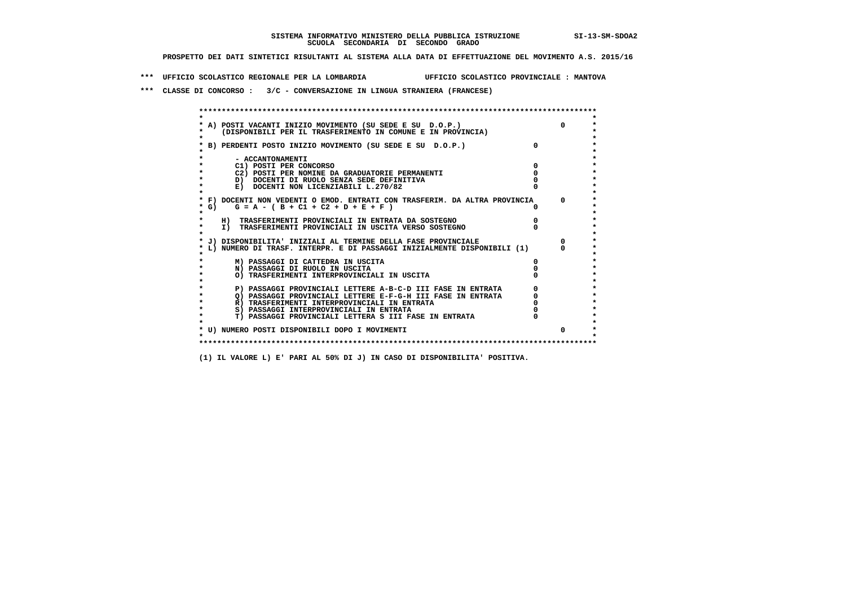**\*\*\* UFFICIO SCOLASTICO REGIONALE PER LA LOMBARDIA UFFICIO SCOLASTICO PROVINCIALE : MANTOVA**

 **\*\*\* CLASSE DI CONCORSO : 3/C - CONVERSAZIONE IN LINGUA STRANIERA (FRANCESE)**

| * A) POSTI VACANTI INIZIO MOVIMENTO (SU SEDE E SU D.O.P.)                  |          |
|----------------------------------------------------------------------------|----------|
| (DISPONIBILI PER IL TRASFERIMENTO IN COMUNE E IN PROVINCIA)                |          |
|                                                                            |          |
| B) PERDENTI POSTO INIZIO MOVIMENTO (SU SEDE E SU D.O.P.)                   |          |
|                                                                            |          |
| - ACCANTONAMENTI                                                           |          |
| C1) POSTI PER CONCORSO                                                     |          |
| C2) POSTI PER NOMINE DA GRADUATORIE PERMANENTI                             |          |
| D) DOCENTI DI RUOLO SENZA SEDE DEFINITIVA                                  |          |
| E) DOCENTI NON LICENZIABILI L.270/82                                       |          |
|                                                                            |          |
| * F) DOCENTI NON VEDENTI O EMOD. ENTRATI CON TRASFERIM. DA ALTRA PROVINCIA | $\Omega$ |
| $G = A - (B + C1 + C2 + D + E + F)$<br>* G)                                |          |
|                                                                            |          |
| H) TRASFERIMENTI PROVINCIALI IN ENTRATA DA SOSTEGNO                        |          |
| I) TRASFERIMENTI PROVINCIALI IN USCITA VERSO SOSTEGNO                      |          |
|                                                                            |          |
| * J) DISPONIBILITA' INIZIALI AL TERMINE DELLA FASE PROVINCIALE             |          |
| L) NUMERO DI TRASF. INTERPR. E DI PASSAGGI INIZIALMENTE DISPONIBILI (1)    |          |
|                                                                            |          |
| M) PASSAGGI DI CATTEDRA IN USCITA                                          |          |
| N) PASSAGGI DI RUOLO IN USCITA                                             |          |
| O) TRASFERIMENTI INTERPROVINCIALI IN USCITA                                |          |
| P) PASSAGGI PROVINCIALI LETTERE A-B-C-D III FASE IN ENTRATA                |          |
| O) PASSAGGI PROVINCIALI LETTERE E-F-G-H III FASE IN ENTRATA                |          |
| R) TRASFERIMENTI INTERPROVINCIALI IN ENTRATA                               |          |
| S) PASSAGGI INTERPROVINCIALI IN ENTRATA                                    |          |
| T) PASSAGGI PROVINCIALI LETTERA S III FASE IN ENTRATA                      |          |
|                                                                            |          |
| * U) NUMERO POSTI DISPONIBILI DOPO I MOVIMENTI                             |          |
|                                                                            |          |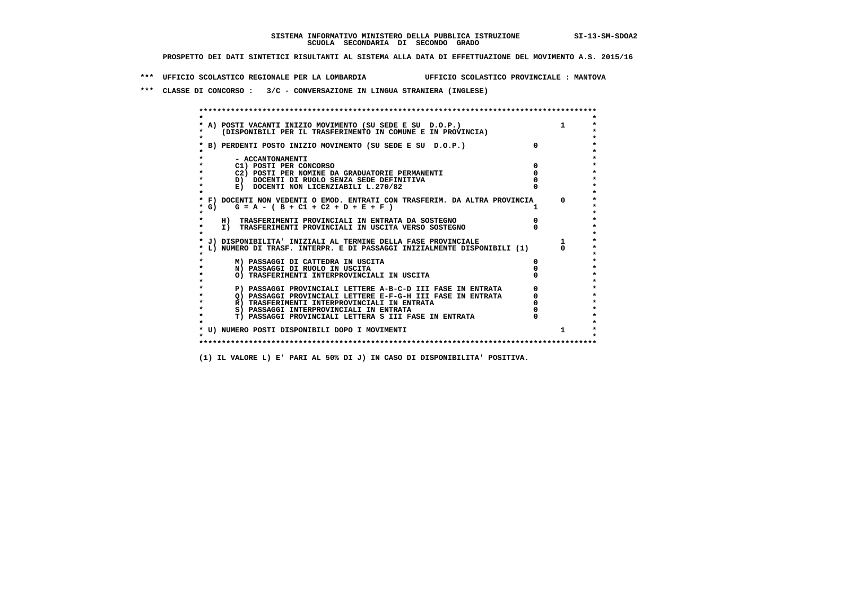**\*\*\* UFFICIO SCOLASTICO REGIONALE PER LA LOMBARDIA UFFICIO SCOLASTICO PROVINCIALE : MANTOVA**

 **\*\*\* CLASSE DI CONCORSO : 3/C - CONVERSAZIONE IN LINGUA STRANIERA (INGLESE)**

|         | A) POSTI VACANTI INIZIO MOVIMENTO (SU SEDE E SU D.O.P.)                    |            |
|---------|----------------------------------------------------------------------------|------------|
|         | (DISPONIBILI PER IL TRASFERIMENTO IN COMUNE E IN PROVINCIA)                |            |
|         |                                                                            |            |
|         | B) PERDENTI POSTO INIZIO MOVIMENTO (SU SEDE E SU D.O.P.)                   |            |
|         |                                                                            |            |
|         | - ACCANTONAMENTI                                                           |            |
|         | C1) POSTI PER CONCORSO                                                     |            |
|         | C2) POSTI PER NOMINE DA GRADUATORIE PERMANENTI                             |            |
|         | D) DOCENTI DI RUOLO SENZA SEDE DEFINITIVA                                  |            |
|         | E) DOCENTI NON LICENZIABILI L.270/82                                       |            |
|         |                                                                            |            |
|         | * F) DOCENTI NON VEDENTI O EMOD. ENTRATI CON TRASFERIM. DA ALTRA PROVINCIA | $^{\circ}$ |
|         | * G) $G = A - (B + C1 + C2 + D + E + F)$                                   |            |
|         |                                                                            |            |
|         | H) TRASFERIMENTI PROVINCIALI IN ENTRATA DA SOSTEGNO                        |            |
| $\star$ | I) TRASFERIMENTI PROVINCIALI IN USCITA VERSO SOSTEGNO                      |            |
|         |                                                                            |            |
|         | * J) DISPONIBILITA' INIZIALI AL TERMINE DELLA FASE PROVINCIALE             |            |
|         | L) NUMERO DI TRASF. INTERPR. E DI PASSAGGI INIZIALMENTE DISPONIBILI (1)    |            |
|         | M) PASSAGGI DI CATTEDRA IN USCITA                                          |            |
|         | N) PASSAGGI DI RUOLO IN USCITA                                             |            |
|         | O) TRASFERIMENTI INTERPROVINCIALI IN USCITA                                |            |
|         |                                                                            |            |
|         | P) PASSAGGI PROVINCIALI LETTERE A-B-C-D III FASE IN ENTRATA                |            |
|         | O) PASSAGGI PROVINCIALI LETTERE E-F-G-H III FASE IN ENTRATA                |            |
|         | R) TRASFERIMENTI INTERPROVINCIALI IN ENTRATA                               |            |
|         | S) PASSAGGI INTERPROVINCIALI IN ENTRATA                                    |            |
|         | T) PASSAGGI PROVINCIALI LETTERA S III FASE IN ENTRATA                      |            |
|         |                                                                            |            |
|         | * U) NUMERO POSTI DISPONIBILI DOPO I MOVIMENTI                             |            |
|         |                                                                            |            |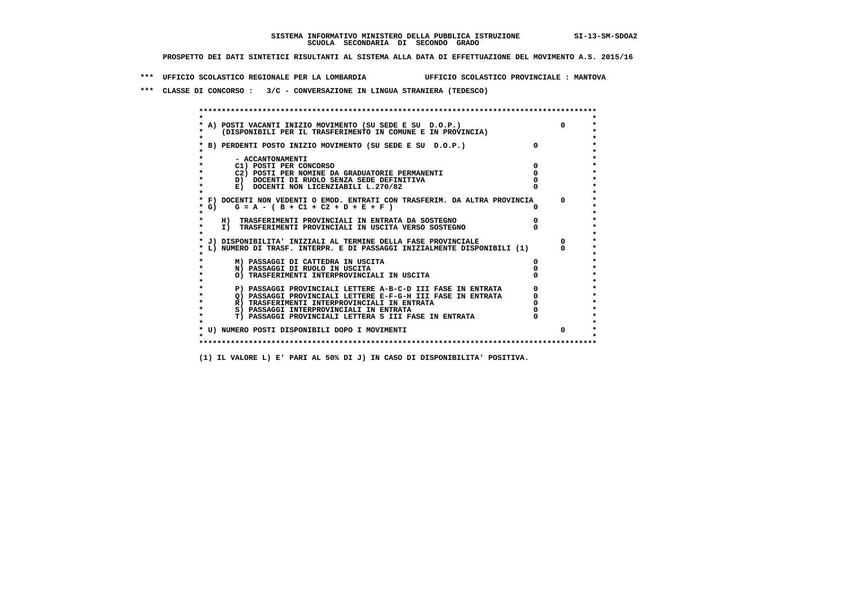**\*\*\* UFFICIO SCOLASTICO REGIONALE PER LA LOMBARDIA UFFICIO SCOLASTICO PROVINCIALE : MANTOVA**

 **\*\*\* CLASSE DI CONCORSO : 3/C - CONVERSAZIONE IN LINGUA STRANIERA (TEDESCO)**

|         | A) POSTI VACANTI INIZIO MOVIMENTO (SU SEDE E SU D.O.P.)                                                                | $\Omega$ |
|---------|------------------------------------------------------------------------------------------------------------------------|----------|
|         | (DISPONIBILI PER IL TRASFERIMENTO IN COMUNE E IN PROVINCIA)                                                            |          |
|         |                                                                                                                        |          |
|         | B) PERDENTI POSTO INIZIO MOVIMENTO (SU SEDE E SU D.O.P.)                                                               |          |
|         |                                                                                                                        |          |
|         | - ACCANTONAMENTI                                                                                                       |          |
|         | C1) POSTI PER CONCORSO                                                                                                 |          |
|         | C2) POSTI PER NOMINE DA GRADUATORIE PERMANENTI                                                                         |          |
|         | D) DOCENTI DI RUOLO SENZA SEDE DEFINITIVA                                                                              |          |
|         | E) DOCENTI NON LICENZIABILI L.270/82                                                                                   |          |
|         |                                                                                                                        | $\Omega$ |
|         | * F) DOCENTI NON VEDENTI O EMOD. ENTRATI CON TRASFERIM. DA ALTRA PROVINCIA<br>* G) $G = A - (B + C1 + C2 + D + E + F)$ |          |
|         |                                                                                                                        |          |
|         | H) TRASFERIMENTI PROVINCIALI IN ENTRATA DA SOSTEGNO                                                                    |          |
| $\star$ | I) TRASFERIMENTI PROVINCIALI IN USCITA VERSO SOSTEGNO                                                                  |          |
|         |                                                                                                                        |          |
|         | * J) DISPONIBILITA' INIZIALI AL TERMINE DELLA FASE PROVINCIALE                                                         |          |
|         | L) NUMERO DI TRASF. INTERPR. E DI PASSAGGI INIZIALMENTE DISPONIBILI (1)                                                |          |
|         |                                                                                                                        |          |
|         | M) PASSAGGI DI CATTEDRA IN USCITA                                                                                      |          |
|         | N) PASSAGGI DI RUOLO IN USCITA                                                                                         |          |
|         | O) TRASFERIMENTI INTERPROVINCIALI IN USCITA                                                                            |          |
|         |                                                                                                                        |          |
|         | P) PASSAGGI PROVINCIALI LETTERE A-B-C-D III FASE IN ENTRATA                                                            |          |
|         | O) PASSAGGI PROVINCIALI LETTERE E-F-G-H III FASE IN ENTRATA                                                            |          |
|         | R) TRASFERIMENTI INTERPROVINCIALI IN ENTRATA                                                                           |          |
|         | S) PASSAGGI INTERPROVINCIALI IN ENTRATA                                                                                |          |
|         | T) PASSAGGI PROVINCIALI LETTERA S III FASE IN ENTRATA                                                                  |          |
|         |                                                                                                                        |          |
|         | * U) NUMERO POSTI DISPONIBILI DOPO I MOVIMENTI                                                                         | $\Omega$ |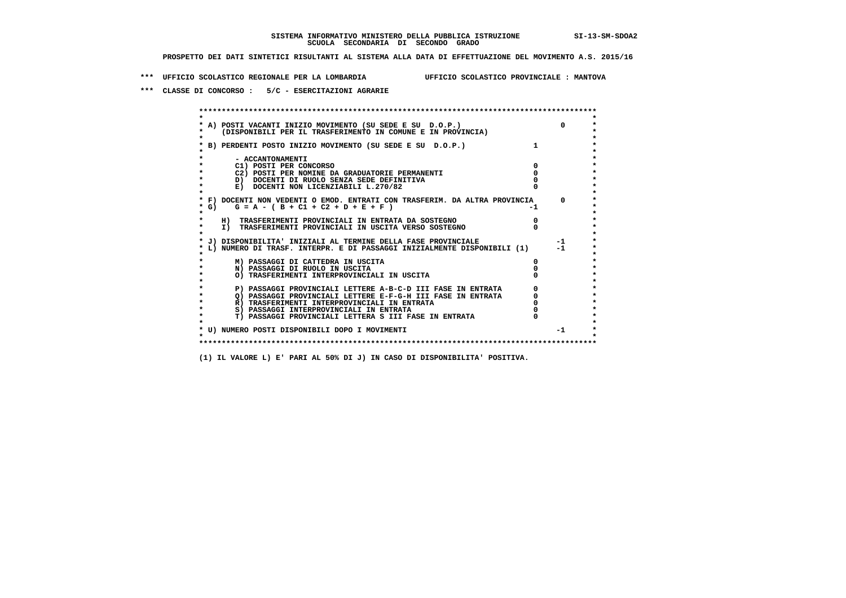**\*\*\* UFFICIO SCOLASTICO REGIONALE PER LA LOMBARDIA UFFICIO SCOLASTICO PROVINCIALE : MANTOVA**

 **\*\*\* CLASSE DI CONCORSO : 5/C - ESERCITAZIONI AGRARIE**

 **\*\*\*\*\*\*\*\*\*\*\*\*\*\*\*\*\*\*\*\*\*\*\*\*\*\*\*\*\*\*\*\*\*\*\*\*\*\*\*\*\*\*\*\*\*\*\*\*\*\*\*\*\*\*\*\*\*\*\*\*\*\*\*\*\*\*\*\*\*\*\*\*\*\*\*\*\*\*\*\*\*\*\*\*\*\*\*\* \* \*** $\bullet$  **\* A) POSTI VACANTI INIZIO MOVIMENTO (SU SEDE E SU D.O.P.) 0 \* \* (DISPONIBILI PER IL TRASFERIMENTO IN COMUNE E IN PROVINCIA) \* \* \* \* B) PERDENTI POSTO INIZIO MOVIMENTO (SU SEDE E SU D.O.P.) 1 \* \* \* \* - ACCANTONAMENTI \* \* C1) POSTI PER CONCORSO 0 \* \* C2) POSTI PER NOMINE DA GRADUATORIE PERMANENTI 0 \*D)** DOCENTI DI RUOLO SENZA SEDE DEFINITIVA  $\overline{a}$  0  $\overline{b}$  0  $\overline{c}$  0  $\overline{c}$  0  $\overline{c}$  0  $\overline{a}$  0  $\overline{b}$ **E) DOCENTI NON LICENZIABILI L.270/82 \* \* \* F) DOCENTI NON VEDENTI O EMOD. ENTRATI CON TRASFERIM. DA ALTRA PROVINCIA 0 \***  $\star$  **G)** G = A - ( B + C1 + C2 + D + E + F)  **\* \* \* H) TRASFERIMENTI PROVINCIALI IN ENTRATA DA SOSTEGNO 0 \* \* I) TRASFERIMENTI PROVINCIALI IN USCITA VERSO SOSTEGNO 0 \* \* \* \* J) DISPONIBILITA' INIZIALI AL TERMINE DELLA FASE PROVINCIALE -1 \* \* L) NUMERO DI TRASF. INTERPR. E DI PASSAGGI INIZIALMENTE DISPONIBILI (1) -1 \* \* \* \* M) PASSAGGI DI CATTEDRA IN USCITA 0 \* \* N) PASSAGGI DI RUOLO IN USCITA 0 \* \* O) TRASFERIMENTI INTERPROVINCIALI IN USCITA 0 \* \* \* P) PASSAGGI PROVINCIALI LETTERE A-B-C-D III FASE IN ENTRATA** 0 <sup>0</sup> **DASSAGGI PROVINCIALI LETTERE E-F-G-H** III FASE IN ENTRATA 0 <sup>0</sup> **2) PASSAGGI PROVINCIALI LETTERE E-F-G-H III FASE IN ENTRATA 6**<br> **R**) TRASFERIMENTI INTERPROVINCIALI IN ENTRATA 6 **R)** TRASFERIMENTI INTERPROVINCIALI IN ENTRATA  $\begin{bmatrix} 0 & 0 \\ 0 & 0 \\ 0 & 0 \end{bmatrix}$  PASSAGGI INTERPROVINCIALI IN ENTRATA  $\begin{bmatrix} 0 & 0 \\ 0 & 0 \\ 0 & 0 \end{bmatrix}$  **\* S) PASSAGGI INTERPROVINCIALI IN ENTRATA 0 \*** $\ddot{\phantom{1}}$  **\* T) PASSAGGI PROVINCIALI LETTERA S III FASE IN ENTRATA 0 \*** $\star$  **\* \* \* U) NUMERO POSTI DISPONIBILI DOPO I MOVIMENTI -1 \* \* \* \*\*\*\*\*\*\*\*\*\*\*\*\*\*\*\*\*\*\*\*\*\*\*\*\*\*\*\*\*\*\*\*\*\*\*\*\*\*\*\*\*\*\*\*\*\*\*\*\*\*\*\*\*\*\*\*\*\*\*\*\*\*\*\*\*\*\*\*\*\*\*\*\*\*\*\*\*\*\*\*\*\*\*\*\*\*\*\***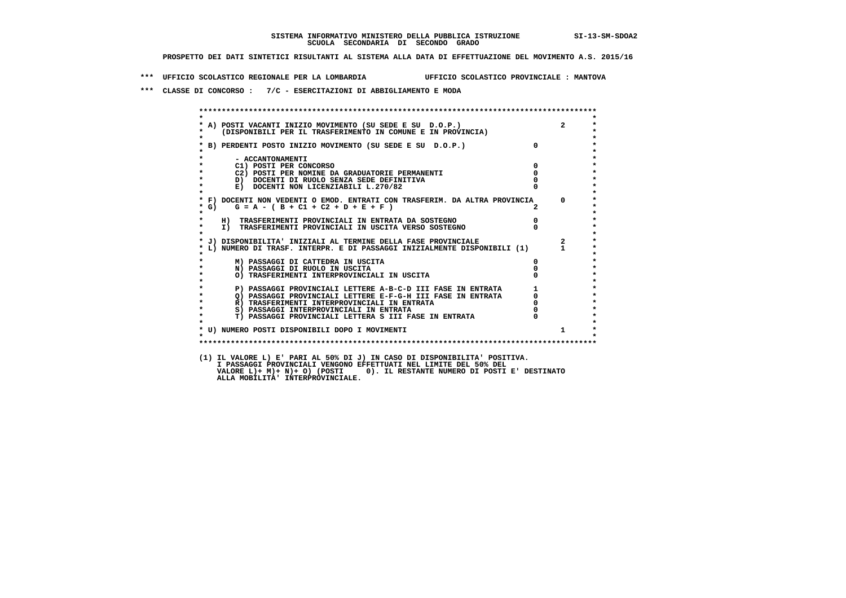**\*\*\* UFFICIO SCOLASTICO REGIONALE PER LA LOMBARDIA UFFICIO SCOLASTICO PROVINCIALE : MANTOVA**

 **\*\*\* CLASSE DI CONCORSO : 7/C - ESERCITAZIONI DI ABBIGLIAMENTO E MODA**

|                      | * A) POSTI VACANTI INIZIO MOVIMENTO (SU SEDE E SU D.O.P.) 2<br>* (DISPONIBILI PER IL TRASFERIMENTO IN COMUNE E IN PROVINCIA)<br>* B) PERDENTI POSTO INIZIO MOVIMENTO (SU SEDE E SU D.O.P.) 0                                    |                                                 |                         |
|----------------------|---------------------------------------------------------------------------------------------------------------------------------------------------------------------------------------------------------------------------------|-------------------------------------------------|-------------------------|
|                      |                                                                                                                                                                                                                                 |                                                 |                         |
|                      |                                                                                                                                                                                                                                 | $\overline{\mathbf{0}}$                         |                         |
|                      |                                                                                                                                                                                                                                 |                                                 |                         |
|                      |                                                                                                                                                                                                                                 |                                                 |                         |
|                      | - ACCANTONAMENTI<br>$\overline{0}$<br>C1) POSTI PER CONCORSO                                                                                                                                                                    |                                                 |                         |
|                      | C2) POSTI PER NOMINE DA GRADUATORIE PERMANENTI                                                                                                                                                                                  | $\overline{0}$                                  |                         |
|                      | D) DOCENTI DI RUOLO SENZA SEDE DEFINITIVA                                                                                                                                                                                       |                                                 |                         |
| $\star$              | E) DOCENTI NON LICENZIABILI L.270/82                                                                                                                                                                                            |                                                 |                         |
|                      |                                                                                                                                                                                                                                 |                                                 |                         |
|                      | * F) DOCENTI NON VEDENTI O EMOD. ENTRATI CON TRASFERIM. DA ALTRA PROVINCIA 0                                                                                                                                                    |                                                 |                         |
| $*$ G)               | $G = A - (B + C1 + C2 + D + E + F)$                                                                                                                                                                                             |                                                 |                         |
| $\star$              |                                                                                                                                                                                                                                 |                                                 |                         |
|                      | $\overline{0}$<br>H) TRASFERIMENTI PROVINCIALI IN ENTRATA DA SOSTEGNO<br>I) TRASFERIMENTI PROVINCIALI IN USCITA VERSO SOSTEGNO                                                                                                  |                                                 |                         |
| $\star$              |                                                                                                                                                                                                                                 |                                                 |                         |
|                      | * J) DISPONIBILITA' INIZIALI AL TERMINE DELLA FASE PROVINCIALE                                                                                                                                                                  |                                                 | $\overline{\mathbf{a}}$ |
|                      | L) NUMERO DI TRASF. INTERPR. E DI PASSAGGI INIZIALMENTE DISPONIBILI (1) 1                                                                                                                                                       |                                                 |                         |
|                      |                                                                                                                                                                                                                                 |                                                 |                         |
|                      | M) PASSAGGI DI CATTEDRA IN USCITA                                                                                                                                                                                               |                                                 |                         |
| $\star$              | N) PASSAGGI DI RUOLO IN USCITA                                                                                                                                                                                                  |                                                 |                         |
|                      | O) TRASFERIMENTI INTERPROVINCIALI IN USCITA                                                                                                                                                                                     |                                                 |                         |
|                      |                                                                                                                                                                                                                                 |                                                 |                         |
|                      |                                                                                                                                                                                                                                 |                                                 |                         |
| $\bullet$<br>$\star$ |                                                                                                                                                                                                                                 |                                                 |                         |
| $\bullet$            | <b>P) PASSAGGI PROVINCIALI LETTERE A-B-C-D III FASE IN ENTRATA<br/>Q) PASSAGGI PROVINCIALI LETTERE E-F-G-H III FASE IN ENTRATA<br/>R) TRASFERIMENTI INTERPROVINCIALI IN ENTRATA<br/>S) PASSAGGI INTERPROVINCIALI IN ENTRATA</b> | $\begin{array}{c} 1 \\ 0 \\ 0 \\ 0 \end{array}$ |                         |
| $\star$              | T) PASSAGGI PROVINCIALI LETTERA S III FASE IN ENTRATA                                                                                                                                                                           |                                                 |                         |
|                      |                                                                                                                                                                                                                                 |                                                 |                         |
|                      | * U) NUMERO POSTI DISPONIBILI DOPO I MOVIMENTI                                                                                                                                                                                  |                                                 | $1 \quad$               |
|                      |                                                                                                                                                                                                                                 |                                                 |                         |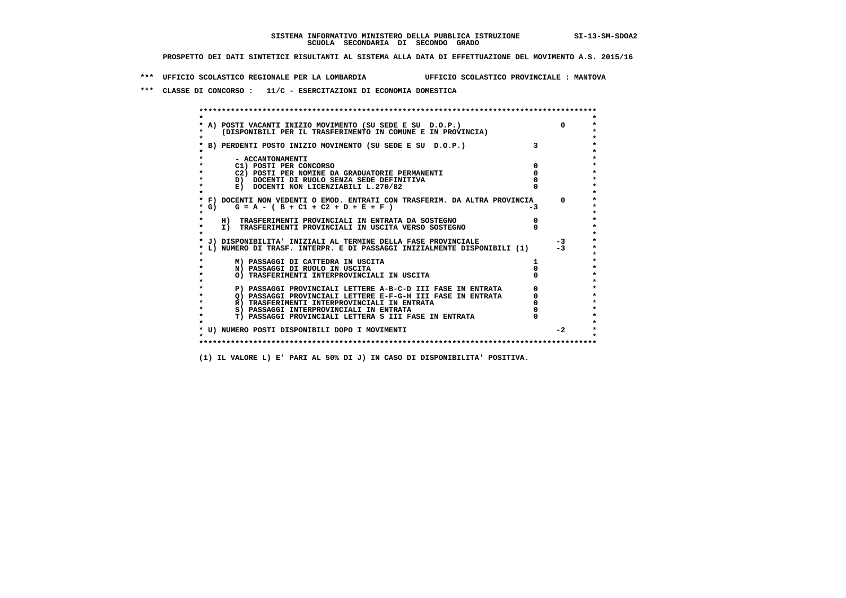**\*\*\* UFFICIO SCOLASTICO REGIONALE PER LA LOMBARDIA UFFICIO SCOLASTICO PROVINCIALE : MANTOVA**

 **\*\*\* CLASSE DI CONCORSO : 11/C - ESERCITAZIONI DI ECONOMIA DOMESTICA**

| A) POSTI VACANTI INIZIO MOVIMENTO (SU SEDE E SU D.O.P.)<br>(DISPONIBILI PER IL TRASFERIMENTO IN COMUNE E IN PROVINCIA) |    | $\Omega$     |
|------------------------------------------------------------------------------------------------------------------------|----|--------------|
| B) PERDENTI POSTO INIZIO MOVIMENTO (SU SEDE E SU D.O.P.)                                                               |    |              |
| - ACCANTONAMENTI                                                                                                       |    |              |
| C1) POSTI PER CONCORSO                                                                                                 |    |              |
| C2) POSTI PER NOMINE DA GRADUATORIE PERMANENTI                                                                         |    |              |
| D) DOCENTI DI RUOLO SENZA SEDE DEFINITIVA                                                                              |    |              |
| E) DOCENTI NON LICENZIABILI L.270/82                                                                                   |    |              |
| * F) DOCENTI NON VEDENTI O EMOD. ENTRATI CON TRASFERIM. DA ALTRA PROVINCIA                                             |    | <sup>n</sup> |
| * G) $G = A - (B + C1 + C2 + D + E + F)$                                                                               | -3 |              |
| H) TRASFERIMENTI PROVINCIALI IN ENTRATA DA SOSTEGNO                                                                    |    |              |
| I) TRASFERIMENTI PROVINCIALI IN USCITA VERSO SOSTEGNO                                                                  |    |              |
| J) DISPONIBILITA' INIZIALI AL TERMINE DELLA FASE PROVINCIALE                                                           |    | $-3$         |
| L) NUMERO DI TRASF. INTERPR. E DI PASSAGGI INIZIALMENTE DISPONIBILI (1)                                                |    | $-3$         |
| M) PASSAGGI DI CATTEDRA IN USCITA                                                                                      |    |              |
| N) PASSAGGI DI RUOLO IN USCITA                                                                                         |    |              |
| O) TRASFERIMENTI INTERPROVINCIALI IN USCITA                                                                            |    |              |
| P) PASSAGGI PROVINCIALI LETTERE A-B-C-D III FASE IN ENTRATA                                                            |    |              |
| O) PASSAGGI PROVINCIALI LETTERE E-F-G-H III FASE IN ENTRATA                                                            |    |              |
| R) TRASFERIMENTI INTERPROVINCIALI IN ENTRATA                                                                           |    |              |
| S) PASSAGGI INTERPROVINCIALI IN ENTRATA                                                                                |    |              |
| T) PASSAGGI PROVINCIALI LETTERA S III FASE IN ENTRATA                                                                  |    |              |
| * U) NUMERO POSTI DISPONIBILI DOPO I MOVIMENTI                                                                         |    | $-2$         |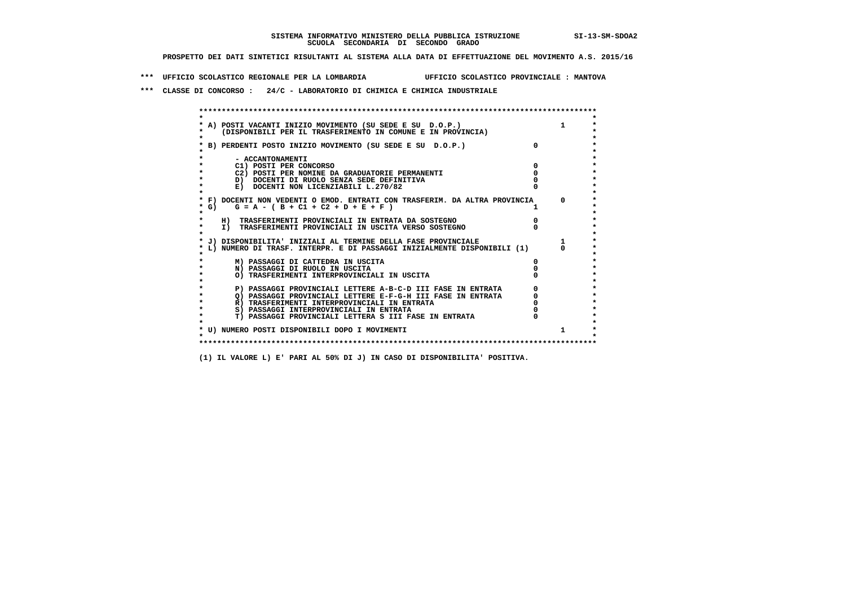**\*\*\* UFFICIO SCOLASTICO REGIONALE PER LA LOMBARDIA UFFICIO SCOLASTICO PROVINCIALE : MANTOVA**

 **\*\*\* CLASSE DI CONCORSO : 24/C - LABORATORIO DI CHIMICA E CHIMICA INDUSTRIALE**

 **\*\*\*\*\*\*\*\*\*\*\*\*\*\*\*\*\*\*\*\*\*\*\*\*\*\*\*\*\*\*\*\*\*\*\*\*\*\*\*\*\*\*\*\*\*\*\*\*\*\*\*\*\*\*\*\*\*\*\*\*\*\*\*\*\*\*\*\*\*\*\*\*\*\*\*\*\*\*\*\*\*\*\*\*\*\*\*\* \* \*** $\bullet$  **\* A) POSTI VACANTI INIZIO MOVIMENTO (SU SEDE E SU D.O.P.) 1 \*** $\star$  **\* (DISPONIBILI PER IL TRASFERIMENTO IN COMUNE E IN PROVINCIA) \*** $\bullet$  **\* \* \* B) PERDENTI POSTO INIZIO MOVIMENTO (SU SEDE E SU D.O.P.) 0 \* \* \* \* - ACCANTONAMENTI \* \* C1) POSTI PER CONCORSO 0 \* \* C2) POSTI PER NOMINE DA GRADUATORIE PERMANENTI 0 \*D)** DOCENTI DI RUOLO SENZA SEDE DEFINITIVA  $\overline{a}$  0  $\overline{b}$  0  $\overline{c}$  0  $\overline{c}$  0  $\overline{c}$  0  $\overline{a}$  0  $\overline{b}$ **E) DOCENTI NON LICENZIABILI L.270/82 \* \* \* F) DOCENTI NON VEDENTI O EMOD. ENTRATI CON TRASFERIM. DA ALTRA PROVINCIA 0 \***  $\star$  **G)** G = A - ( B + C1 + C2 + D + E + F )  **\* \* \* H) TRASFERIMENTI PROVINCIALI IN ENTRATA DA SOSTEGNO 0 \* \* I) TRASFERIMENTI PROVINCIALI IN USCITA VERSO SOSTEGNO 0 \* \* \* \* J) DISPONIBILITA' INIZIALI AL TERMINE DELLA FASE PROVINCIALE 1 \* \* L) NUMERO DI TRASF. INTERPR. E DI PASSAGGI INIZIALMENTE DISPONIBILI (1) 0 \* \* \* \* M) PASSAGGI DI CATTEDRA IN USCITA 0 \* \* N) PASSAGGI DI RUOLO IN USCITA 0 \* \* O) TRASFERIMENTI INTERPROVINCIALI IN USCITA 0 \* \* \* P) PASSAGGI PROVINCIALI LETTERE A-B-C-D III FASE IN ENTRATA** 0 <sup>0</sup> **DASSAGGI PROVINCIALI LETTERE E-F-G-H** III FASE IN ENTRATA 0 <sup>0</sup>  $\star$  **\* Q) PASSAGGI PROVINCIALI LETTERE E-F-G-H III FASE IN ENTRATA 0 \*R)** TRASFERIMENTI INTERPROVINCIALI IN ENTRATA  $\begin{bmatrix} 0 & 0 \\ 0 & 0 \\ 0 & 0 \end{bmatrix}$  PASSAGGI INTERPROVINCIALI IN ENTRATA  $\begin{bmatrix} 0 & 0 \\ 0 & 0 \\ 0 & 0 \end{bmatrix}$  **\* S) PASSAGGI INTERPROVINCIALI IN ENTRATA 0 \*** $\ddot{\phantom{1}}$  **\* T) PASSAGGI PROVINCIALI LETTERA S III FASE IN ENTRATA 0 \*** $\star$  **\* \* \* U) NUMERO POSTI DISPONIBILI DOPO I MOVIMENTI 1 \* \* \* \*\*\*\*\*\*\*\*\*\*\*\*\*\*\*\*\*\*\*\*\*\*\*\*\*\*\*\*\*\*\*\*\*\*\*\*\*\*\*\*\*\*\*\*\*\*\*\*\*\*\*\*\*\*\*\*\*\*\*\*\*\*\*\*\*\*\*\*\*\*\*\*\*\*\*\*\*\*\*\*\*\*\*\*\*\*\*\***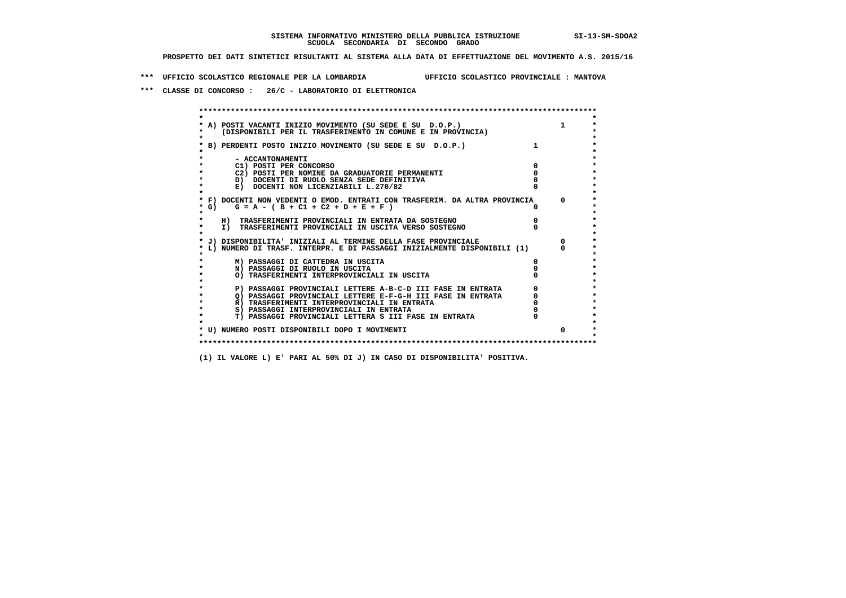**\*\*\* UFFICIO SCOLASTICO REGIONALE PER LA LOMBARDIA UFFICIO SCOLASTICO PROVINCIALE : MANTOVA**

 **\*\*\* CLASSE DI CONCORSO : 26/C - LABORATORIO DI ELETTRONICA**

 **\*\*\*\*\*\*\*\*\*\*\*\*\*\*\*\*\*\*\*\*\*\*\*\*\*\*\*\*\*\*\*\*\*\*\*\*\*\*\*\*\*\*\*\*\*\*\*\*\*\*\*\*\*\*\*\*\*\*\*\*\*\*\*\*\*\*\*\*\*\*\*\*\*\*\*\*\*\*\*\*\*\*\*\*\*\*\*\* \* \*** $\bullet$  **\* A) POSTI VACANTI INIZIO MOVIMENTO (SU SEDE E SU D.O.P.) 1 \*** $\star$  **\* (DISPONIBILI PER IL TRASFERIMENTO IN COMUNE E IN PROVINCIA) \* \* \* \* B) PERDENTI POSTO INIZIO MOVIMENTO (SU SEDE E SU D.O.P.) 1 \* \* \* \* - ACCANTONAMENTI \* \* C1) POSTI PER CONCORSO 0 \* \* C2) POSTI PER NOMINE DA GRADUATORIE PERMANENTI 0 \*D)** DOCENTI DI RUOLO SENZA SEDE DEFINITIVA  $\overline{a}$  0  $\overline{b}$  0  $\overline{c}$  0  $\overline{c}$  0  $\overline{c}$  0  $\overline{a}$  0  $\overline{c}$ **E) DOCENTI NON LICENZIABILI L.270/82 \* \* \* F) DOCENTI NON VEDENTI O EMOD. ENTRATI CON TRASFERIM. DA ALTRA PROVINCIA 0 \* \* G) G = A - ( B + C1 + C2 + D + E + F ) 0 \* \* \* \* H) TRASFERIMENTI PROVINCIALI IN ENTRATA DA SOSTEGNO 0 \* \* I) TRASFERIMENTI PROVINCIALI IN USCITA VERSO SOSTEGNO 0 \* \* \* \* J) DISPONIBILITA' INIZIALI AL TERMINE DELLA FASE PROVINCIALE 0 \* \* L) NUMERO DI TRASF. INTERPR. E DI PASSAGGI INIZIALMENTE DISPONIBILI (1) 0 \* \* \* \* M) PASSAGGI DI CATTEDRA IN USCITA 0 \* \* N) PASSAGGI DI RUOLO IN USCITA 0 \* \* O) TRASFERIMENTI INTERPROVINCIALI IN USCITA 0 \* \* \* P) PASSAGGI PROVINCIALI LETTERE A-B-C-D III FASE IN ENTRATA** 0 <sup>0</sup> **DASSAGGI PROVINCIALI LETTERE E-F-G-H** III FASE IN ENTRATA 0 <sup>0</sup> **2) PASSAGGI PROVINCIALI LETTERE E-F-G-H III FASE IN ENTRATA 6 0 R**) TRASFERIMENTI INTERPROVINCIALI IN ENTRATA 6 **0 R)** TRASFERIMENTI INTERPROVINCIALI IN ENTRATA  $\begin{bmatrix} 0 & 0 \\ 0 & 0 \\ 0 & 0 \end{bmatrix}$  PASSAGGI INTERPROVINCIALI IN ENTRATA  $\begin{bmatrix} 0 & 0 \\ 0 & 0 \\ 0 & 0 \end{bmatrix}$  **\* S) PASSAGGI INTERPROVINCIALI IN ENTRATA 0 \*** $\ddot{\phantom{1}}$  **\* T) PASSAGGI PROVINCIALI LETTERA S III FASE IN ENTRATA 0 \*** $\star$  **\* \* \* U) NUMERO POSTI DISPONIBILI DOPO I MOVIMENTI 0 \* \* \* \*\*\*\*\*\*\*\*\*\*\*\*\*\*\*\*\*\*\*\*\*\*\*\*\*\*\*\*\*\*\*\*\*\*\*\*\*\*\*\*\*\*\*\*\*\*\*\*\*\*\*\*\*\*\*\*\*\*\*\*\*\*\*\*\*\*\*\*\*\*\*\*\*\*\*\*\*\*\*\*\*\*\*\*\*\*\*\***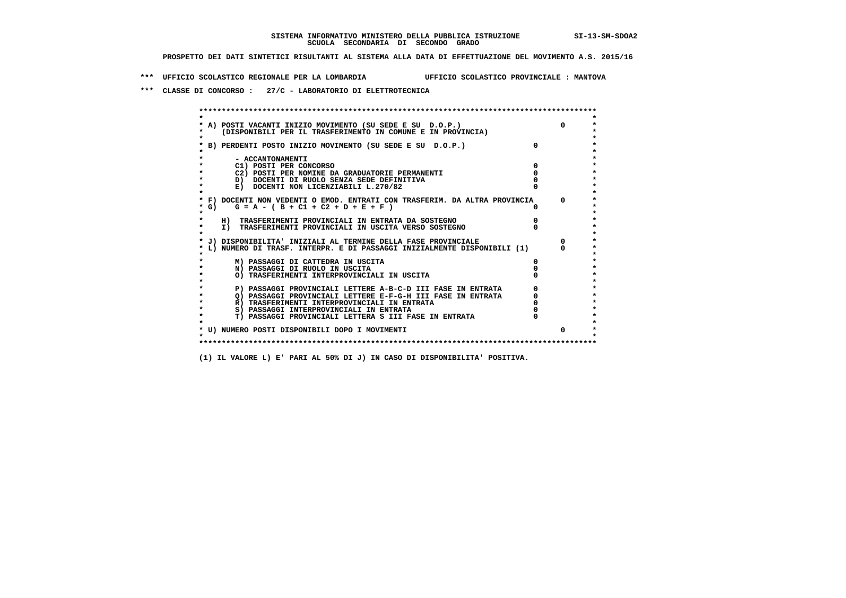**\*\*\* UFFICIO SCOLASTICO REGIONALE PER LA LOMBARDIA UFFICIO SCOLASTICO PROVINCIALE : MANTOVA**

 **\*\*\* CLASSE DI CONCORSO : 27/C - LABORATORIO DI ELETTROTECNICA**

| A) POSTI VACANTI INIZIO MOVIMENTO (SU SEDE E SU D.O.P.)                    | $\Omega$     |
|----------------------------------------------------------------------------|--------------|
| (DISPONIBILI PER IL TRASFERIMENTO IN COMUNE E IN PROVINCIA)                |              |
| B) PERDENTI POSTO INIZIO MOVIMENTO (SU SEDE E SU D.O.P.)                   |              |
| - ACCANTONAMENTI                                                           |              |
| C1) POSTI PER CONCORSO                                                     |              |
| C2) POSTI PER NOMINE DA GRADUATORIE PERMANENTI                             |              |
| D) DOCENTI DI RUOLO SENZA SEDE DEFINITIVA                                  |              |
| E) DOCENTI NON LICENZIABILI L.270/82                                       |              |
| * F) DOCENTI NON VEDENTI O EMOD. ENTRATI CON TRASFERIM. DA ALTRA PROVINCIA | <sup>n</sup> |
| * G) $G = A - (B + C1 + C2 + D + E + F)$                                   |              |
| H) TRASFERIMENTI PROVINCIALI IN ENTRATA DA SOSTEGNO                        |              |
| I) TRASFERIMENTI PROVINCIALI IN USCITA VERSO SOSTEGNO                      |              |
| J) DISPONIBILITA' INIZIALI AL TERMINE DELLA FASE PROVINCIALE               |              |
| L) NUMERO DI TRASF. INTERPR. E DI PASSAGGI INIZIALMENTE DISPONIBILI (1)    |              |
| M) PASSAGGI DI CATTEDRA IN USCITA                                          |              |
| N) PASSAGGI DI RUOLO IN USCITA                                             |              |
| O) TRASFERIMENTI INTERPROVINCIALI IN USCITA                                |              |
| P) PASSAGGI PROVINCIALI LETTERE A-B-C-D III FASE IN ENTRATA                |              |
| O) PASSAGGI PROVINCIALI LETTERE E-F-G-H III FASE IN ENTRATA                |              |
| R) TRASFERIMENTI INTERPROVINCIALI IN ENTRATA                               |              |
| S) PASSAGGI INTERPROVINCIALI IN ENTRATA                                    |              |
| T) PASSAGGI PROVINCIALI LETTERA S III FASE IN ENTRATA                      |              |
| * U) NUMERO POSTI DISPONIBILI DOPO I MOVIMENTI                             | $\Omega$     |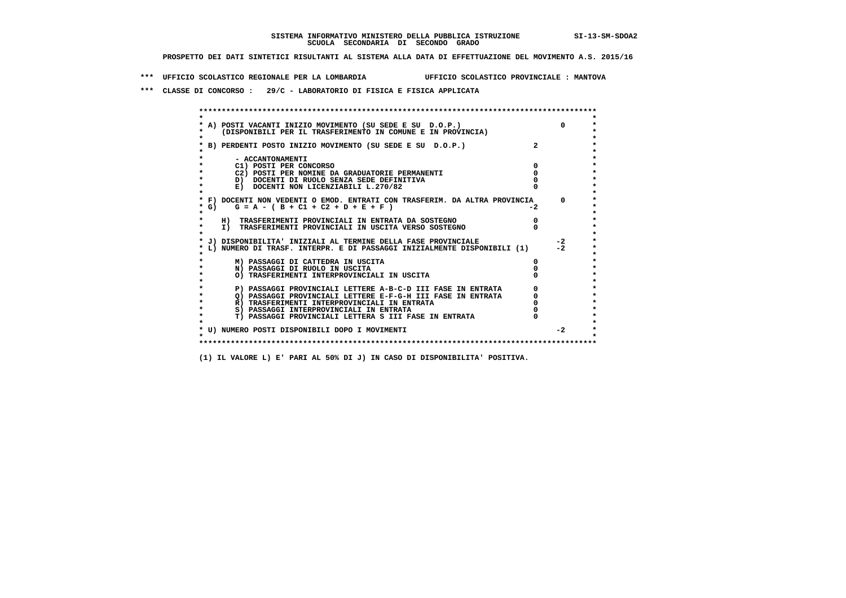**\*\*\* UFFICIO SCOLASTICO REGIONALE PER LA LOMBARDIA UFFICIO SCOLASTICO PROVINCIALE : MANTOVA**

 **\*\*\* CLASSE DI CONCORSO : 29/C - LABORATORIO DI FISICA E FISICA APPLICATA**

|           | * A) POSTI VACANTI INIZIO MOVIMENTO (SU SEDE E SU D.O.P.)                  |      | $\Omega$ |
|-----------|----------------------------------------------------------------------------|------|----------|
|           | (DISPONIBILI PER IL TRASFERIMENTO IN COMUNE E IN PROVINCIA)                |      |          |
|           |                                                                            |      |          |
|           | B) PERDENTI POSTO INIZIO MOVIMENTO (SU SEDE E SU D.O.P.)                   |      |          |
|           |                                                                            |      |          |
|           | - ACCANTONAMENTI                                                           |      |          |
|           | C1) POSTI PER CONCORSO                                                     |      |          |
|           | C2) POSTI PER NOMINE DA GRADUATORIE PERMANENTI                             |      |          |
|           | D) DOCENTI DI RUOLO SENZA SEDE DEFINITIVA                                  |      |          |
|           | E) DOCENTI NON LICENZIABILI L.270/82                                       |      |          |
|           |                                                                            |      |          |
|           | * F) DOCENTI NON VEDENTI O EMOD. ENTRATI CON TRASFERIM. DA ALTRA PROVINCIA |      | $\Omega$ |
| * G) =    | $G = A - (B + C1 + C2 + D + E + F)$                                        | $-2$ |          |
| $\star$   |                                                                            |      |          |
|           | H) TRASFERIMENTI PROVINCIALI IN ENTRATA DA SOSTEGNO                        |      |          |
|           | I) TRASFERIMENTI PROVINCIALI IN USCITA VERSO SOSTEGNO                      |      |          |
|           |                                                                            |      |          |
|           | * J) DISPONIBILITA' INIZIALI AL TERMINE DELLA FASE PROVINCIALE             |      | $-2$     |
|           | L) NUMERO DI TRASF. INTERPR. E DI PASSAGGI INIZIALMENTE DISPONIBILI (1)    |      | $-2$     |
|           |                                                                            |      |          |
|           | M) PASSAGGI DI CATTEDRA IN USCITA                                          |      |          |
|           | N) PASSAGGI DI RUOLO IN USCITA                                             |      |          |
|           | O) TRASFERIMENTI INTERPROVINCIALI IN USCITA                                |      |          |
|           |                                                                            |      |          |
|           | P) PASSAGGI PROVINCIALI LETTERE A-B-C-D III FASE IN ENTRATA                |      |          |
|           | O) PASSAGGI PROVINCIALI LETTERE E-F-G-H III FASE IN ENTRATA                |      |          |
|           | R) TRASFERIMENTI INTERPROVINCIALI IN ENTRATA                               |      |          |
|           | S) PASSAGGI INTERPROVINCIALI IN ENTRATA                                    |      |          |
| $\bullet$ | T) PASSAGGI PROVINCIALI LETTERA S III FASE IN ENTRATA                      |      |          |
|           |                                                                            |      |          |
|           | * U) NUMERO POSTI DISPONIBILI DOPO I MOVIMENTI                             |      | $-2$     |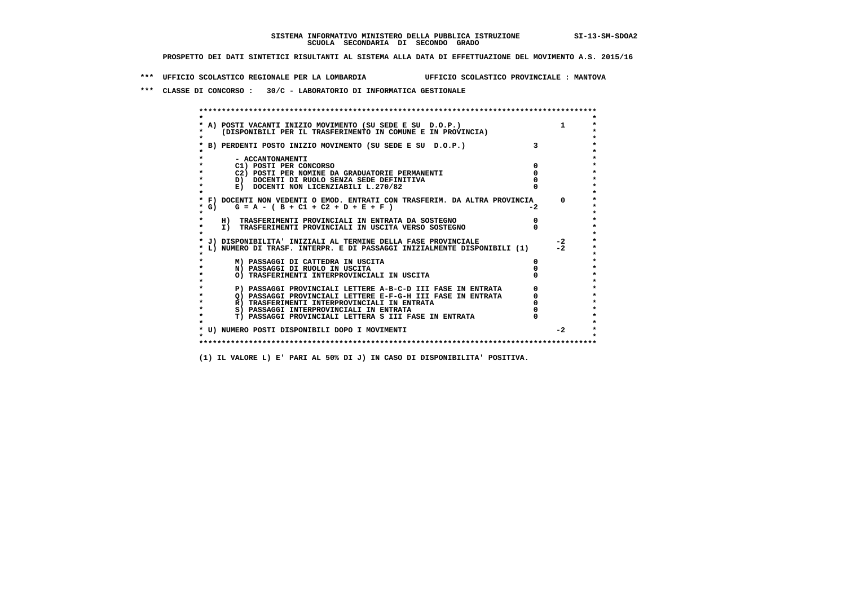**\*\*\* UFFICIO SCOLASTICO REGIONALE PER LA LOMBARDIA UFFICIO SCOLASTICO PROVINCIALE : MANTOVA**

 **\*\*\* CLASSE DI CONCORSO : 30/C - LABORATORIO DI INFORMATICA GESTIONALE**

|                  | A) POSTI VACANTI INIZIO MOVIMENTO (SU SEDE E SU D.O.P.)                    |      |          |
|------------------|----------------------------------------------------------------------------|------|----------|
|                  | (DISPONIBILI PER IL TRASFERIMENTO IN COMUNE E IN PROVINCIA)                |      |          |
|                  |                                                                            |      |          |
|                  | B) PERDENTI POSTO INIZIO MOVIMENTO (SU SEDE E SU D.O.P.)                   |      |          |
|                  |                                                                            |      |          |
| - ACCANTONAMENTI |                                                                            |      |          |
|                  | C1) POSTI PER CONCORSO                                                     |      |          |
|                  | C2) POSTI PER NOMINE DA GRADUATORIE PERMANENTI                             |      |          |
|                  | D) DOCENTI DI RUOLO SENZA SEDE DEFINITIVA                                  |      |          |
|                  | E) DOCENTI NON LICENZIABILI L.270/82                                       |      |          |
|                  | * F) DOCENTI NON VEDENTI O EMOD. ENTRATI CON TRASFERIM. DA ALTRA PROVINCIA |      | $\Omega$ |
|                  | * G) $G = A - (B + C1 + C2 + D + E + F)$                                   | $-2$ |          |
|                  |                                                                            |      |          |
|                  | H) TRASFERIMENTI PROVINCIALI IN ENTRATA DA SOSTEGNO                        |      |          |
|                  | I) TRASFERIMENTI PROVINCIALI IN USCITA VERSO SOSTEGNO                      |      |          |
|                  |                                                                            |      |          |
|                  | J) DISPONIBILITA' INIZIALI AL TERMINE DELLA FASE PROVINCIALE               |      | $-2$     |
|                  | L) NUMERO DI TRASF. INTERPR. E DI PASSAGGI INIZIALMENTE DISPONIBILI (1)    |      | $-2$     |
|                  |                                                                            |      |          |
|                  | M) PASSAGGI DI CATTEDRA IN USCITA                                          |      |          |
|                  | N) PASSAGGI DI RUOLO IN USCITA                                             |      |          |
|                  | O) TRASFERIMENTI INTERPROVINCIALI IN USCITA                                |      |          |
|                  |                                                                            |      |          |
|                  | P) PASSAGGI PROVINCIALI LETTERE A-B-C-D III FASE IN ENTRATA                |      |          |
|                  | O) PASSAGGI PROVINCIALI LETTERE E-F-G-H III FASE IN ENTRATA                |      |          |
|                  | R) TRASFERIMENTI INTERPROVINCIALI IN ENTRATA                               |      |          |
|                  | S) PASSAGGI INTERPROVINCIALI IN ENTRATA                                    |      |          |
|                  | T) PASSAGGI PROVINCIALI LETTERA S III FASE IN ENTRATA                      |      |          |
|                  |                                                                            |      |          |
|                  | * U) NUMERO POSTI DISPONIBILI DOPO I MOVIMENTI                             |      | $-2$     |
|                  |                                                                            |      |          |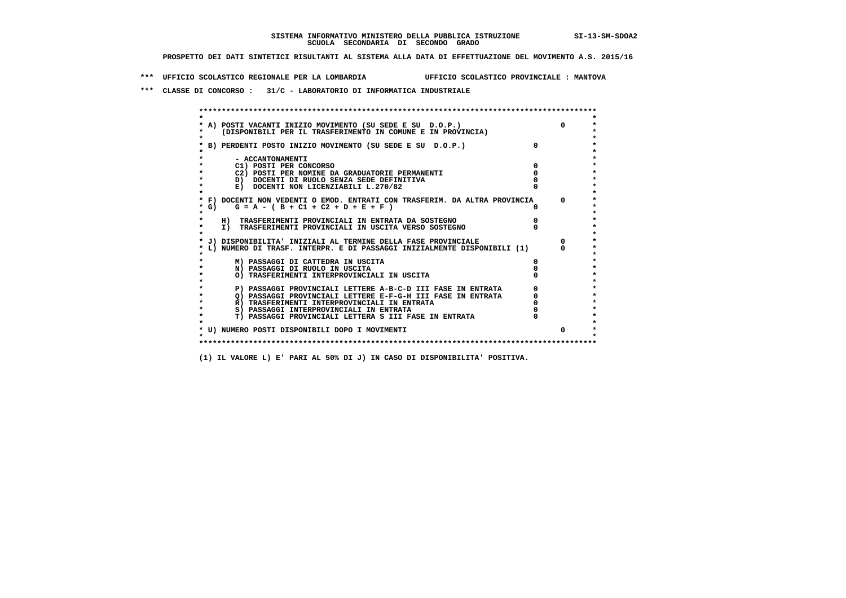**\*\*\* UFFICIO SCOLASTICO REGIONALE PER LA LOMBARDIA UFFICIO SCOLASTICO PROVINCIALE : MANTOVA**

 **\*\*\* CLASSE DI CONCORSO : 31/C - LABORATORIO DI INFORMATICA INDUSTRIALE**

| A) POSTI VACANTI INIZIO MOVIMENTO (SU SEDE E SU D.O.P.)                    |              |
|----------------------------------------------------------------------------|--------------|
| (DISPONIBILI PER IL TRASFERIMENTO IN COMUNE E IN PROVINCIA)                |              |
|                                                                            |              |
| B) PERDENTI POSTO INIZIO MOVIMENTO (SU SEDE E SU D.O.P.)                   |              |
|                                                                            |              |
| - ACCANTONAMENTI<br>C1) POSTI PER CONCORSO                                 |              |
| C2) POSTI PER NOMINE DA GRADUATORIE PERMANENTI                             |              |
| D) DOCENTI DI RUOLO SENZA SEDE DEFINITIVA                                  |              |
| E) DOCENTI NON LICENZIABILI L.270/82                                       |              |
|                                                                            |              |
| * F) DOCENTI NON VEDENTI O EMOD. ENTRATI CON TRASFERIM. DA ALTRA PROVINCIA | $\mathsf{a}$ |
| G) $G = A - (B + C1 + C2 + D + E + F)$                                     |              |
|                                                                            |              |
| H) TRASFERIMENTI PROVINCIALI IN ENTRATA DA SOSTEGNO                        |              |
| I) TRASFERIMENTI PROVINCIALI IN USCITA VERSO SOSTEGNO                      |              |
| J) DISPONIBILITA' INIZIALI AL TERMINE DELLA FASE PROVINCIALE               |              |
| L) NUMERO DI TRASF. INTERPR. E DI PASSAGGI INIZIALMENTE DISPONIBILI (1)    |              |
|                                                                            |              |
| M) PASSAGGI DI CATTEDRA IN USCITA                                          |              |
| N) PASSAGGI DI RUOLO IN USCITA                                             |              |
| O) TRASFERIMENTI INTERPROVINCIALI IN USCITA                                |              |
| P) PASSAGGI PROVINCIALI LETTERE A-B-C-D III FASE IN ENTRATA                |              |
| O) PASSAGGI PROVINCIALI LETTERE E-F-G-H III FASE IN ENTRATA                |              |
| R) TRASFERIMENTI INTERPROVINCIALI IN ENTRATA                               |              |
| S) PASSAGGI INTERPROVINCIALI IN ENTRATA                                    |              |
| T) PASSAGGI PROVINCIALI LETTERA S III FASE IN ENTRATA                      |              |
|                                                                            |              |
| * U) NUMERO POSTI DISPONIBILI DOPO I MOVIMENTI                             | 0            |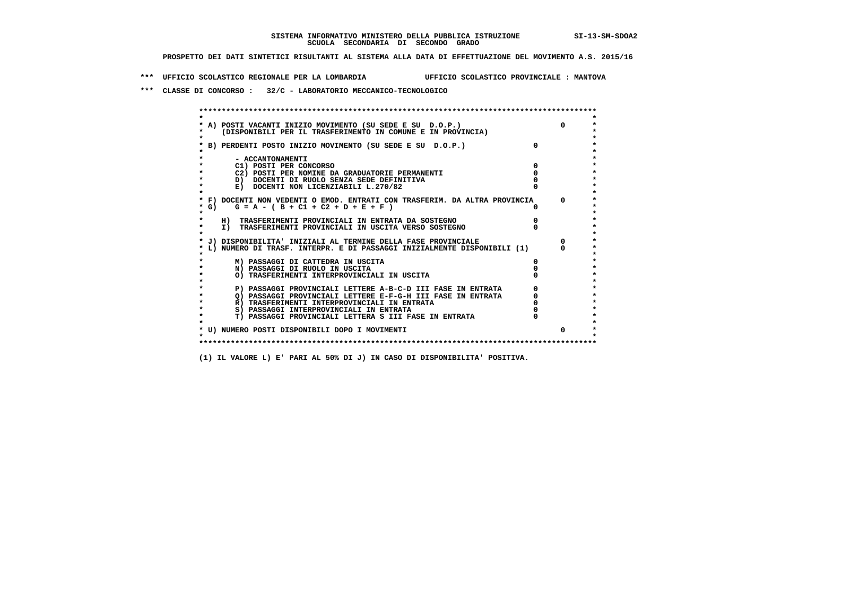**\*\*\* UFFICIO SCOLASTICO REGIONALE PER LA LOMBARDIA UFFICIO SCOLASTICO PROVINCIALE : MANTOVA**

 **\*\*\* CLASSE DI CONCORSO : 32/C - LABORATORIO MECCANICO-TECNOLOGICO**

|        | A) POSTI VACANTI INIZIO MOVIMENTO (SU SEDE E SU D.O.P.)                    |   | $\Omega$ |
|--------|----------------------------------------------------------------------------|---|----------|
|        | (DISPONIBILI PER IL TRASFERIMENTO IN COMUNE E IN PROVINCIA)                |   |          |
|        |                                                                            |   |          |
|        | B) PERDENTI POSTO INIZIO MOVIMENTO (SU SEDE E SU D.O.P.)                   |   |          |
|        |                                                                            |   |          |
|        | - ACCANTONAMENTI                                                           |   |          |
|        | C1) POSTI PER CONCORSO                                                     |   |          |
|        | C2) POSTI PER NOMINE DA GRADUATORIE PERMANENTI                             |   |          |
|        | D) DOCENTI DI RUOLO SENZA SEDE DEFINITIVA                                  |   |          |
|        | E) DOCENTI NON LICENZIABILI L.270/82                                       |   |          |
|        | * F) DOCENTI NON VEDENTI O EMOD. ENTRATI CON TRASFERIM. DA ALTRA PROVINCIA |   | $\Omega$ |
| $*$ G) | $G = A - (B + C1 + C2 + D + E + F)$                                        |   |          |
|        |                                                                            |   |          |
|        | H) TRASFERIMENTI PROVINCIALI IN ENTRATA DA SOSTEGNO                        |   |          |
|        | I) TRASFERIMENTI PROVINCIALI IN USCITA VERSO SOSTEGNO                      |   |          |
|        |                                                                            |   |          |
|        | J) DISPONIBILITA' INIZIALI AL TERMINE DELLA FASE PROVINCIALE               |   |          |
|        | L) NUMERO DI TRASF. INTERPR. E DI PASSAGGI INIZIALMENTE DISPONIBILI (1)    |   |          |
|        | M) PASSAGGI DI CATTEDRA IN USCITA                                          | 0 |          |
|        | N) PASSAGGI DI RUOLO IN USCITA                                             |   |          |
|        | O) TRASFERIMENTI INTERPROVINCIALI IN USCITA                                |   |          |
|        |                                                                            |   |          |
|        | P) PASSAGGI PROVINCIALI LETTERE A-B-C-D III FASE IN ENTRATA                |   |          |
|        | O) PASSAGGI PROVINCIALI LETTERE E-F-G-H III FASE IN ENTRATA                |   |          |
|        | R) TRASFERIMENTI INTERPROVINCIALI IN ENTRATA                               |   |          |
|        | S) PASSAGGI INTERPROVINCIALI IN ENTRATA                                    |   |          |
|        | T) PASSAGGI PROVINCIALI LETTERA S III FASE IN ENTRATA                      |   |          |
|        |                                                                            |   |          |
|        | * U) NUMERO POSTI DISPONIBILI DOPO I MOVIMENTI                             |   | $\Omega$ |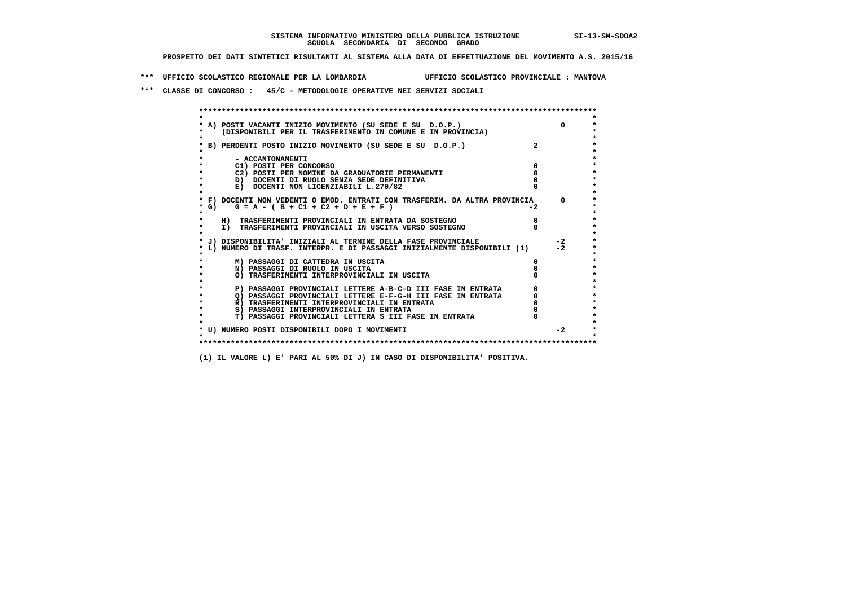**\*\*\* UFFICIO SCOLASTICO REGIONALE PER LA LOMBARDIA UFFICIO SCOLASTICO PROVINCIALE : MANTOVA**

 **\*\*\* CLASSE DI CONCORSO : 45/C - METODOLOGIE OPERATIVE NEI SERVIZI SOCIALI**

|         | * A) POSTI VACANTI INIZIO MOVIMENTO (SU SEDE E SU D.O.P.)                  |                |      |
|---------|----------------------------------------------------------------------------|----------------|------|
|         | (DISPONIBILI PER IL TRASFERIMENTO IN COMUNE E IN PROVINCIA)                |                |      |
|         | B) PERDENTI POSTO INIZIO MOVIMENTO (SU SEDE E SU D.O.P.)                   | $\overline{2}$ |      |
|         |                                                                            |                |      |
|         | - ACCANTONAMENTI                                                           |                |      |
|         | C1) POSTI PER CONCORSO                                                     |                |      |
|         | C2) POSTI PER NOMINE DA GRADUATORIE PERMANENTI                             |                |      |
|         | D) DOCENTI DI RUOLO SENZA SEDE DEFINITIVA                                  |                |      |
|         | E) DOCENTI NON LICENZIABILI L.270/82                                       |                |      |
|         | * F) DOCENTI NON VEDENTI O EMOD. ENTRATI CON TRASFERIM. DA ALTRA PROVINCIA |                | 0    |
| * G) =  | $G = A - (B + C1 + C2 + D + E + F)$                                        | $-2$           |      |
| $\star$ |                                                                            |                |      |
|         | H) TRASFERIMENTI PROVINCIALI IN ENTRATA DA SOSTEGNO                        |                |      |
| $\star$ | I) TRASFERIMENTI PROVINCIALI IN USCITA VERSO SOSTEGNO                      |                |      |
|         |                                                                            |                |      |
|         | J) DISPONIBILITA' INIZIALI AL TERMINE DELLA FASE PROVINCIALE               |                | $-2$ |
|         | L) NUMERO DI TRASF. INTERPR. E DI PASSAGGI INIZIALMENTE DISPONIBILI (1)    |                | $-2$ |
|         | M) PASSAGGI DI CATTEDRA IN USCITA                                          |                |      |
|         | N) PASSAGGI DI RUOLO IN USCITA                                             |                |      |
|         | O) TRASFERIMENTI INTERPROVINCIALI IN USCITA                                |                |      |
|         |                                                                            |                |      |
|         | P) PASSAGGI PROVINCIALI LETTERE A-B-C-D III FASE IN ENTRATA                |                |      |
|         | O) PASSAGGI PROVINCIALI LETTERE E-F-G-H III FASE IN ENTRATA                |                |      |
|         | R) TRASFERIMENTI INTERPROVINCIALI IN ENTRATA                               |                |      |
| $\star$ | S) PASSAGGI INTERPROVINCIALI IN ENTRATA                                    |                |      |
| $\star$ | T) PASSAGGI PROVINCIALI LETTERA S III FASE IN ENTRATA                      |                |      |
|         |                                                                            |                |      |
|         | * U) NUMERO POSTI DISPONIBILI DOPO I MOVIMENTI                             |                | $-2$ |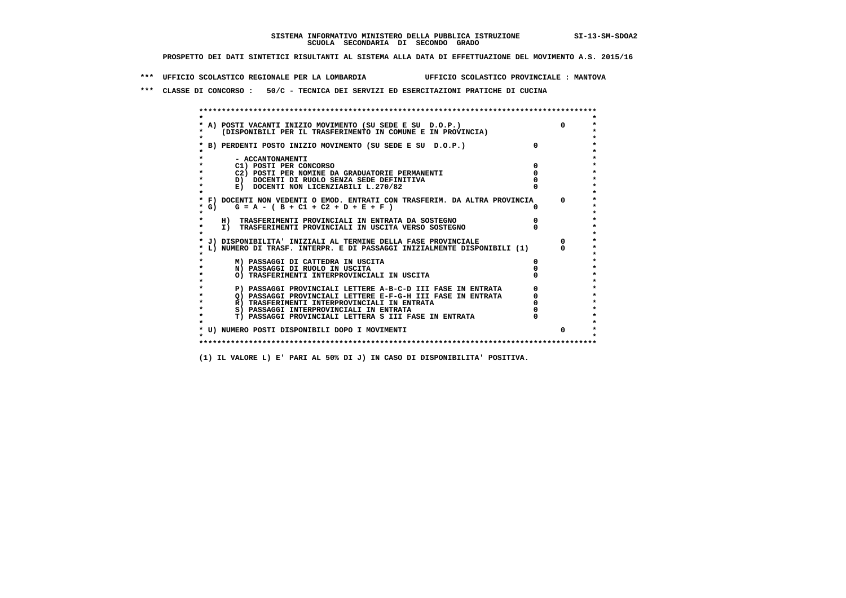**\*\*\* UFFICIO SCOLASTICO REGIONALE PER LA LOMBARDIA UFFICIO SCOLASTICO PROVINCIALE : MANTOVA**

 **\*\*\* CLASSE DI CONCORSO : 50/C - TECNICA DEI SERVIZI ED ESERCITAZIONI PRATICHE DI CUCINA**

 **\*\*\*\*\*\*\*\*\*\*\*\*\*\*\*\*\*\*\*\*\*\*\*\*\*\*\*\*\*\*\*\*\*\*\*\*\*\*\*\*\*\*\*\*\*\*\*\*\*\*\*\*\*\*\*\*\*\*\*\*\*\*\*\*\*\*\*\*\*\*\*\*\*\*\*\*\*\*\*\*\*\*\*\*\*\*\*\* \* \*** $\bullet$  **\* A) POSTI VACANTI INIZIO MOVIMENTO (SU SEDE E SU D.O.P.) 0 \*** $\star$  **\* (DISPONIBILI PER IL TRASFERIMENTO IN COMUNE E IN PROVINCIA) \*** $\bullet$  **\* \* \* B) PERDENTI POSTO INIZIO MOVIMENTO (SU SEDE E SU D.O.P.) 0 \* \* \* \* - ACCANTONAMENTI \* \* C1) POSTI PER CONCORSO 0 \* \* C2) POSTI PER NOMINE DA GRADUATORIE PERMANENTI 0 \*b**  $\overline{D}$  **docenti di RUOLO SENZA SEDE DEFINITIVA**  $\overline{D}$  **0**  $\overline{D}$  **0**  $\overline{D}$  **0**  $\overline{D}$  **0**  $\overline{D}$  **0**  $\overline{D}$  **0**  $\overline{D}$  **0**  $\overline{D}$  **0**  $\overline{D}$  **0**  $\overline{D}$  **0**  $\overline{D}$  **0**  $\overline{D}$  **0**  $\overline{D}$  **0 E) DOCENTI NON LICENZIABILI L.270/82 \* \* \* F) DOCENTI NON VEDENTI O EMOD. ENTRATI CON TRASFERIM. DA ALTRA PROVINCIA 0 \* \* G) G = A - ( B + C1 + C2 + D + E + F ) 0 \* \* \* \* H) TRASFERIMENTI PROVINCIALI IN ENTRATA DA SOSTEGNO 0 \* \* I) TRASFERIMENTI PROVINCIALI IN USCITA VERSO SOSTEGNO 0 \* \* \* \* J) DISPONIBILITA' INIZIALI AL TERMINE DELLA FASE PROVINCIALE 0 \* \* L) NUMERO DI TRASF. INTERPR. E DI PASSAGGI INIZIALMENTE DISPONIBILI (1) 0 \* \* \* \* M) PASSAGGI DI CATTEDRA IN USCITA 0 \* \* N) PASSAGGI DI RUOLO IN USCITA 0 \* \* O) TRASFERIMENTI INTERPROVINCIALI IN USCITA 0 \* \* \*** $\star$  **P) PASSAGGI PROVINCIALI LETTERE A-B-C-D III FASE IN ENTRATA** 0 <sup>0</sup> **DASSAGGI PROVINCIALI LETTERE E-F-G-H** III FASE IN ENTRATA 0 <sup>0</sup>  $\star$  **\* Q) PASSAGGI PROVINCIALI LETTERE E-F-G-H III FASE IN ENTRATA 0 \*R)** TRASFERIMENTI INTERPROVINCIALI IN ENTRATA  $\begin{bmatrix} 0 & 0 \\ 0 & 0 \\ 0 & 0 \end{bmatrix}$  PASSAGGI INTERPROVINCIALI IN ENTRATA  $\begin{bmatrix} 0 & 0 \\ 0 & 0 \\ 0 & 0 \end{bmatrix}$  **\* S) PASSAGGI INTERPROVINCIALI IN ENTRATA 0 \*** $\ddot{\bullet}$  **\* T) PASSAGGI PROVINCIALI LETTERA S III FASE IN ENTRATA 0 \*** $\star$  **\* \* \* U) NUMERO POSTI DISPONIBILI DOPO I MOVIMENTI 0 \* \* \* \*\*\*\*\*\*\*\*\*\*\*\*\*\*\*\*\*\*\*\*\*\*\*\*\*\*\*\*\*\*\*\*\*\*\*\*\*\*\*\*\*\*\*\*\*\*\*\*\*\*\*\*\*\*\*\*\*\*\*\*\*\*\*\*\*\*\*\*\*\*\*\*\*\*\*\*\*\*\*\*\*\*\*\*\*\*\*\***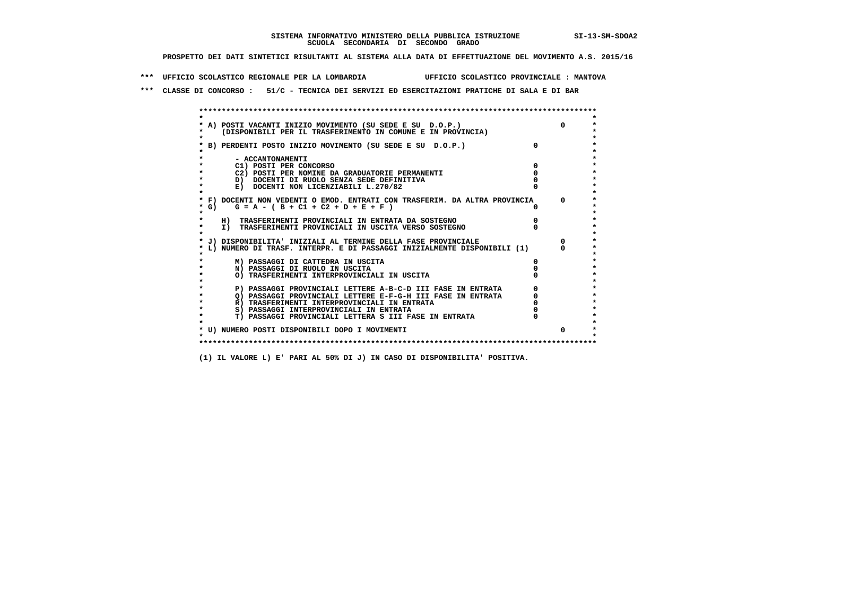**\*\*\* UFFICIO SCOLASTICO REGIONALE PER LA LOMBARDIA UFFICIO SCOLASTICO PROVINCIALE : MANTOVA**

 **\*\*\* CLASSE DI CONCORSO : 51/C - TECNICA DEI SERVIZI ED ESERCITAZIONI PRATICHE DI SALA E DI BAR**

 **\*\*\*\*\*\*\*\*\*\*\*\*\*\*\*\*\*\*\*\*\*\*\*\*\*\*\*\*\*\*\*\*\*\*\*\*\*\*\*\*\*\*\*\*\*\*\*\*\*\*\*\*\*\*\*\*\*\*\*\*\*\*\*\*\*\*\*\*\*\*\*\*\*\*\*\*\*\*\*\*\*\*\*\*\*\*\*\* \* \*** $\ddot{\phantom{0}}$  **\* A) POSTI VACANTI INIZIO MOVIMENTO (SU SEDE E SU D.O.P.) 0 \*** $\star$  **\* (DISPONIBILI PER IL TRASFERIMENTO IN COMUNE E IN PROVINCIA) \*** $\bullet$  **\* \* \* B) PERDENTI POSTO INIZIO MOVIMENTO (SU SEDE E SU D.O.P.) 0 \* \* \* \* - ACCANTONAMENTI \* \* C1) POSTI PER CONCORSO 0 \* \* C2) POSTI PER NOMINE DA GRADUATORIE PERMANENTI 0 \*b**  $\overline{D}$  **docenti di RUOLO SENZA SEDE DEFINITIVA**  $\overline{D}$  **0**  $\overline{D}$  **0**  $\overline{D}$  **0**  $\overline{D}$  **0**  $\overline{D}$  **0**  $\overline{D}$  **0**  $\overline{D}$  **0**  $\overline{D}$  **0**  $\overline{D}$  **0**  $\overline{D}$  **0**  $\overline{D}$  **0**  $\overline{D}$  **0**  $\overline{D}$  **0 E) DOCENTI NON LICENZIABILI L.270/82 \* \* \* F) DOCENTI NON VEDENTI O EMOD. ENTRATI CON TRASFERIM. DA ALTRA PROVINCIA 0 \* \* G) G = A - ( B + C1 + C2 + D + E + F ) 0 \* \* \* \* H) TRASFERIMENTI PROVINCIALI IN ENTRATA DA SOSTEGNO 0 \*TO TRASFERIMENTI PROVINCIALI IN USCITA VERSO SOSTEGNO \* \* \* J) DISPONIBILITA' INIZIALI AL TERMINE DELLA FASE PROVINCIALE 0 \* \* L) NUMERO DI TRASF. INTERPR. E DI PASSAGGI INIZIALMENTE DISPONIBILI (1) 0 \* \* \* \* M) PASSAGGI DI CATTEDRA IN USCITA 0 \* \* N) PASSAGGI DI RUOLO IN USCITA 0 \* \* O) TRASFERIMENTI INTERPROVINCIALI IN USCITA 0 \* \* \*** $\star$  **P) PASSAGGI PROVINCIALI LETTERE A-B-C-D III FASE IN ENTRATA** 0 <sup>0</sup> **DASSAGGI PROVINCIALI LETTERE E-F-G-H** III FASE IN ENTRATA 0 <sup>0</sup>  $\star$  **\* Q) PASSAGGI PROVINCIALI LETTERE E-F-G-H III FASE IN ENTRATA 0 \*R**) TRASFERIMENTI INTERPROVINCIALI IN ENTRATA  $\begin{bmatrix} 0 & 0 & 0 \\ 0 & 0 & 0 \\ 0 & 0 & 0 \\ 0 & 0 & 0 \\ 0 & 0 & 0 \\ 0 & 0 & 0 & 0 \\ 0 & 0 & 0 & 0 \\ 0 & 0 & 0 & 0 \\ 0 & 0 & 0 & 0 \\ 0 & 0 & 0 & 0 \\ 0 & 0 & 0 & 0 \\ 0 & 0 & 0 & 0 \\ 0 & 0 & 0 & 0 \\ 0 & 0 & 0 & 0 \\ 0 & 0 & 0 & 0 \\ 0 &$  **\* S) PASSAGGI INTERPROVINCIALI IN ENTRATA 0 \*** $\ddot{\bullet}$  **\* T) PASSAGGI PROVINCIALI LETTERA S III FASE IN ENTRATA 0 \*** $\star$  **\* \* \* U) NUMERO POSTI DISPONIBILI DOPO I MOVIMENTI 0 \* \* \* \*\*\*\*\*\*\*\*\*\*\*\*\*\*\*\*\*\*\*\*\*\*\*\*\*\*\*\*\*\*\*\*\*\*\*\*\*\*\*\*\*\*\*\*\*\*\*\*\*\*\*\*\*\*\*\*\*\*\*\*\*\*\*\*\*\*\*\*\*\*\*\*\*\*\*\*\*\*\*\*\*\*\*\*\*\*\*\***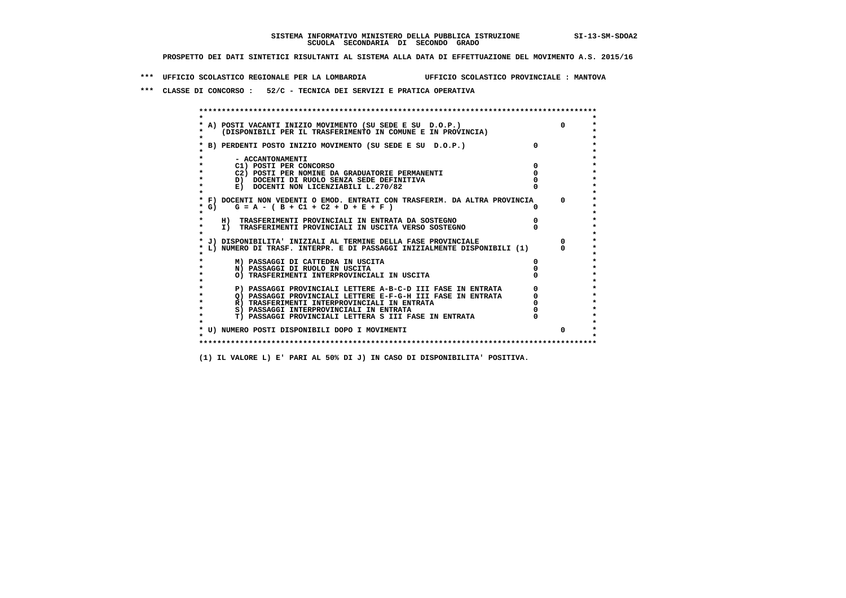**\*\*\* UFFICIO SCOLASTICO REGIONALE PER LA LOMBARDIA UFFICIO SCOLASTICO PROVINCIALE : MANTOVA**

 **\*\*\* CLASSE DI CONCORSO : 52/C - TECNICA DEI SERVIZI E PRATICA OPERATIVA**

| A) POSTI VACANTI INIZIO MOVIMENTO (SU SEDE E SU D.O.P.)                    | $\Omega$   |
|----------------------------------------------------------------------------|------------|
| (DISPONIBILI PER IL TRASFERIMENTO IN COMUNE E IN PROVINCIA)                |            |
| B) PERDENTI POSTO INIZIO MOVIMENTO (SU SEDE E SU D.O.P.)                   |            |
|                                                                            |            |
| - ACCANTONAMENTI                                                           |            |
| C1) POSTI PER CONCORSO                                                     |            |
| C2) POSTI PER NOMINE DA GRADUATORIE PERMANENTI                             |            |
| D) DOCENTI DI RUOLO SENZA SEDE DEFINITIVA                                  |            |
| E) DOCENTI NON LICENZIABILI L.270/82                                       |            |
| * F) DOCENTI NON VEDENTI O EMOD. ENTRATI CON TRASFERIM. DA ALTRA PROVINCIA | $^{\circ}$ |
| * G) $G = A - (B + C1 + C2 + D + E + F)$                                   |            |
|                                                                            |            |
| H) TRASFERIMENTI PROVINCIALI IN ENTRATA DA SOSTEGNO                        |            |
| I) TRASFERIMENTI PROVINCIALI IN USCITA VERSO SOSTEGNO                      |            |
|                                                                            |            |
| J) DISPONIBILITA' INIZIALI AL TERMINE DELLA FASE PROVINCIALE               |            |
| L) NUMERO DI TRASF. INTERPR. E DI PASSAGGI INIZIALMENTE DISPONIBILI (1)    |            |
| M) PASSAGGI DI CATTEDRA IN USCITA                                          |            |
| N) PASSAGGI DI RUOLO IN USCITA                                             |            |
| O) TRASFERIMENTI INTERPROVINCIALI IN USCITA                                |            |
|                                                                            |            |
| P) PASSAGGI PROVINCIALI LETTERE A-B-C-D III FASE IN ENTRATA                |            |
| O) PASSAGGI PROVINCIALI LETTERE E-F-G-H III FASE IN ENTRATA                |            |
| R) TRASFERIMENTI INTERPROVINCIALI IN ENTRATA                               |            |
| S) PASSAGGI INTERPROVINCIALI IN ENTRATA                                    |            |
| T) PASSAGGI PROVINCIALI LETTERA S III FASE IN ENTRATA                      |            |
|                                                                            |            |
| * U) NUMERO POSTI DISPONIBILI DOPO I MOVIMENTI                             | n.         |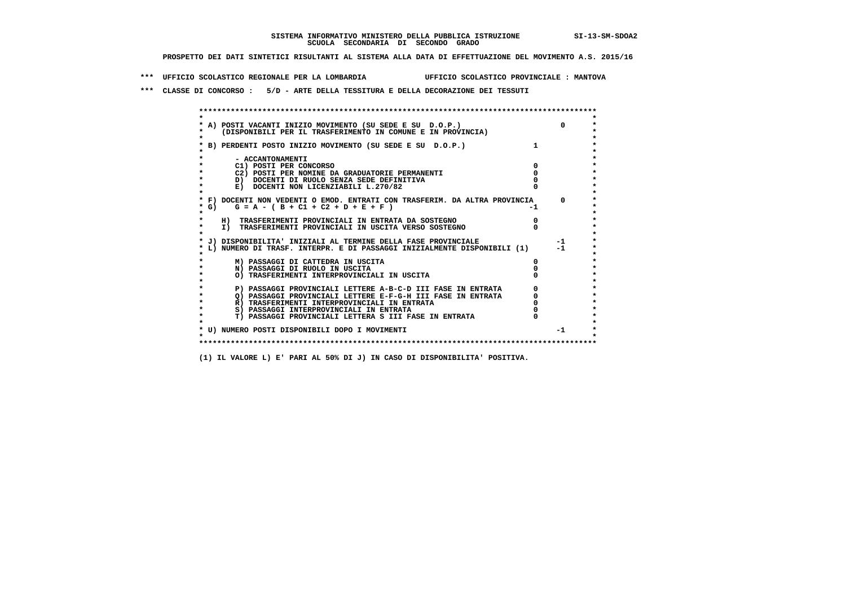**\*\*\* UFFICIO SCOLASTICO REGIONALE PER LA LOMBARDIA UFFICIO SCOLASTICO PROVINCIALE : MANTOVA**

 **\*\*\* CLASSE DI CONCORSO : 5/D - ARTE DELLA TESSITURA E DELLA DECORAZIONE DEI TESSUTI**

 **\*\*\*\*\*\*\*\*\*\*\*\*\*\*\*\*\*\*\*\*\*\*\*\*\*\*\*\*\*\*\*\*\*\*\*\*\*\*\*\*\*\*\*\*\*\*\*\*\*\*\*\*\*\*\*\*\*\*\*\*\*\*\*\*\*\*\*\*\*\*\*\*\*\*\*\*\*\*\*\*\*\*\*\*\*\*\*\* \* \*** $\bullet$  **\* A) POSTI VACANTI INIZIO MOVIMENTO (SU SEDE E SU D.O.P.) 0 \* \* (DISPONIBILI PER IL TRASFERIMENTO IN COMUNE E IN PROVINCIA) \* \* \* \* B) PERDENTI POSTO INIZIO MOVIMENTO (SU SEDE E SU D.O.P.) 1 \* \* \* \* - ACCANTONAMENTI \* \* C1) POSTI PER CONCORSO 0 \* \* C2) POSTI PER NOMINE DA GRADUATORIE PERMANENTI 0 \*b**  $\overline{D}$  **docenti di RUOLO SENZA SEDE DEFINITIVA**  $\overline{D}$  **0**  $\overline{D}$  **0**  $\overline{D}$  **0**  $\overline{D}$  **0**  $\overline{D}$  **0**  $\overline{D}$  **0**  $\overline{D}$  **0**  $\overline{D}$  **0**  $\overline{D}$  **0**  $\overline{D}$  **0**  $\overline{D}$  **0**  $\overline{D}$  **0**  $\overline{D}$  **0 E) DOCENTI NON LICENZIABILI L.270/82 \* \* \* F) DOCENTI NON VEDENTI O EMOD. ENTRATI CON TRASFERIM. DA ALTRA PROVINCIA 0 \***  $\star$  **G)** G = A - ( B + C1 + C2 + D + E + F)  **\* \* \* H) TRASFERIMENTI PROVINCIALI IN ENTRATA DA SOSTEGNO 0 \* \* I) TRASFERIMENTI PROVINCIALI IN USCITA VERSO SOSTEGNO 0 \* \* \* \* J) DISPONIBILITA' INIZIALI AL TERMINE DELLA FASE PROVINCIALE -1 \* \* L) NUMERO DI TRASF. INTERPR. E DI PASSAGGI INIZIALMENTE DISPONIBILI (1) -1 \* \* \* \* M) PASSAGGI DI CATTEDRA IN USCITA 0 \* \* N) PASSAGGI DI RUOLO IN USCITA 0 \* \* O) TRASFERIMENTI INTERPROVINCIALI IN USCITA 0 \* \* \* P) PASSAGGI PROVINCIALI LETTERE A-B-C-D III FASE IN ENTRATA** 0 <sup>0</sup> **DASSAGGI PROVINCIALI LETTERE E-F-G-H** III FASE IN ENTRATA 0 <sup>0</sup>  $\star$  **\* Q) PASSAGGI PROVINCIALI LETTERE E-F-G-H III FASE IN ENTRATA 0 \*R)** TRASFERIMENTI INTERPROVINCIALI IN ENTRATA  $\begin{bmatrix} 0 & 0 \\ 0 & 0 \\ 0 & 0 \end{bmatrix}$  PASSAGGI INTERPROVINCIALI IN ENTRATA  $\begin{bmatrix} 0 & 0 \\ 0 & 0 \\ 0 & 0 \end{bmatrix}$ **8) PASSAGGI INTERPROVINCIALI IN ENTRATA 6 \*\*\*** 0 \*\*\*<br> **T) PASSAGGI PROVINCIALI LETTERA S III FASE IN ENTRATA** 0 \*\*\*  $\ddot{\bullet}$  **\* T) PASSAGGI PROVINCIALI LETTERA S III FASE IN ENTRATA 0 \*** $\star$  **\* \* \* U) NUMERO POSTI DISPONIBILI DOPO I MOVIMENTI -1 \* \* \* \*\*\*\*\*\*\*\*\*\*\*\*\*\*\*\*\*\*\*\*\*\*\*\*\*\*\*\*\*\*\*\*\*\*\*\*\*\*\*\*\*\*\*\*\*\*\*\*\*\*\*\*\*\*\*\*\*\*\*\*\*\*\*\*\*\*\*\*\*\*\*\*\*\*\*\*\*\*\*\*\*\*\*\*\*\*\*\***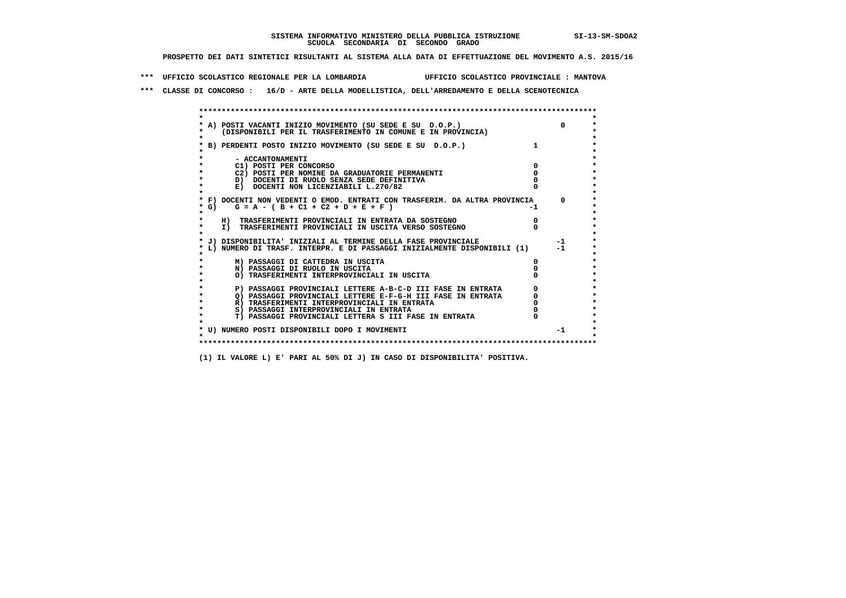**\*\*\* UFFICIO SCOLASTICO REGIONALE PER LA LOMBARDIA UFFICIO SCOLASTICO PROVINCIALE : MANTOVA**

 **\*\*\* CLASSE DI CONCORSO : 16/D - ARTE DELLA MODELLISTICA, DELL'ARREDAMENTO E DELLA SCENOTECNICA**

 **\*\*\*\*\*\*\*\*\*\*\*\*\*\*\*\*\*\*\*\*\*\*\*\*\*\*\*\*\*\*\*\*\*\*\*\*\*\*\*\*\*\*\*\*\*\*\*\*\*\*\*\*\*\*\*\*\*\*\*\*\*\*\*\*\*\*\*\*\*\*\*\*\*\*\*\*\*\*\*\*\*\*\*\*\*\*\*\* \* \*** $\ddot{\phantom{0}}$  **\* A) POSTI VACANTI INIZIO MOVIMENTO (SU SEDE E SU D.O.P.) 0 \* \* (DISPONIBILI PER IL TRASFERIMENTO IN COMUNE E IN PROVINCIA) \* \* \* \* B) PERDENTI POSTO INIZIO MOVIMENTO (SU SEDE E SU D.O.P.) 1 \* \* \* \* - ACCANTONAMENTI \* \* C1) POSTI PER CONCORSO 0 \* \* C2) POSTI PER NOMINE DA GRADUATORIE PERMANENTI 0 \*b**  $\overline{D}$  **docenti di RUOLO SENZA SEDE DEFINITIVA**  $\overline{D}$  **0**  $\overline{D}$  **0**  $\overline{D}$  **0**  $\overline{D}$  **0**  $\overline{D}$  **0**  $\overline{D}$  **0**  $\overline{D}$  **0**  $\overline{D}$  **0**  $\overline{D}$  **0**  $\overline{D}$  **0**  $\overline{D}$  **0**  $\overline{D}$  **0**  $\overline{D}$  **0 E) DOCENTI NON LICENZIABILI L.270/82 \* \* \* F) DOCENTI NON VEDENTI O EMOD. ENTRATI CON TRASFERIM. DA ALTRA PROVINCIA 0 \***  $\star$  **G)** G = A - ( B + C1 + C2 + D + E + F)  **\* \* \* H) TRASFERIMENTI PROVINCIALI IN ENTRATA DA SOSTEGNO 0 \* \* I) TRASFERIMENTI PROVINCIALI IN USCITA VERSO SOSTEGNO 0 \* \* \* \* J) DISPONIBILITA' INIZIALI AL TERMINE DELLA FASE PROVINCIALE -1 \* \* L) NUMERO DI TRASF. INTERPR. E DI PASSAGGI INIZIALMENTE DISPONIBILI (1) -1 \* \* \* \* M) PASSAGGI DI CATTEDRA IN USCITA 0 \* \* N) PASSAGGI DI RUOLO IN USCITA 0 \* \* O) TRASFERIMENTI INTERPROVINCIALI IN USCITA 0 \* \* \* P) PASSAGGI PROVINCIALI LETTERE A-B-C-D III FASE IN ENTRATA** 0 <sup>0</sup> **DASSAGGI PROVINCIALI LETTERE E-F-G-H** III FASE IN ENTRATA 0 <sup>0</sup>  $\star$  **\* Q) PASSAGGI PROVINCIALI LETTERE E-F-G-H III FASE IN ENTRATA 0 \*R)** TRASFERIMENTI INTERPROVINCIALI IN ENTRATA  $\begin{bmatrix} 0 & 0 \\ 0 & 0 \\ 0 & 0 \end{bmatrix}$  PASSAGGI INTERPROVINCIALI IN ENTRATA  $\begin{bmatrix} 0 & 0 \\ 0 & 0 \\ 0 & 0 \end{bmatrix}$  **\* S) PASSAGGI INTERPROVINCIALI IN ENTRATA 0 \*** $\ddot{\bullet}$  **\* T) PASSAGGI PROVINCIALI LETTERA S III FASE IN ENTRATA 0 \*** $\star$  **\* \* \* U) NUMERO POSTI DISPONIBILI DOPO I MOVIMENTI -1 \* \* \* \*\*\*\*\*\*\*\*\*\*\*\*\*\*\*\*\*\*\*\*\*\*\*\*\*\*\*\*\*\*\*\*\*\*\*\*\*\*\*\*\*\*\*\*\*\*\*\*\*\*\*\*\*\*\*\*\*\*\*\*\*\*\*\*\*\*\*\*\*\*\*\*\*\*\*\*\*\*\*\*\*\*\*\*\*\*\*\***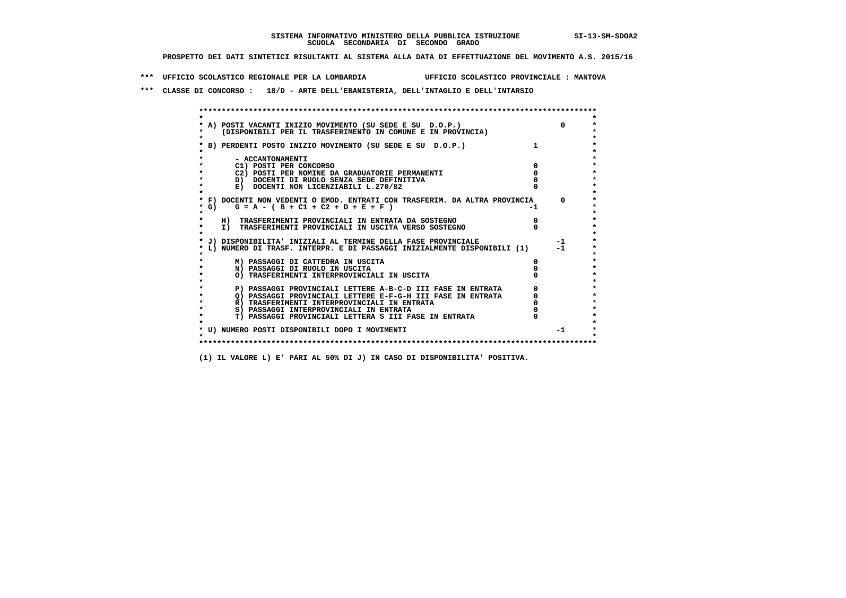**\*\*\* UFFICIO SCOLASTICO REGIONALE PER LA LOMBARDIA UFFICIO SCOLASTICO PROVINCIALE : MANTOVA**

 **\*\*\* CLASSE DI CONCORSO : 18/D - ARTE DELL'EBANISTERIA, DELL'INTAGLIO E DELL'INTARSIO**

 **\*\*\*\*\*\*\*\*\*\*\*\*\*\*\*\*\*\*\*\*\*\*\*\*\*\*\*\*\*\*\*\*\*\*\*\*\*\*\*\*\*\*\*\*\*\*\*\*\*\*\*\*\*\*\*\*\*\*\*\*\*\*\*\*\*\*\*\*\*\*\*\*\*\*\*\*\*\*\*\*\*\*\*\*\*\*\*\* \* \*** $\bullet$  **\* A) POSTI VACANTI INIZIO MOVIMENTO (SU SEDE E SU D.O.P.) 0 \* \* (DISPONIBILI PER IL TRASFERIMENTO IN COMUNE E IN PROVINCIA) \* \* \* \* B) PERDENTI POSTO INIZIO MOVIMENTO (SU SEDE E SU D.O.P.) 1 \* \* \* \* - ACCANTONAMENTI \* \* C1) POSTI PER CONCORSO 0 \* \* C2) POSTI PER NOMINE DA GRADUATORIE PERMANENTI 0 \*b**  $\overline{D}$  **docenti di RUOLO SENZA SEDE DEFINITIVA**  $\overline{D}$  **0**  $\overline{D}$  **0**  $\overline{D}$  **0**  $\overline{D}$  **0**  $\overline{D}$  **0**  $\overline{D}$  **0**  $\overline{D}$  **0**  $\overline{D}$  **0**  $\overline{D}$  **0**  $\overline{D}$  **0**  $\overline{D}$  **0**  $\overline{D}$  **0**  $\overline{D}$  **0 E) DOCENTI NON LICENZIABILI L.270/82 \* \* \* F) DOCENTI NON VEDENTI O EMOD. ENTRATI CON TRASFERIM. DA ALTRA PROVINCIA 0 \***  $\star$  **G)** G = A - ( B + C1 + C2 + D + E + F)  **\* \* \* H) TRASFERIMENTI PROVINCIALI IN ENTRATA DA SOSTEGNO 0 \*The Construction of the International Construction of the Construction of the Transferiment I**  $\overline{P}$  **PROVINCIALI** IN USCITA VERSO SOSTEGNO  **\* \* \* J) DISPONIBILITA' INIZIALI AL TERMINE DELLA FASE PROVINCIALE -1 \* \* L) NUMERO DI TRASF. INTERPR. E DI PASSAGGI INIZIALMENTE DISPONIBILI (1) -1 \* \* \* \* M) PASSAGGI DI CATTEDRA IN USCITA 0 \* \* N) PASSAGGI DI RUOLO IN USCITA 0 \* \* O) TRASFERIMENTI INTERPROVINCIALI IN USCITA 0 \* \* \* P) PASSAGGI PROVINCIALI LETTERE A-B-C-D III FASE IN ENTRATA** 0 <sup>0</sup> **DASSAGGI PROVINCIALI LETTERE E-F-G-H** III FASE IN ENTRATA 0 <sup>0</sup>  **\* Q) PASSAGGI PROVINCIALI LETTERE E-F-G-H III FASE IN ENTRATA 0 \*R)** TRASFERIMENTI INTERPROVINCIALI IN ENTRATA  $\begin{bmatrix} 0 & 0 \\ 0 & 0 \\ 0 & 0 \end{bmatrix}$  PASSAGGI INTERPROVINCIALI IN ENTRATA  $\begin{bmatrix} 0 & 0 \\ 0 & 0 \\ 0 & 0 \end{bmatrix}$ **8) PASSAGGI INTERPROVINCIALI IN ENTRATA 6 \*\*\*** 0 \*\*\*<br> **T) PASSAGGI PROVINCIALI LETTERA S III FASE IN ENTRATA** 0 \*\*\*  $\ddot{\bullet}$  **\* T) PASSAGGI PROVINCIALI LETTERA S III FASE IN ENTRATA 0 \*** $\star$  **\* \* \* U) NUMERO POSTI DISPONIBILI DOPO I MOVIMENTI -1 \* \* \* \*\*\*\*\*\*\*\*\*\*\*\*\*\*\*\*\*\*\*\*\*\*\*\*\*\*\*\*\*\*\*\*\*\*\*\*\*\*\*\*\*\*\*\*\*\*\*\*\*\*\*\*\*\*\*\*\*\*\*\*\*\*\*\*\*\*\*\*\*\*\*\*\*\*\*\*\*\*\*\*\*\*\*\*\*\*\*\***